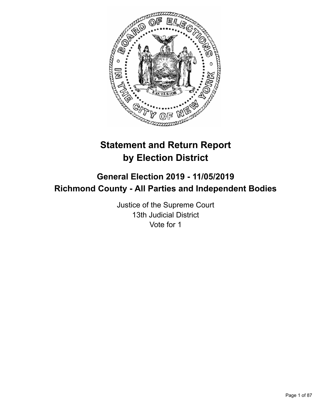

# **Statement and Return Report by Election District**

## **General Election 2019 - 11/05/2019 Richmond County - All Parties and Independent Bodies**

Justice of the Supreme Court 13th Judicial District Vote for 1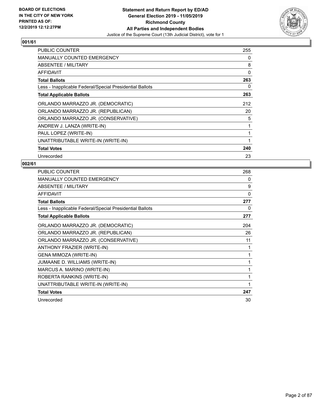

| <b>PUBLIC COUNTER</b>                                    | 255 |
|----------------------------------------------------------|-----|
| <b>MANUALLY COUNTED EMERGENCY</b>                        | 0   |
| ABSENTEE / MILITARY                                      | 8   |
| AFFIDAVIT                                                | 0   |
| <b>Total Ballots</b>                                     | 263 |
| Less - Inapplicable Federal/Special Presidential Ballots | 0   |
| <b>Total Applicable Ballots</b>                          | 263 |
| ORLANDO MARRAZZO JR. (DEMOCRATIC)                        | 212 |
| ORLANDO MARRAZZO JR. (REPUBLICAN)                        | 20  |
| ORLANDO MARRAZZO JR. (CONSERVATIVE)                      | 5   |
| ANDREW J. LANZA (WRITE-IN)                               |     |
| PAUL LOPEZ (WRITE-IN)                                    |     |
| UNATTRIBUTABLE WRITE-IN (WRITE-IN)                       |     |
| <b>Total Votes</b>                                       | 240 |
| Unrecorded                                               | 23  |

| PUBLIC COUNTER                                           | 268 |
|----------------------------------------------------------|-----|
| MANUALLY COUNTED EMERGENCY                               | 0   |
| ABSENTEE / MILITARY                                      | 9   |
| <b>AFFIDAVIT</b>                                         | 0   |
| <b>Total Ballots</b>                                     | 277 |
| Less - Inapplicable Federal/Special Presidential Ballots | 0   |
| <b>Total Applicable Ballots</b>                          | 277 |
| ORLANDO MARRAZZO JR. (DEMOCRATIC)                        | 204 |
| ORLANDO MARRAZZO JR. (REPUBLICAN)                        | 26  |
| ORLANDO MARRAZZO JR. (CONSERVATIVE)                      | 11  |
| ANTHONY FRAZIER (WRITE-IN)                               | 1   |
| GENA MIMOZA (WRITE-IN)                                   | 1   |
| JUMAANE D. WILLIAMS (WRITE-IN)                           | 1   |
| MARCUS A. MARINO (WRITE-IN)                              | 1   |
| ROBERTA RANKINS (WRITE-IN)                               | 1   |
| UNATTRIBUTABLE WRITE-IN (WRITE-IN)                       | 1   |
| <b>Total Votes</b>                                       | 247 |
| Unrecorded                                               | 30  |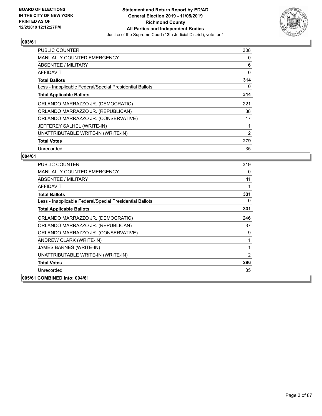

| <b>PUBLIC COUNTER</b>                                    | 308            |
|----------------------------------------------------------|----------------|
| <b>MANUALLY COUNTED EMERGENCY</b>                        | 0              |
| ABSENTEE / MILITARY                                      | 6              |
| AFFIDAVIT                                                | 0              |
| <b>Total Ballots</b>                                     | 314            |
| Less - Inapplicable Federal/Special Presidential Ballots | 0              |
| <b>Total Applicable Ballots</b>                          | 314            |
| ORLANDO MARRAZZO JR. (DEMOCRATIC)                        | 221            |
| ORLANDO MARRAZZO JR. (REPUBLICAN)                        | 38             |
| ORLANDO MARRAZZO JR. (CONSERVATIVE)                      | 17             |
| JEFFEREY SALHEL (WRITE-IN)                               | 1              |
| UNATTRIBUTABLE WRITE-IN (WRITE-IN)                       | $\overline{2}$ |
| <b>Total Votes</b>                                       | 279            |
| Unrecorded                                               | 35             |

| <b>PUBLIC COUNTER</b>                                    | 319 |
|----------------------------------------------------------|-----|
| <b>MANUALLY COUNTED EMERGENCY</b>                        | 0   |
| ABSENTEE / MILITARY                                      | 11  |
| <b>AFFIDAVIT</b>                                         | 1   |
| <b>Total Ballots</b>                                     | 331 |
| Less - Inapplicable Federal/Special Presidential Ballots | 0   |
| <b>Total Applicable Ballots</b>                          | 331 |
| ORLANDO MARRAZZO JR. (DEMOCRATIC)                        | 246 |
| ORLANDO MARRAZZO JR. (REPUBLICAN)                        | 37  |
| ORLANDO MARRAZZO JR. (CONSERVATIVE)                      | 9   |
| ANDREW CLARK (WRITE-IN)                                  | 1   |
| JAMES BARNES (WRITE-IN)                                  | 1   |
| UNATTRIBUTABLE WRITE-IN (WRITE-IN)                       | 2   |
| <b>Total Votes</b>                                       | 296 |
| Unrecorded                                               | 35  |
| 005/61 COMBINED into: 004/61                             |     |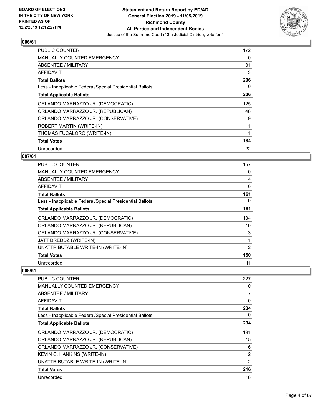

| <b>PUBLIC COUNTER</b>                                    | 172 |
|----------------------------------------------------------|-----|
| <b>MANUALLY COUNTED EMERGENCY</b>                        | 0   |
| ABSENTEE / MILITARY                                      | 31  |
| AFFIDAVIT                                                | 3   |
| <b>Total Ballots</b>                                     | 206 |
| Less - Inapplicable Federal/Special Presidential Ballots | 0   |
| <b>Total Applicable Ballots</b>                          | 206 |
| ORLANDO MARRAZZO JR. (DEMOCRATIC)                        | 125 |
| ORLANDO MARRAZZO JR. (REPUBLICAN)                        | 48  |
| ORLANDO MARRAZZO JR. (CONSERVATIVE)                      | 9   |
| ROBERT MARTIN (WRITE-IN)                                 |     |
| THOMAS FUCALORO (WRITE-IN)                               |     |
| <b>Total Votes</b>                                       | 184 |
| Unrecorded                                               | 22  |

## **007/61**

| <b>PUBLIC COUNTER</b>                                    | 157 |
|----------------------------------------------------------|-----|
| <b>MANUALLY COUNTED EMERGENCY</b>                        | 0   |
| ABSENTEE / MILITARY                                      | 4   |
| AFFIDAVIT                                                | 0   |
| <b>Total Ballots</b>                                     | 161 |
| Less - Inapplicable Federal/Special Presidential Ballots | 0   |
| <b>Total Applicable Ballots</b>                          | 161 |
| ORLANDO MARRAZZO JR. (DEMOCRATIC)                        | 134 |
| ORLANDO MARRAZZO JR. (REPUBLICAN)                        | 10  |
| ORLANDO MARRAZZO JR. (CONSERVATIVE)                      | 3   |
| JATT DREDDZ (WRITE-IN)                                   |     |
| UNATTRIBUTABLE WRITE-IN (WRITE-IN)                       | 2   |
| <b>Total Votes</b>                                       | 150 |
| Unrecorded                                               | 11  |

| PUBLIC COUNTER                                           | 227            |
|----------------------------------------------------------|----------------|
| <b>MANUALLY COUNTED EMERGENCY</b>                        | 0              |
| <b>ABSENTEE / MILITARY</b>                               | 7              |
| AFFIDAVIT                                                | 0              |
| <b>Total Ballots</b>                                     | 234            |
| Less - Inapplicable Federal/Special Presidential Ballots | 0              |
| <b>Total Applicable Ballots</b>                          | 234            |
| ORLANDO MARRAZZO JR. (DEMOCRATIC)                        | 191            |
| ORLANDO MARRAZZO JR. (REPUBLICAN)                        | 15             |
| ORLANDO MARRAZZO JR. (CONSERVATIVE)                      | 6              |
| KEVIN C. HANKINS (WRITE-IN)                              | $\overline{2}$ |
| UNATTRIBUTABLE WRITE-IN (WRITE-IN)                       | 2              |
| <b>Total Votes</b>                                       | 216            |
| Unrecorded                                               | 18             |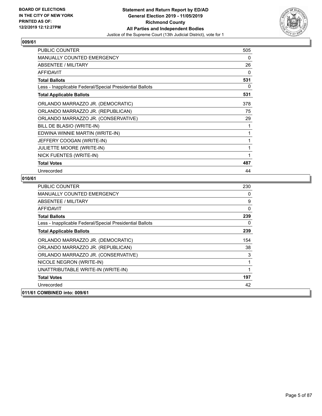

| <b>PUBLIC COUNTER</b>                                    | 505 |
|----------------------------------------------------------|-----|
| <b>MANUALLY COUNTED EMERGENCY</b>                        | 0   |
| <b>ABSENTEE / MILITARY</b>                               | 26  |
| <b>AFFIDAVIT</b>                                         | 0   |
| <b>Total Ballots</b>                                     | 531 |
| Less - Inapplicable Federal/Special Presidential Ballots | 0   |
| <b>Total Applicable Ballots</b>                          | 531 |
| ORLANDO MARRAZZO JR. (DEMOCRATIC)                        | 378 |
| ORLANDO MARRAZZO JR. (REPUBLICAN)                        | 75  |
| ORLANDO MARRAZZO JR. (CONSERVATIVE)                      | 29  |
| BILL DE BLASIO (WRITE-IN)                                | 1   |
| EDWINA WINNIE MARTIN (WRITE-IN)                          | 1   |
| JEFFERY COOGAN (WRITE-IN)                                | 1   |
| <b>JULIETTE MOORE (WRITE-IN)</b>                         | 1   |
| NICK FUENTES (WRITE-IN)                                  | 1   |
| <b>Total Votes</b>                                       | 487 |
| Unrecorded                                               | 44  |

| <b>PUBLIC COUNTER</b>                                    | 230      |
|----------------------------------------------------------|----------|
| <b>MANUALLY COUNTED EMERGENCY</b>                        | 0        |
| ABSENTEE / MILITARY                                      | 9        |
| <b>AFFIDAVIT</b>                                         | $\Omega$ |
| <b>Total Ballots</b>                                     | 239      |
| Less - Inapplicable Federal/Special Presidential Ballots | 0        |
| <b>Total Applicable Ballots</b>                          | 239      |
| ORLANDO MARRAZZO JR. (DEMOCRATIC)                        | 154      |
| ORLANDO MARRAZZO JR. (REPUBLICAN)                        | 38       |
| ORLANDO MARRAZZO JR. (CONSERVATIVE)                      | 3        |
| NICOLE NEGRON (WRITE-IN)                                 | 1        |
| UNATTRIBUTABLE WRITE-IN (WRITE-IN)                       | 1        |
| <b>Total Votes</b>                                       | 197      |
| Unrecorded                                               | 42       |
| 011/61 COMBINED into: 009/61                             |          |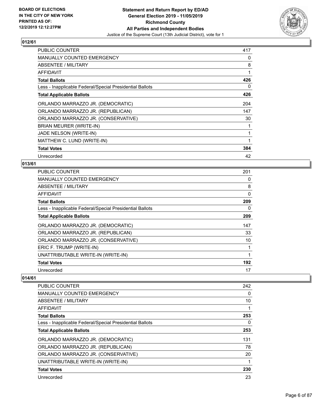

| <b>PUBLIC COUNTER</b>                                    | 417 |
|----------------------------------------------------------|-----|
| <b>MANUALLY COUNTED EMERGENCY</b>                        | 0   |
| ABSENTEE / MILITARY                                      | 8   |
| AFFIDAVIT                                                | 1   |
| <b>Total Ballots</b>                                     | 426 |
| Less - Inapplicable Federal/Special Presidential Ballots | 0   |
| <b>Total Applicable Ballots</b>                          | 426 |
| ORLANDO MARRAZZO JR. (DEMOCRATIC)                        | 204 |
| ORLANDO MARRAZZO JR. (REPUBLICAN)                        | 147 |
| ORLANDO MARRAZZO JR. (CONSERVATIVE)                      | 30  |
| BRIAN MEURER (WRITE-IN)                                  |     |
| JADE NELSON (WRITE-IN)                                   |     |
| MATTHEW C. LUND (WRITE-IN)                               | 1   |
| <b>Total Votes</b>                                       | 384 |
| Unrecorded                                               | 42  |

## **013/61**

| <b>PUBLIC COUNTER</b>                                    | 201 |
|----------------------------------------------------------|-----|
| <b>MANUALLY COUNTED EMERGENCY</b>                        | 0   |
| ABSENTEE / MILITARY                                      | 8   |
| AFFIDAVIT                                                | 0   |
| <b>Total Ballots</b>                                     | 209 |
| Less - Inapplicable Federal/Special Presidential Ballots | 0   |
| <b>Total Applicable Ballots</b>                          | 209 |
| ORLANDO MARRAZZO JR. (DEMOCRATIC)                        | 147 |
| ORLANDO MARRAZZO JR. (REPUBLICAN)                        | 33  |
| ORLANDO MARRAZZO JR. (CONSERVATIVE)                      | 10  |
| ERIC F. TRUMP (WRITE-IN)                                 |     |
| UNATTRIBUTABLE WRITE-IN (WRITE-IN)                       |     |
| <b>Total Votes</b>                                       | 192 |
| Unrecorded                                               | 17  |

| <b>PUBLIC COUNTER</b>                                    | 242 |
|----------------------------------------------------------|-----|
| <b>MANUALLY COUNTED EMERGENCY</b>                        | 0   |
| ABSENTEE / MILITARY                                      | 10  |
| AFFIDAVIT                                                |     |
| <b>Total Ballots</b>                                     | 253 |
| Less - Inapplicable Federal/Special Presidential Ballots | 0   |
| <b>Total Applicable Ballots</b>                          | 253 |
| ORLANDO MARRAZZO JR. (DEMOCRATIC)                        | 131 |
| ORLANDO MARRAZZO JR. (REPUBLICAN)                        | 78  |
| ORLANDO MARRAZZO JR. (CONSERVATIVE)                      | 20  |
| UNATTRIBUTABLE WRITE-IN (WRITE-IN)                       |     |
| <b>Total Votes</b>                                       | 230 |
| Unrecorded                                               | 23  |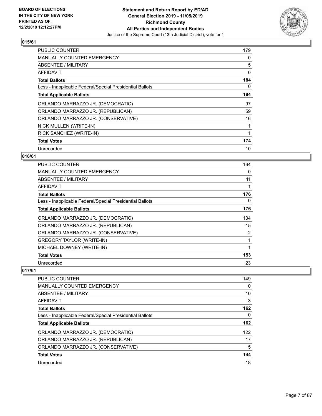

| <b>PUBLIC COUNTER</b>                                    | 179 |
|----------------------------------------------------------|-----|
| <b>MANUALLY COUNTED EMERGENCY</b>                        | 0   |
| <b>ABSENTEE / MILITARY</b>                               | 5   |
| AFFIDAVIT                                                | 0   |
| <b>Total Ballots</b>                                     | 184 |
| Less - Inapplicable Federal/Special Presidential Ballots | 0   |
| <b>Total Applicable Ballots</b>                          | 184 |
| ORLANDO MARRAZZO JR. (DEMOCRATIC)                        | 97  |
| ORLANDO MARRAZZO JR. (REPUBLICAN)                        | 59  |
| ORLANDO MARRAZZO JR. (CONSERVATIVE)                      | 16  |
| NICK MULLEN (WRITE-IN)                                   |     |
| RICK SANCHEZ (WRITE-IN)                                  |     |
| <b>Total Votes</b>                                       | 174 |
| Unrecorded                                               | 10  |

## **016/61**

| <b>PUBLIC COUNTER</b>                                    | 164 |
|----------------------------------------------------------|-----|
| <b>MANUALLY COUNTED EMERGENCY</b>                        | 0   |
| ABSENTEE / MILITARY                                      | 11  |
| AFFIDAVIT                                                |     |
| <b>Total Ballots</b>                                     | 176 |
| Less - Inapplicable Federal/Special Presidential Ballots | 0   |
| <b>Total Applicable Ballots</b>                          | 176 |
| ORLANDO MARRAZZO JR. (DEMOCRATIC)                        | 134 |
| ORLANDO MARRAZZO JR. (REPUBLICAN)                        | 15  |
| ORLANDO MARRAZZO JR. (CONSERVATIVE)                      | 2   |
| <b>GREGORY TAYLOR (WRITE-IN)</b>                         |     |
| MICHAEL DOWNEY (WRITE-IN)                                |     |
| <b>Total Votes</b>                                       | 153 |
| Unrecorded                                               | 23  |

| <b>PUBLIC COUNTER</b>                                    | 149 |
|----------------------------------------------------------|-----|
| MANUALLY COUNTED EMERGENCY                               | 0   |
| ABSENTEE / MILITARY                                      | 10  |
| AFFIDAVIT                                                | 3   |
| <b>Total Ballots</b>                                     | 162 |
| Less - Inapplicable Federal/Special Presidential Ballots | 0   |
| <b>Total Applicable Ballots</b>                          | 162 |
| ORLANDO MARRAZZO JR. (DEMOCRATIC)                        | 122 |
| ORLANDO MARRAZZO JR. (REPUBLICAN)                        | 17  |
| ORLANDO MARRAZZO JR. (CONSERVATIVE)                      | 5   |
| <b>Total Votes</b>                                       | 144 |
| Unrecorded                                               | 18  |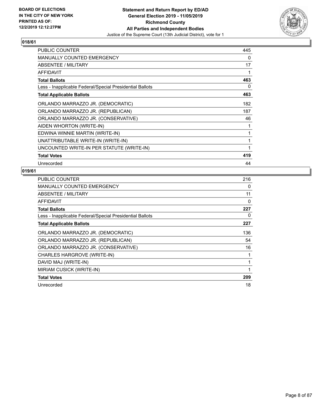

| <b>PUBLIC COUNTER</b>                                    | 445 |
|----------------------------------------------------------|-----|
| <b>MANUALLY COUNTED EMERGENCY</b>                        | 0   |
| ABSENTEE / MILITARY                                      | 17  |
| <b>AFFIDAVIT</b>                                         | 1   |
| <b>Total Ballots</b>                                     | 463 |
| Less - Inapplicable Federal/Special Presidential Ballots | 0   |
| <b>Total Applicable Ballots</b>                          | 463 |
| ORLANDO MARRAZZO JR. (DEMOCRATIC)                        | 182 |
| ORLANDO MARRAZZO JR. (REPUBLICAN)                        | 187 |
| ORLANDO MARRAZZO JR. (CONSERVATIVE)                      | 46  |
| AIDEN WHORTON (WRITE-IN)                                 | 1   |
| EDWINA WINNIE MARTIN (WRITE-IN)                          | 1   |
| UNATTRIBUTABLE WRITE-IN (WRITE-IN)                       | 1   |
| UNCOUNTED WRITE-IN PER STATUTE (WRITE-IN)                | 1   |
| <b>Total Votes</b>                                       | 419 |
| Unrecorded                                               | 44  |

| PUBLIC COUNTER                                           | 216 |
|----------------------------------------------------------|-----|
| <b>MANUALLY COUNTED EMERGENCY</b>                        | 0   |
| ABSENTEE / MILITARY                                      | 11  |
| AFFIDAVIT                                                | 0   |
| <b>Total Ballots</b>                                     | 227 |
| Less - Inapplicable Federal/Special Presidential Ballots | 0   |
| <b>Total Applicable Ballots</b>                          | 227 |
| ORLANDO MARRAZZO JR. (DEMOCRATIC)                        | 136 |
| ORLANDO MARRAZZO JR. (REPUBLICAN)                        | 54  |
| ORLANDO MARRAZZO JR. (CONSERVATIVE)                      | 16  |
| CHARLES HARGROVE (WRITE-IN)                              |     |
| DAVID MAJ (WRITE-IN)                                     |     |
| MIRIAM CUSICK (WRITE-IN)                                 | 1   |
| <b>Total Votes</b>                                       | 209 |
| Unrecorded                                               | 18  |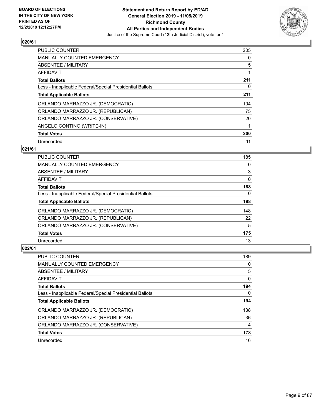

| <b>PUBLIC COUNTER</b>                                    | 205 |
|----------------------------------------------------------|-----|
| <b>MANUALLY COUNTED EMERGENCY</b>                        | 0   |
| ABSENTEE / MILITARY                                      | 5   |
| <b>AFFIDAVIT</b>                                         |     |
| <b>Total Ballots</b>                                     | 211 |
| Less - Inapplicable Federal/Special Presidential Ballots | 0   |
| <b>Total Applicable Ballots</b>                          | 211 |
| ORLANDO MARRAZZO JR. (DEMOCRATIC)                        | 104 |
| ORLANDO MARRAZZO JR. (REPUBLICAN)                        | 75  |
| ORLANDO MARRAZZO JR. (CONSERVATIVE)                      | 20  |
| ANGELO CONTINO (WRITE-IN)                                | 1   |
| <b>Total Votes</b>                                       | 200 |
| Unrecorded                                               | 11  |

#### **021/61**

| <b>PUBLIC COUNTER</b>                                    | 185      |
|----------------------------------------------------------|----------|
| <b>MANUALLY COUNTED EMERGENCY</b>                        | 0        |
| ABSENTEE / MILITARY                                      | 3        |
| <b>AFFIDAVIT</b>                                         | $\Omega$ |
| <b>Total Ballots</b>                                     | 188      |
| Less - Inapplicable Federal/Special Presidential Ballots | 0        |
| <b>Total Applicable Ballots</b>                          | 188      |
| ORLANDO MARRAZZO JR. (DEMOCRATIC)                        | 148      |
| ORLANDO MARRAZZO JR. (REPUBLICAN)                        | 22       |
| ORLANDO MARRAZZO JR. (CONSERVATIVE)                      | 5        |
| <b>Total Votes</b>                                       | 175      |
| Unrecorded                                               | 13       |

| <b>PUBLIC COUNTER</b>                                    | 189 |
|----------------------------------------------------------|-----|
| <b>MANUALLY COUNTED EMERGENCY</b>                        | 0   |
| ABSENTEE / MILITARY                                      | 5   |
| <b>AFFIDAVIT</b>                                         | 0   |
| <b>Total Ballots</b>                                     | 194 |
| Less - Inapplicable Federal/Special Presidential Ballots | 0   |
| <b>Total Applicable Ballots</b>                          | 194 |
| ORLANDO MARRAZZO JR. (DEMOCRATIC)                        | 138 |
| ORLANDO MARRAZZO JR. (REPUBLICAN)                        | 36  |
| ORLANDO MARRAZZO JR. (CONSERVATIVE)                      | 4   |
| <b>Total Votes</b>                                       | 178 |
| Unrecorded                                               | 16  |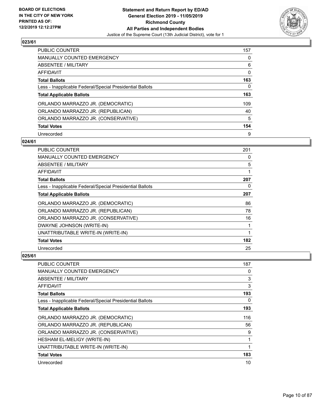

| <b>PUBLIC COUNTER</b>                                    | 157 |
|----------------------------------------------------------|-----|
| MANUALLY COUNTED EMERGENCY                               | 0   |
| ABSENTEE / MILITARY                                      | 6   |
| AFFIDAVIT                                                | 0   |
| <b>Total Ballots</b>                                     | 163 |
| Less - Inapplicable Federal/Special Presidential Ballots | 0   |
| <b>Total Applicable Ballots</b>                          | 163 |
| ORLANDO MARRAZZO JR. (DEMOCRATIC)                        | 109 |
| ORLANDO MARRAZZO JR. (REPUBLICAN)                        | 40  |
| ORLANDO MARRAZZO JR. (CONSERVATIVE)                      | 5   |
| <b>Total Votes</b>                                       | 154 |
| Unrecorded                                               | 9   |

#### **024/61**

| <b>PUBLIC COUNTER</b>                                    | 201 |
|----------------------------------------------------------|-----|
| <b>MANUALLY COUNTED EMERGENCY</b>                        | 0   |
| ABSENTEE / MILITARY                                      | 5   |
| AFFIDAVIT                                                | 1   |
| <b>Total Ballots</b>                                     | 207 |
| Less - Inapplicable Federal/Special Presidential Ballots | 0   |
| <b>Total Applicable Ballots</b>                          | 207 |
| ORLANDO MARRAZZO JR. (DEMOCRATIC)                        | 86  |
| ORLANDO MARRAZZO JR. (REPUBLICAN)                        | 78  |
| ORLANDO MARRAZZO JR. (CONSERVATIVE)                      | 16  |
| DWAYNE JOHNSON (WRITE-IN)                                | 1   |
| UNATTRIBUTABLE WRITE-IN (WRITE-IN)                       | 1   |
| <b>Total Votes</b>                                       | 182 |
| Unrecorded                                               | 25  |

| <b>PUBLIC COUNTER</b>                                    | 187 |
|----------------------------------------------------------|-----|
| <b>MANUALLY COUNTED EMERGENCY</b>                        | 0   |
| ABSENTEE / MILITARY                                      | 3   |
| AFFIDAVIT                                                | 3   |
| Total Ballots                                            | 193 |
| Less - Inapplicable Federal/Special Presidential Ballots | 0   |
| <b>Total Applicable Ballots</b>                          | 193 |
| ORLANDO MARRAZZO JR. (DEMOCRATIC)                        | 116 |
| ORLANDO MARRAZZO JR. (REPUBLICAN)                        | 56  |
| ORLANDO MARRAZZO JR. (CONSERVATIVE)                      | 9   |
| HESHAM EL-MELIGY (WRITE-IN)                              | 1   |
| UNATTRIBUTABLE WRITE-IN (WRITE-IN)                       | 1   |
| <b>Total Votes</b>                                       | 183 |
| Unrecorded                                               | 10  |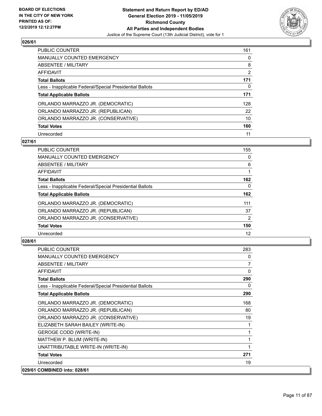

| <b>PUBLIC COUNTER</b>                                    | 161      |
|----------------------------------------------------------|----------|
| <b>MANUALLY COUNTED EMERGENCY</b>                        | $\Omega$ |
| ABSENTEE / MILITARY                                      | 8        |
| AFFIDAVIT                                                | 2        |
| <b>Total Ballots</b>                                     | 171      |
| Less - Inapplicable Federal/Special Presidential Ballots | 0        |
| <b>Total Applicable Ballots</b>                          | 171      |
| ORLANDO MARRAZZO JR. (DEMOCRATIC)                        | 128      |
| ORLANDO MARRAZZO JR. (REPUBLICAN)                        | 22       |
| ORLANDO MARRAZZO JR. (CONSERVATIVE)                      | 10       |
| <b>Total Votes</b>                                       | 160      |
| Unrecorded                                               | 11       |

#### **027/61**

| <b>PUBLIC COUNTER</b>                                    | 155            |
|----------------------------------------------------------|----------------|
| <b>MANUALLY COUNTED EMERGENCY</b>                        | 0              |
| ABSENTEE / MILITARY                                      | 6              |
| <b>AFFIDAVIT</b>                                         |                |
| <b>Total Ballots</b>                                     | 162            |
| Less - Inapplicable Federal/Special Presidential Ballots | 0              |
| <b>Total Applicable Ballots</b>                          | 162            |
| ORLANDO MARRAZZO JR. (DEMOCRATIC)                        | 111            |
| ORLANDO MARRAZZO JR. (REPUBLICAN)                        | 37             |
| ORLANDO MARRAZZO JR. (CONSERVATIVE)                      | $\overline{2}$ |
| <b>Total Votes</b>                                       | 150            |
| Unrecorded                                               | 12             |

| <b>PUBLIC COUNTER</b>                                    | 283            |
|----------------------------------------------------------|----------------|
| <b>MANUALLY COUNTED EMERGENCY</b>                        | 0              |
| <b>ABSENTEE / MILITARY</b>                               | $\overline{7}$ |
| AFFIDAVIT                                                | $\Omega$       |
| <b>Total Ballots</b>                                     | 290            |
| Less - Inapplicable Federal/Special Presidential Ballots | 0              |
| <b>Total Applicable Ballots</b>                          | 290            |
| ORLANDO MARRAZZO JR. (DEMOCRATIC)                        | 168            |
| ORLANDO MARRAZZO JR. (REPUBLICAN)                        | 80             |
| ORLANDO MARRAZZO JR. (CONSERVATIVE)                      | 19             |
| ELIZABETH SARAH BAILEY (WRITE-IN)                        |                |
| <b>GEROGE CODD (WRITE-IN)</b>                            |                |
| MATTHEW P. BLUM (WRITE-IN)                               | 1              |
| UNATTRIBUTABLE WRITE-IN (WRITE-IN)                       | $\mathbf{1}$   |
| <b>Total Votes</b>                                       | 271            |
| Unrecorded                                               | 19             |
| 029/61 COMBINED into: 028/61                             |                |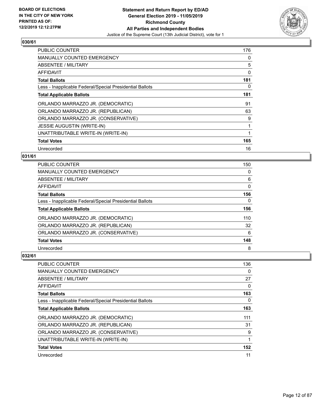

| <b>PUBLIC COUNTER</b>                                    | 176 |
|----------------------------------------------------------|-----|
| <b>MANUALLY COUNTED EMERGENCY</b>                        | 0   |
| ABSENTEE / MILITARY                                      | 5   |
| AFFIDAVIT                                                | 0   |
| <b>Total Ballots</b>                                     | 181 |
| Less - Inapplicable Federal/Special Presidential Ballots | 0   |
| <b>Total Applicable Ballots</b>                          | 181 |
| ORLANDO MARRAZZO JR. (DEMOCRATIC)                        | 91  |
| ORLANDO MARRAZZO JR. (REPUBLICAN)                        | 63  |
| ORLANDO MARRAZZO JR. (CONSERVATIVE)                      | 9   |
| <b>JESSIE AUGUSTIN (WRITE-IN)</b>                        |     |
| UNATTRIBUTABLE WRITE-IN (WRITE-IN)                       |     |
| <b>Total Votes</b>                                       | 165 |
| Unrecorded                                               | 16  |

## **031/61**

| PUBLIC COUNTER                                           | 150      |
|----------------------------------------------------------|----------|
| <b>MANUALLY COUNTED EMERGENCY</b>                        | 0        |
| ABSENTEE / MILITARY                                      | 6        |
| AFFIDAVIT                                                | $\Omega$ |
| <b>Total Ballots</b>                                     | 156      |
| Less - Inapplicable Federal/Special Presidential Ballots | 0        |
| <b>Total Applicable Ballots</b>                          | 156      |
| ORLANDO MARRAZZO JR. (DEMOCRATIC)                        | 110      |
| ORLANDO MARRAZZO JR. (REPUBLICAN)                        | 32       |
| ORLANDO MARRAZZO JR. (CONSERVATIVE)                      | 6        |
| <b>Total Votes</b>                                       | 148      |
| Unrecorded                                               | 8        |

| <b>PUBLIC COUNTER</b>                                    | 136 |
|----------------------------------------------------------|-----|
| <b>MANUALLY COUNTED EMERGENCY</b>                        | 0   |
| ABSENTEE / MILITARY                                      | 27  |
| AFFIDAVIT                                                | 0   |
| <b>Total Ballots</b>                                     | 163 |
| Less - Inapplicable Federal/Special Presidential Ballots | 0   |
| <b>Total Applicable Ballots</b>                          | 163 |
| ORLANDO MARRAZZO JR. (DEMOCRATIC)                        | 111 |
| ORLANDO MARRAZZO JR. (REPUBLICAN)                        | 31  |
| ORLANDO MARRAZZO JR. (CONSERVATIVE)                      | 9   |
| UNATTRIBUTABLE WRITE-IN (WRITE-IN)                       | 1   |
| <b>Total Votes</b>                                       | 152 |
| Unrecorded                                               | 11  |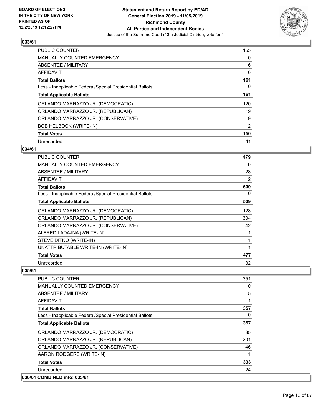

| PUBLIC COUNTER                                           | 155 |
|----------------------------------------------------------|-----|
| <b>MANUALLY COUNTED EMERGENCY</b>                        | 0   |
| ABSENTEE / MILITARY                                      | 6   |
| AFFIDAVIT                                                | 0   |
| <b>Total Ballots</b>                                     | 161 |
| Less - Inapplicable Federal/Special Presidential Ballots | 0   |
| <b>Total Applicable Ballots</b>                          | 161 |
| ORLANDO MARRAZZO JR. (DEMOCRATIC)                        | 120 |
| ORLANDO MARRAZZO JR. (REPUBLICAN)                        | 19  |
| ORLANDO MARRAZZO JR. (CONSERVATIVE)                      | 9   |
| <b>BOB HELBOCK (WRITE-IN)</b>                            | 2   |
| <b>Total Votes</b>                                       | 150 |
| Unrecorded                                               | 11  |

## **034/61**

| PUBLIC COUNTER                                           | 479 |
|----------------------------------------------------------|-----|
| <b>MANUALLY COUNTED EMERGENCY</b>                        | 0   |
| <b>ABSENTEE / MILITARY</b>                               | 28  |
| AFFIDAVIT                                                | 2   |
| <b>Total Ballots</b>                                     | 509 |
| Less - Inapplicable Federal/Special Presidential Ballots | 0   |
| <b>Total Applicable Ballots</b>                          | 509 |
| ORLANDO MARRAZZO JR. (DEMOCRATIC)                        | 128 |
| ORLANDO MARRAZZO JR. (REPUBLICAN)                        | 304 |
| ORLANDO MARRAZZO JR. (CONSERVATIVE)                      | 42  |
| ALFRED LADAJNA (WRITE-IN)                                | 1   |
| STEVE DITKO (WRITE-IN)                                   | 1   |
| UNATTRIBUTABLE WRITE-IN (WRITE-IN)                       | 1   |
| <b>Total Votes</b>                                       | 477 |
| Unrecorded                                               | 32  |

| <b>PUBLIC COUNTER</b>                                    | 351      |
|----------------------------------------------------------|----------|
| <b>MANUALLY COUNTED EMERGENCY</b>                        | 0        |
| ABSENTEE / MILITARY                                      | 5        |
| AFFIDAVIT                                                |          |
| <b>Total Ballots</b>                                     | 357      |
| Less - Inapplicable Federal/Special Presidential Ballots | $\Omega$ |
| <b>Total Applicable Ballots</b>                          | 357      |
| ORLANDO MARRAZZO JR. (DEMOCRATIC)                        | 85       |
| ORLANDO MARRAZZO JR. (REPUBLICAN)                        | 201      |
| ORLANDO MARRAZZO JR. (CONSERVATIVE)                      | 46       |
| AARON RODGERS (WRITE-IN)                                 |          |
| <b>Total Votes</b>                                       | 333      |
| Unrecorded                                               | 24       |
| 036/61 COMBINED into: 035/61                             |          |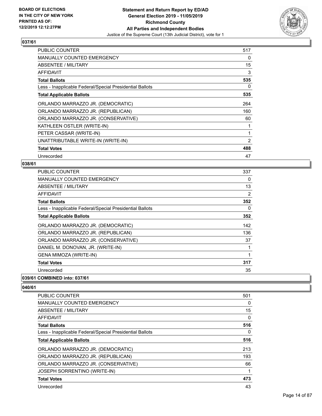

| <b>PUBLIC COUNTER</b>                                    | 517            |
|----------------------------------------------------------|----------------|
| MANUALLY COUNTED EMERGENCY                               | 0              |
| ABSENTEE / MILITARY                                      | 15             |
| AFFIDAVIT                                                | 3              |
| <b>Total Ballots</b>                                     | 535            |
| Less - Inapplicable Federal/Special Presidential Ballots | 0              |
| <b>Total Applicable Ballots</b>                          | 535            |
| ORLANDO MARRAZZO JR. (DEMOCRATIC)                        | 264            |
| ORLANDO MARRAZZO JR. (REPUBLICAN)                        | 160            |
| ORLANDO MARRAZZO JR. (CONSERVATIVE)                      | 60             |
| KATHLEEN OSTLER (WRITE-IN)                               |                |
| PETER CASSAR (WRITE-IN)                                  |                |
| UNATTRIBUTABLE WRITE-IN (WRITE-IN)                       | $\overline{2}$ |
| <b>Total Votes</b>                                       | 488            |
| Unrecorded                                               | 47             |

#### **038/61**

| <b>PUBLIC COUNTER</b>                                    | 337 |
|----------------------------------------------------------|-----|
| <b>MANUALLY COUNTED EMERGENCY</b>                        | 0   |
| ABSENTEE / MILITARY                                      | 13  |
| AFFIDAVIT                                                | 2   |
| <b>Total Ballots</b>                                     | 352 |
| Less - Inapplicable Federal/Special Presidential Ballots | 0   |
| <b>Total Applicable Ballots</b>                          | 352 |
| ORLANDO MARRAZZO JR. (DEMOCRATIC)                        | 142 |
| ORLANDO MARRAZZO JR. (REPUBLICAN)                        | 136 |
| ORLANDO MARRAZZO JR. (CONSERVATIVE)                      | 37  |
| DANIEL M. DONOVAN, JR. (WRITE-IN)                        | 1   |
| <b>GENA MIMOZA (WRITE-IN)</b>                            | 1   |
| <b>Total Votes</b>                                       | 317 |
| Unrecorded                                               | 35  |
|                                                          |     |

**039/61 COMBINED into: 037/61**

| <b>PUBLIC COUNTER</b>                                    | 501      |
|----------------------------------------------------------|----------|
| <b>MANUALLY COUNTED EMERGENCY</b>                        | 0        |
| ABSENTEE / MILITARY                                      | 15       |
| AFFIDAVIT                                                | $\Omega$ |
| <b>Total Ballots</b>                                     | 516      |
| Less - Inapplicable Federal/Special Presidential Ballots | 0        |
| <b>Total Applicable Ballots</b>                          | 516      |
| ORLANDO MARRAZZO JR. (DEMOCRATIC)                        | 213      |
| ORLANDO MARRAZZO JR. (REPUBLICAN)                        | 193      |
| ORLANDO MARRAZZO JR. (CONSERVATIVE)                      | 66       |
| <b>JOSEPH SORRENTINO (WRITE-IN)</b>                      | 1        |
| <b>Total Votes</b>                                       | 473      |
| Unrecorded                                               | 43       |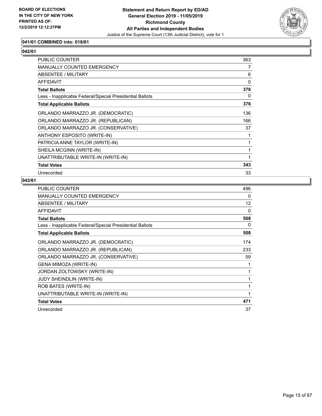

## **041/61 COMBINED into: 018/61**

## $\sqrt{042/61}$

| <b>PUBLIC COUNTER</b>                                    | 363 |
|----------------------------------------------------------|-----|
| MANUALLY COUNTED EMERGENCY                               | 7   |
| ABSENTEE / MILITARY                                      | 6   |
| <b>AFFIDAVIT</b>                                         | 0   |
| <b>Total Ballots</b>                                     | 376 |
| Less - Inapplicable Federal/Special Presidential Ballots | 0   |
| <b>Total Applicable Ballots</b>                          | 376 |
| ORLANDO MARRAZZO JR. (DEMOCRATIC)                        | 136 |
| ORLANDO MARRAZZO JR. (REPUBLICAN)                        | 166 |
| ORLANDO MARRAZZO JR. (CONSERVATIVE)                      | 37  |
| ANTHONY ESPOSITO (WRITE-IN)                              | 1   |
| PATRICIA ANNE TAYLOR (WRITE-IN)                          | 1   |
| SHEILA MCGINN (WRITE-IN)                                 | 1   |
| UNATTRIBUTABLE WRITE-IN (WRITE-IN)                       | 1   |
| <b>Total Votes</b>                                       | 343 |
| Unrecorded                                               | 33  |

| PUBLIC COUNTER                                           | 496 |
|----------------------------------------------------------|-----|
| <b>MANUALLY COUNTED EMERGENCY</b>                        | 0   |
| <b>ABSENTEE / MILITARY</b>                               | 12  |
| <b>AFFIDAVIT</b>                                         | 0   |
| <b>Total Ballots</b>                                     | 508 |
| Less - Inapplicable Federal/Special Presidential Ballots | 0   |
| <b>Total Applicable Ballots</b>                          | 508 |
| ORLANDO MARRAZZO JR. (DEMOCRATIC)                        | 174 |
| ORLANDO MARRAZZO JR. (REPUBLICAN)                        | 233 |
| ORLANDO MARRAZZO JR. (CONSERVATIVE)                      | 59  |
| GENA MIMOZA (WRITE-IN)                                   | 1   |
| JORDAN ZOLTOWSKY (WRITE-IN)                              | 1   |
| JUDY SHEINDLIN (WRITE-IN)                                | 1   |
| ROB BATES (WRITE-IN)                                     | 1   |
| UNATTRIBUTABLE WRITE-IN (WRITE-IN)                       | 1   |
| <b>Total Votes</b>                                       | 471 |
| Unrecorded                                               | 37  |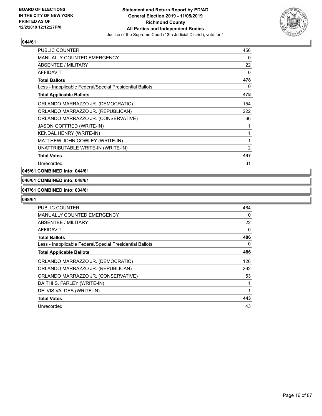

| <b>PUBLIC COUNTER</b>                                    | 456            |
|----------------------------------------------------------|----------------|
| <b>MANUALLY COUNTED EMERGENCY</b>                        | 0              |
| ABSENTEE / MILITARY                                      | 22             |
| <b>AFFIDAVIT</b>                                         | 0              |
| <b>Total Ballots</b>                                     | 478            |
| Less - Inapplicable Federal/Special Presidential Ballots | 0              |
| <b>Total Applicable Ballots</b>                          | 478            |
| ORLANDO MARRAZZO JR. (DEMOCRATIC)                        | 154            |
| ORLANDO MARRAZZO JR. (REPUBLICAN)                        | 222            |
| ORLANDO MARRAZZO JR. (CONSERVATIVE)                      | 66             |
| <b>JASON GOFFRED (WRITE-IN)</b>                          |                |
| KENDAL HENRY (WRITE-IN)                                  | 1              |
| MATTHEW JOHN COWLEY (WRITE-IN)                           | 1              |
| UNATTRIBUTABLE WRITE-IN (WRITE-IN)                       | $\overline{2}$ |
| <b>Total Votes</b>                                       | 447            |
| Unrecorded                                               | 31             |

## **045/61 COMBINED into: 044/61**

#### **046/61 COMBINED into: 048/61**

#### **047/61 COMBINED into: 034/61**

| <b>PUBLIC COUNTER</b>                                    | 464 |
|----------------------------------------------------------|-----|
| <b>MANUALLY COUNTED EMERGENCY</b>                        | 0   |
| ABSENTEE / MILITARY                                      | 22  |
| AFFIDAVIT                                                | 0   |
| <b>Total Ballots</b>                                     | 486 |
| Less - Inapplicable Federal/Special Presidential Ballots | 0   |
| <b>Total Applicable Ballots</b>                          | 486 |
| ORLANDO MARRAZZO JR. (DEMOCRATIC)                        | 126 |
| ORLANDO MARRAZZO JR. (REPUBLICAN)                        | 262 |
| ORLANDO MARRAZZO JR. (CONSERVATIVE)                      | 53  |
| DAITHI S. FARLEY (WRITE-IN)                              |     |
| DELVIS VALDES (WRITE-IN)                                 |     |
| <b>Total Votes</b>                                       | 443 |
| Unrecorded                                               | 43  |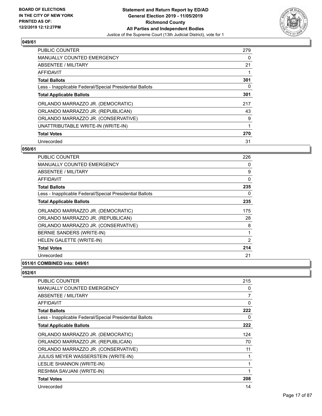

| <b>PUBLIC COUNTER</b>                                    | 279 |
|----------------------------------------------------------|-----|
| <b>MANUALLY COUNTED EMERGENCY</b>                        | 0   |
| ABSENTEE / MILITARY                                      | 21  |
| AFFIDAVIT                                                |     |
| <b>Total Ballots</b>                                     | 301 |
| Less - Inapplicable Federal/Special Presidential Ballots | 0   |
| <b>Total Applicable Ballots</b>                          | 301 |
| ORLANDO MARRAZZO JR. (DEMOCRATIC)                        | 217 |
| ORLANDO MARRAZZO JR. (REPUBLICAN)                        | 43  |
| ORLANDO MARRAZZO JR. (CONSERVATIVE)                      | 9   |
| UNATTRIBUTABLE WRITE-IN (WRITE-IN)                       | 1   |
| <b>Total Votes</b>                                       | 270 |
| Unrecorded                                               | 31  |

#### **050/61**

| PUBLIC COUNTER                                           | 226 |
|----------------------------------------------------------|-----|
| <b>MANUALLY COUNTED EMERGENCY</b>                        | 0   |
| ABSENTEE / MILITARY                                      | 9   |
| AFFIDAVIT                                                | 0   |
| <b>Total Ballots</b>                                     | 235 |
| Less - Inapplicable Federal/Special Presidential Ballots | 0   |
| <b>Total Applicable Ballots</b>                          | 235 |
| ORLANDO MARRAZZO JR. (DEMOCRATIC)                        | 175 |
| ORLANDO MARRAZZO JR. (REPUBLICAN)                        | 28  |
| ORLANDO MARRAZZO JR. (CONSERVATIVE)                      | 8   |
| BERNIE SANDERS (WRITE-IN)                                | 1   |
| HELEN GALETTE (WRITE-IN)                                 | 2   |
| <b>Total Votes</b>                                       | 214 |
| Unrecorded                                               | 21  |
| 0.01101100                                               |     |

## **051/61 COMBINED into: 049/61**

| <b>PUBLIC COUNTER</b>                                    | 215 |
|----------------------------------------------------------|-----|
| <b>MANUALLY COUNTED EMERGENCY</b>                        | 0   |
| <b>ABSENTEE / MILITARY</b>                               | 7   |
| AFFIDAVIT                                                | 0   |
| <b>Total Ballots</b>                                     | 222 |
| Less - Inapplicable Federal/Special Presidential Ballots | 0   |
| <b>Total Applicable Ballots</b>                          | 222 |
| ORLANDO MARRAZZO JR. (DEMOCRATIC)                        | 124 |
| ORLANDO MARRAZZO JR. (REPUBLICAN)                        | 70  |
| ORLANDO MARRAZZO JR. (CONSERVATIVE)                      | 11  |
| JULIUS MEYER WASSERSTEIN (WRITE-IN)                      | 1   |
| LESLIE SHANNON (WRITE-IN)                                |     |
| RESHMA SAVJANI (WRITE-IN)                                | 1   |
| <b>Total Votes</b>                                       | 208 |
| Unrecorded                                               | 14  |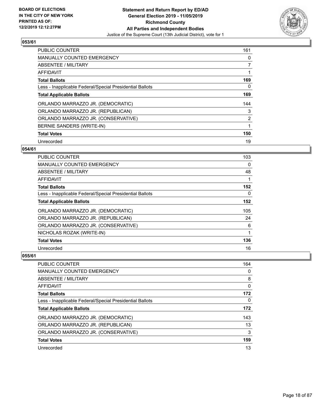

| <b>PUBLIC COUNTER</b>                                    | 161 |
|----------------------------------------------------------|-----|
| <b>MANUALLY COUNTED EMERGENCY</b>                        | 0   |
| ABSENTEE / MILITARY                                      |     |
| <b>AFFIDAVIT</b>                                         |     |
| <b>Total Ballots</b>                                     | 169 |
| Less - Inapplicable Federal/Special Presidential Ballots | 0   |
| <b>Total Applicable Ballots</b>                          | 169 |
| ORLANDO MARRAZZO JR. (DEMOCRATIC)                        | 144 |
| ORLANDO MARRAZZO JR. (REPUBLICAN)                        | 3   |
| ORLANDO MARRAZZO JR. (CONSERVATIVE)                      | 2   |
| BERNIE SANDERS (WRITE-IN)                                | 1   |
| <b>Total Votes</b>                                       | 150 |
| Unrecorded                                               | 19  |

## **054/61**

| <b>PUBLIC COUNTER</b>                                    | 103      |
|----------------------------------------------------------|----------|
| MANUALLY COUNTED EMERGENCY                               | $\Omega$ |
| ABSENTEE / MILITARY                                      | 48       |
| AFFIDAVIT                                                |          |
| <b>Total Ballots</b>                                     | 152      |
| Less - Inapplicable Federal/Special Presidential Ballots | 0        |
| <b>Total Applicable Ballots</b>                          | 152      |
| ORLANDO MARRAZZO JR. (DEMOCRATIC)                        | 105      |
| ORLANDO MARRAZZO JR. (REPUBLICAN)                        | 24       |
| ORLANDO MARRAZZO JR. (CONSERVATIVE)                      | 6        |
| NICHOLAS ROZAK (WRITE-IN)                                | 1        |
| <b>Total Votes</b>                                       | 136      |
| Unrecorded                                               | 16       |

| <b>PUBLIC COUNTER</b>                                    | 164          |
|----------------------------------------------------------|--------------|
| MANUALLY COUNTED EMERGENCY                               | 0            |
| ABSENTEE / MILITARY                                      | 8            |
| AFFIDAVIT                                                | $\mathbf{0}$ |
| <b>Total Ballots</b>                                     | 172          |
| Less - Inapplicable Federal/Special Presidential Ballots | 0            |
| <b>Total Applicable Ballots</b>                          | 172          |
| ORLANDO MARRAZZO JR. (DEMOCRATIC)                        | 143          |
| ORLANDO MARRAZZO JR. (REPUBLICAN)                        | 13           |
| ORLANDO MARRAZZO JR. (CONSERVATIVE)                      | 3            |
| <b>Total Votes</b>                                       | 159          |
| Unrecorded                                               | 13           |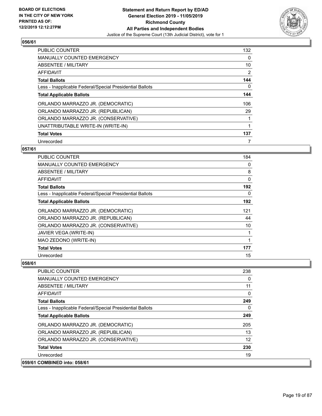

| <b>PUBLIC COUNTER</b>                                    | 132 |
|----------------------------------------------------------|-----|
| <b>MANUALLY COUNTED EMERGENCY</b>                        | 0   |
| ABSENTEE / MILITARY                                      | 10  |
| <b>AFFIDAVIT</b>                                         | 2   |
| <b>Total Ballots</b>                                     | 144 |
| Less - Inapplicable Federal/Special Presidential Ballots | 0   |
| <b>Total Applicable Ballots</b>                          | 144 |
| ORLANDO MARRAZZO JR. (DEMOCRATIC)                        | 106 |
| ORLANDO MARRAZZO JR. (REPUBLICAN)                        | 29  |
| ORLANDO MARRAZZO JR. (CONSERVATIVE)                      |     |
| UNATTRIBUTABLE WRITE-IN (WRITE-IN)                       |     |
| <b>Total Votes</b>                                       | 137 |
| Unrecorded                                               | 7   |

## **057/61**

| PUBLIC COUNTER                                           | 184 |
|----------------------------------------------------------|-----|
| <b>MANUALLY COUNTED EMERGENCY</b>                        | 0   |
| ABSENTEE / MILITARY                                      | 8   |
| AFFIDAVIT                                                | 0   |
| <b>Total Ballots</b>                                     | 192 |
| Less - Inapplicable Federal/Special Presidential Ballots | 0   |
| <b>Total Applicable Ballots</b>                          | 192 |
| ORLANDO MARRAZZO JR. (DEMOCRATIC)                        | 121 |
| ORLANDO MARRAZZO JR. (REPUBLICAN)                        | 44  |
| ORLANDO MARRAZZO JR. (CONSERVATIVE)                      | 10  |
| <b>JAVIER VEGA (WRITE-IN)</b>                            | 1   |
| MAO ZEDONO (WRITE-IN)                                    | 1   |
| <b>Total Votes</b>                                       | 177 |
| Unrecorded                                               | 15  |

## **058/61**

 $|059/61$ 

| <b>PUBLIC COUNTER</b>                                    | 238      |
|----------------------------------------------------------|----------|
| <b>MANUALLY COUNTED EMERGENCY</b>                        | $\Omega$ |
| ABSENTEE / MILITARY                                      | 11       |
| AFFIDAVIT                                                | 0        |
| <b>Total Ballots</b>                                     | 249      |
| Less - Inapplicable Federal/Special Presidential Ballots | 0        |
| <b>Total Applicable Ballots</b>                          | 249      |
| ORLANDO MARRAZZO JR. (DEMOCRATIC)                        | 205      |
| ORLANDO MARRAZZO JR. (REPUBLICAN)                        | 13       |
| ORLANDO MARRAZZO JR. (CONSERVATIVE)                      | 12       |
| <b>Total Votes</b>                                       | 230      |
| Unrecorded                                               | 19       |
| <b>COMBINED into: 058/61</b>                             |          |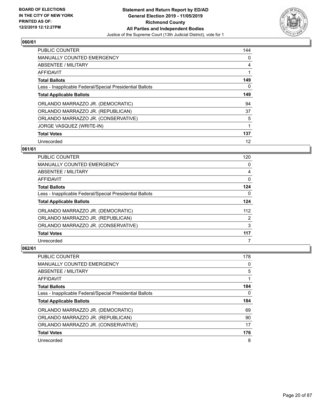

| <b>PUBLIC COUNTER</b>                                    | 144 |
|----------------------------------------------------------|-----|
| <b>MANUALLY COUNTED EMERGENCY</b>                        | 0   |
| ABSENTEE / MILITARY                                      | 4   |
| AFFIDAVIT                                                | 1   |
| <b>Total Ballots</b>                                     | 149 |
| Less - Inapplicable Federal/Special Presidential Ballots | 0   |
| <b>Total Applicable Ballots</b>                          | 149 |
| ORLANDO MARRAZZO JR. (DEMOCRATIC)                        | 94  |
| ORLANDO MARRAZZO JR. (REPUBLICAN)                        | 37  |
| ORLANDO MARRAZZO JR. (CONSERVATIVE)                      | 5   |
| JORGE VASQUEZ (WRITE-IN)                                 | 1   |
| <b>Total Votes</b>                                       | 137 |
| Unrecorded                                               | 12  |

## **061/61**

| <b>PUBLIC COUNTER</b>                                    | 120      |
|----------------------------------------------------------|----------|
| <b>MANUALLY COUNTED EMERGENCY</b>                        | 0        |
| ABSENTEE / MILITARY                                      | 4        |
| AFFIDAVIT                                                | $\Omega$ |
| <b>Total Ballots</b>                                     | 124      |
| Less - Inapplicable Federal/Special Presidential Ballots | 0        |
| <b>Total Applicable Ballots</b>                          | 124      |
| ORLANDO MARRAZZO JR. (DEMOCRATIC)                        | 112      |
| ORLANDO MARRAZZO JR. (REPUBLICAN)                        | 2        |
| ORLANDO MARRAZZO JR. (CONSERVATIVE)                      | 3        |
| <b>Total Votes</b>                                       | 117      |
| Unrecorded                                               |          |

| PUBLIC COUNTER                                           | 178 |
|----------------------------------------------------------|-----|
| <b>MANUALLY COUNTED EMERGENCY</b>                        | 0   |
| ABSENTEE / MILITARY                                      | 5   |
| AFFIDAVIT                                                |     |
| <b>Total Ballots</b>                                     | 184 |
| Less - Inapplicable Federal/Special Presidential Ballots | 0   |
|                                                          |     |
| <b>Total Applicable Ballots</b>                          | 184 |
| ORLANDO MARRAZZO JR. (DEMOCRATIC)                        | 69  |
| ORLANDO MARRAZZO JR. (REPUBLICAN)                        | 90  |
| ORLANDO MARRAZZO JR. (CONSERVATIVE)                      | 17  |
| <b>Total Votes</b>                                       | 176 |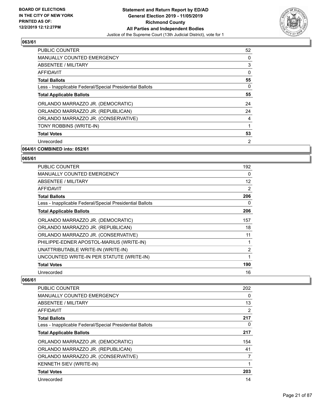

| <b>PUBLIC COUNTER</b>                                    | 52 |
|----------------------------------------------------------|----|
| <b>MANUALLY COUNTED EMERGENCY</b>                        | 0  |
| ABSENTEE / MILITARY                                      | 3  |
| <b>AFFIDAVIT</b>                                         | 0  |
| <b>Total Ballots</b>                                     | 55 |
| Less - Inapplicable Federal/Special Presidential Ballots | 0  |
| <b>Total Applicable Ballots</b>                          | 55 |
| ORLANDO MARRAZZO JR. (DEMOCRATIC)                        | 24 |
| ORLANDO MARRAZZO JR. (REPUBLICAN)                        | 24 |
| ORLANDO MARRAZZO JR. (CONSERVATIVE)                      | 4  |
| TONY ROBBINS (WRITE-IN)                                  | 1  |
| <b>Total Votes</b>                                       | 53 |
| Unrecorded                                               | 2  |
|                                                          |    |

#### **064/61 COMBINED into: 052/61**

#### **065/61**

| <b>PUBLIC COUNTER</b>                                    | 192            |
|----------------------------------------------------------|----------------|
| <b>MANUALLY COUNTED EMERGENCY</b>                        | 0              |
| ABSENTEE / MILITARY                                      | 12             |
| AFFIDAVIT                                                | 2              |
| <b>Total Ballots</b>                                     | 206            |
| Less - Inapplicable Federal/Special Presidential Ballots | 0              |
| <b>Total Applicable Ballots</b>                          | 206            |
| ORLANDO MARRAZZO JR. (DEMOCRATIC)                        | 157            |
| ORLANDO MARRAZZO JR. (REPUBLICAN)                        | 18             |
| ORLANDO MARRAZZO JR. (CONSERVATIVE)                      | 11             |
| PHILIPPE-EDNER APOSTOL-MARIUS (WRITE-IN)                 |                |
| UNATTRIBUTABLE WRITE-IN (WRITE-IN)                       | $\overline{2}$ |
| UNCOUNTED WRITE-IN PER STATUTE (WRITE-IN)                | 1              |
| <b>Total Votes</b>                                       | 190            |
| Unrecorded                                               | 16             |

| <b>PUBLIC COUNTER</b>                                    | 202            |
|----------------------------------------------------------|----------------|
| <b>MANUALLY COUNTED EMERGENCY</b>                        | 0              |
| ABSENTEE / MILITARY                                      | 13             |
| AFFIDAVIT                                                | $\overline{2}$ |
| <b>Total Ballots</b>                                     | 217            |
| Less - Inapplicable Federal/Special Presidential Ballots | 0              |
| <b>Total Applicable Ballots</b>                          | 217            |
| ORLANDO MARRAZZO JR. (DEMOCRATIC)                        | 154            |
| ORLANDO MARRAZZO JR. (REPUBLICAN)                        | 41             |
| ORLANDO MARRAZZO JR. (CONSERVATIVE)                      | 7              |
| <b>KENNETH SIEV (WRITE-IN)</b>                           | 1              |
| <b>Total Votes</b>                                       | 203            |
| Unrecorded                                               | 14             |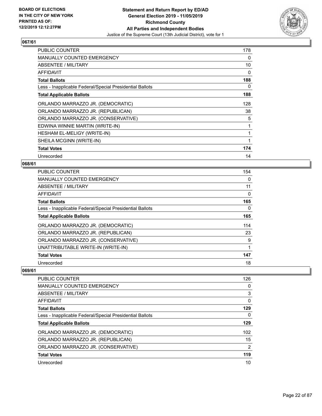

| <b>PUBLIC COUNTER</b>                                    | 178      |
|----------------------------------------------------------|----------|
| <b>MANUALLY COUNTED EMERGENCY</b>                        | 0        |
| ABSENTEE / MILITARY                                      | 10       |
| <b>AFFIDAVIT</b>                                         | $\Omega$ |
| <b>Total Ballots</b>                                     | 188      |
| Less - Inapplicable Federal/Special Presidential Ballots | 0        |
| <b>Total Applicable Ballots</b>                          | 188      |
| ORLANDO MARRAZZO JR. (DEMOCRATIC)                        | 128      |
| ORLANDO MARRAZZO JR. (REPUBLICAN)                        | 38       |
| ORLANDO MARRAZZO JR. (CONSERVATIVE)                      | 5        |
| EDWINA WINNIE MARTIN (WRITE-IN)                          | 1        |
| HESHAM EL-MELIGY (WRITE-IN)                              |          |
| SHEILA MCGINN (WRITE-IN)                                 | 1        |
| <b>Total Votes</b>                                       | 174      |
| Unrecorded                                               | 14       |

#### **068/61**

| <b>PUBLIC COUNTER</b>                                    | 154 |
|----------------------------------------------------------|-----|
| <b>MANUALLY COUNTED EMERGENCY</b>                        | 0   |
| ABSENTEE / MILITARY                                      | 11  |
| AFFIDAVIT                                                | 0   |
| <b>Total Ballots</b>                                     | 165 |
| Less - Inapplicable Federal/Special Presidential Ballots | 0   |
| <b>Total Applicable Ballots</b>                          | 165 |
| ORLANDO MARRAZZO JR. (DEMOCRATIC)                        | 114 |
| ORLANDO MARRAZZO JR. (REPUBLICAN)                        | 23  |
| ORLANDO MARRAZZO JR. (CONSERVATIVE)                      | 9   |
| UNATTRIBUTABLE WRITE-IN (WRITE-IN)                       | 1   |
| <b>Total Votes</b>                                       | 147 |
| Unrecorded                                               | 18  |

| <b>PUBLIC COUNTER</b>                                    | 126            |
|----------------------------------------------------------|----------------|
| MANUALLY COUNTED EMERGENCY                               | 0              |
| ABSENTEE / MILITARY                                      | 3              |
| AFFIDAVIT                                                | 0              |
| <b>Total Ballots</b>                                     | 129            |
| Less - Inapplicable Federal/Special Presidential Ballots | 0              |
| <b>Total Applicable Ballots</b>                          | 129            |
| ORLANDO MARRAZZO JR. (DEMOCRATIC)                        | 102            |
| ORLANDO MARRAZZO JR. (REPUBLICAN)                        | 15             |
| ORLANDO MARRAZZO JR. (CONSERVATIVE)                      | $\overline{2}$ |
| <b>Total Votes</b>                                       | 119            |
| Unrecorded                                               | 10             |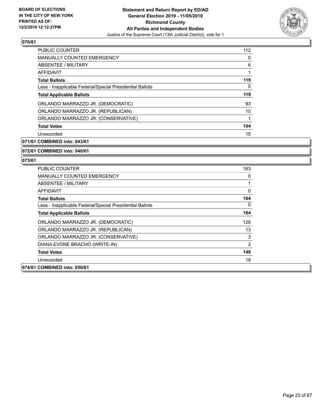

| <b>PUBLIC COUNTER</b>                                    | 112 |
|----------------------------------------------------------|-----|
| <b>MANUALLY COUNTED EMERGENCY</b>                        | 0   |
| ABSENTEE / MILITARY                                      | 6   |
| <b>AFFIDAVIT</b>                                         |     |
| <b>Total Ballots</b>                                     | 119 |
| Less - Inapplicable Federal/Special Presidential Ballots | 0   |
| <b>Total Applicable Ballots</b>                          | 119 |
| ORLANDO MARRAZZO JR. (DEMOCRATIC)                        | 93  |
| ORLANDO MARRAZZO JR. (REPUBLICAN)                        | 10  |
| ORLANDO MARRAZZO JR. (CONSERVATIVE)                      | 1   |
| <b>Total Votes</b>                                       | 104 |
| Unrecorded                                               | 15  |

**071/61 COMBINED into: 043/61**

**072/61 COMBINED into: 040/61**

| PUBLIC COUNTER                                           | 163 |
|----------------------------------------------------------|-----|
| <b>MANUALLY COUNTED EMERGENCY</b>                        | 0   |
| ABSENTEE / MILITARY                                      |     |
| AFFIDAVIT                                                | 0   |
| <b>Total Ballots</b>                                     | 164 |
| Less - Inapplicable Federal/Special Presidential Ballots | 0   |
| <b>Total Applicable Ballots</b>                          | 164 |
| ORLANDO MARRAZZO JR. (DEMOCRATIC)                        | 128 |
| ORLANDO MARRAZZO JR. (REPUBLICAN)                        | 13  |
| ORLANDO MARRAZZO JR. (CONSERVATIVE)                      | 3   |
| DIANA EVONE BRACHO (WRITE-IN)                            | 2   |
| <b>Total Votes</b>                                       | 146 |
| Unrecorded                                               | 18  |
| 074/61 COMBINED into: 050/61                             |     |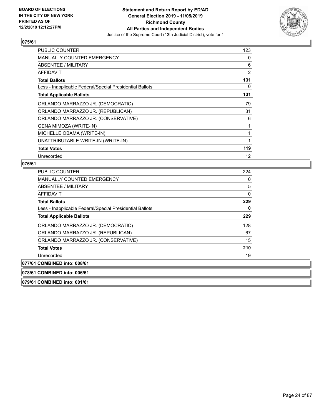

| <b>PUBLIC COUNTER</b>                                    | 123 |
|----------------------------------------------------------|-----|
| <b>MANUALLY COUNTED EMERGENCY</b>                        | 0   |
| ABSENTEE / MILITARY                                      | 6   |
| AFFIDAVIT                                                | 2   |
| <b>Total Ballots</b>                                     | 131 |
| Less - Inapplicable Federal/Special Presidential Ballots | 0   |
| <b>Total Applicable Ballots</b>                          | 131 |
| ORLANDO MARRAZZO JR. (DEMOCRATIC)                        | 79  |
| ORLANDO MARRAZZO JR. (REPUBLICAN)                        | 31  |
| ORLANDO MARRAZZO JR. (CONSERVATIVE)                      | 6   |
| GENA MIMOZA (WRITE-IN)                                   | 1   |
| MICHELLE OBAMA (WRITE-IN)                                | 1   |
| UNATTRIBUTABLE WRITE-IN (WRITE-IN)                       | 1   |
| <b>Total Votes</b>                                       | 119 |
| Unrecorded                                               | 12  |

#### **076/61**

| <b>PUBLIC COUNTER</b>                                    | 224 |
|----------------------------------------------------------|-----|
| <b>MANUALLY COUNTED EMERGENCY</b>                        | 0   |
| ABSENTEE / MILITARY                                      | 5   |
| AFFIDAVIT                                                | 0   |
| <b>Total Ballots</b>                                     | 229 |
| Less - Inapplicable Federal/Special Presidential Ballots | 0   |
| <b>Total Applicable Ballots</b>                          | 229 |
| ORLANDO MARRAZZO JR. (DEMOCRATIC)                        | 128 |
| ORLANDO MARRAZZO JR. (REPUBLICAN)                        | 67  |
| ORLANDO MARRAZZO JR. (CONSERVATIVE)                      | 15  |
| <b>Total Votes</b>                                       | 210 |
| Unrecorded                                               | 19  |
| 077/61 COMBINED into: 008/61                             |     |
| 078/61 COMBINED into: 006/61                             |     |

**079/61 COMBINED into: 001/61**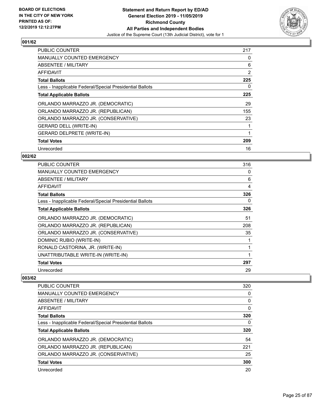

| <b>PUBLIC COUNTER</b>                                    | 217 |
|----------------------------------------------------------|-----|
| <b>MANUALLY COUNTED EMERGENCY</b>                        | 0   |
| <b>ABSENTEE / MILITARY</b>                               | 6   |
| AFFIDAVIT                                                | 2   |
| <b>Total Ballots</b>                                     | 225 |
| Less - Inapplicable Federal/Special Presidential Ballots | 0   |
| <b>Total Applicable Ballots</b>                          | 225 |
| ORLANDO MARRAZZO JR. (DEMOCRATIC)                        | 29  |
| ORLANDO MARRAZZO JR. (REPUBLICAN)                        | 155 |
| ORLANDO MARRAZZO JR. (CONSERVATIVE)                      | 23  |
| <b>GERARD DELL (WRITE-IN)</b>                            | 1   |
| <b>GERARD DELPRETE (WRITE-IN)</b>                        | 1   |
| <b>Total Votes</b>                                       | 209 |
| Unrecorded                                               | 16  |

## **002/62**

| <b>PUBLIC COUNTER</b>                                    | 316 |
|----------------------------------------------------------|-----|
| <b>MANUALLY COUNTED EMERGENCY</b>                        | 0   |
| ABSENTEE / MILITARY                                      | 6   |
| AFFIDAVIT                                                | 4   |
| <b>Total Ballots</b>                                     | 326 |
| Less - Inapplicable Federal/Special Presidential Ballots | 0   |
| <b>Total Applicable Ballots</b>                          | 326 |
| ORLANDO MARRAZZO JR. (DEMOCRATIC)                        | 51  |
| ORLANDO MARRAZZO JR. (REPUBLICAN)                        | 208 |
| ORLANDO MARRAZZO JR. (CONSERVATIVE)                      | 35  |
| DOMINIC RUBIO (WRITE-IN)                                 |     |
| RONALD CASTORINA, JR. (WRITE-IN)                         |     |
| UNATTRIBUTABLE WRITE-IN (WRITE-IN)                       |     |
| <b>Total Votes</b>                                       | 297 |
| Unrecorded                                               | 29  |

| <b>PUBLIC COUNTER</b>                                    | 320 |
|----------------------------------------------------------|-----|
| MANUALLY COUNTED EMERGENCY                               | 0   |
| ABSENTEE / MILITARY                                      | 0   |
| AFFIDAVIT                                                | 0   |
| <b>Total Ballots</b>                                     | 320 |
| Less - Inapplicable Federal/Special Presidential Ballots | 0   |
| <b>Total Applicable Ballots</b>                          | 320 |
| ORLANDO MARRAZZO JR. (DEMOCRATIC)                        | 54  |
| ORLANDO MARRAZZO JR. (REPUBLICAN)                        | 221 |
| ORLANDO MARRAZZO JR. (CONSERVATIVE)                      | 25  |
| <b>Total Votes</b>                                       | 300 |
| Unrecorded                                               | 20  |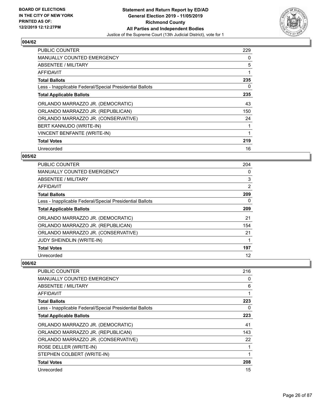

| <b>PUBLIC COUNTER</b>                                    | 229 |
|----------------------------------------------------------|-----|
| <b>MANUALLY COUNTED EMERGENCY</b>                        | 0   |
| <b>ABSENTEE / MILITARY</b>                               | 5   |
| <b>AFFIDAVIT</b>                                         | 1   |
| <b>Total Ballots</b>                                     | 235 |
| Less - Inapplicable Federal/Special Presidential Ballots | 0   |
| <b>Total Applicable Ballots</b>                          | 235 |
| ORLANDO MARRAZZO JR. (DEMOCRATIC)                        | 43  |
| ORLANDO MARRAZZO JR. (REPUBLICAN)                        | 150 |
| ORLANDO MARRAZZO JR. (CONSERVATIVE)                      | 24  |
| BERT KANNUDO (WRITE-IN)                                  | 1   |
| <b>VINCENT BENFANTE (WRITE-IN)</b>                       | 1   |
| <b>Total Votes</b>                                       | 219 |
| Unrecorded                                               | 16  |

## **005/62**

| PUBLIC COUNTER                                           | 204 |
|----------------------------------------------------------|-----|
| <b>MANUALLY COUNTED EMERGENCY</b>                        | 0   |
| ABSENTEE / MILITARY                                      | 3   |
| AFFIDAVIT                                                | 2   |
| <b>Total Ballots</b>                                     | 209 |
| Less - Inapplicable Federal/Special Presidential Ballots | 0   |
| <b>Total Applicable Ballots</b>                          | 209 |
| ORLANDO MARRAZZO JR. (DEMOCRATIC)                        | 21  |
| ORLANDO MARRAZZO JR. (REPUBLICAN)                        | 154 |
| ORLANDO MARRAZZO JR. (CONSERVATIVE)                      | 21  |
| JUDY SHEINDLIN (WRITE-IN)                                |     |
| <b>Total Votes</b>                                       | 197 |
| Unrecorded                                               | 12  |

| <b>PUBLIC COUNTER</b>                                    | 216 |
|----------------------------------------------------------|-----|
| <b>MANUALLY COUNTED EMERGENCY</b>                        | 0   |
| ABSENTEE / MILITARY                                      | 6   |
| AFFIDAVIT                                                |     |
| <b>Total Ballots</b>                                     | 223 |
| Less - Inapplicable Federal/Special Presidential Ballots | 0   |
| <b>Total Applicable Ballots</b>                          | 223 |
| ORLANDO MARRAZZO JR. (DEMOCRATIC)                        | 41  |
| ORLANDO MARRAZZO JR. (REPUBLICAN)                        | 143 |
| ORLANDO MARRAZZO JR. (CONSERVATIVE)                      | 22  |
| ROSE DELLER (WRITE-IN)                                   |     |
| STEPHEN COLBERT (WRITE-IN)                               |     |
| <b>Total Votes</b>                                       | 208 |
| Unrecorded                                               | 15  |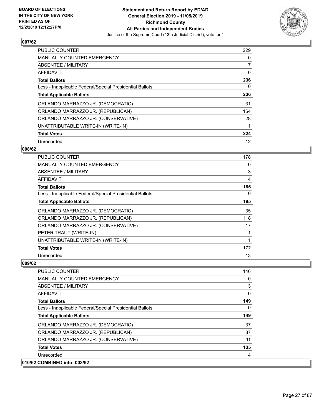

| <b>PUBLIC COUNTER</b>                                    | 229 |
|----------------------------------------------------------|-----|
| <b>MANUALLY COUNTED EMERGENCY</b>                        | 0   |
| ABSENTEE / MILITARY                                      | 7   |
| <b>AFFIDAVIT</b>                                         | 0   |
| <b>Total Ballots</b>                                     | 236 |
| Less - Inapplicable Federal/Special Presidential Ballots | 0   |
| <b>Total Applicable Ballots</b>                          | 236 |
| ORLANDO MARRAZZO JR. (DEMOCRATIC)                        | 31  |
| ORLANDO MARRAZZO JR. (REPUBLICAN)                        | 164 |
| ORLANDO MARRAZZO JR. (CONSERVATIVE)                      | 28  |
| UNATTRIBUTABLE WRITE-IN (WRITE-IN)                       | 1   |
| <b>Total Votes</b>                                       | 224 |
| Unrecorded                                               | 12  |

## **008/62**

| PUBLIC COUNTER                                           | 178 |
|----------------------------------------------------------|-----|
| <b>MANUALLY COUNTED EMERGENCY</b>                        | 0   |
| ABSENTEE / MILITARY                                      | 3   |
| <b>AFFIDAVIT</b>                                         | 4   |
| <b>Total Ballots</b>                                     | 185 |
| Less - Inapplicable Federal/Special Presidential Ballots | 0   |
| <b>Total Applicable Ballots</b>                          | 185 |
| ORLANDO MARRAZZO JR. (DEMOCRATIC)                        | 35  |
| ORLANDO MARRAZZO JR. (REPUBLICAN)                        | 118 |
| ORLANDO MARRAZZO JR. (CONSERVATIVE)                      | 17  |
| PETER TRAUT (WRITE-IN)                                   | 1   |
| UNATTRIBUTABLE WRITE-IN (WRITE-IN)                       | 1   |
| <b>Total Votes</b>                                       | 172 |
| Unrecorded                                               | 13  |

| <b>PUBLIC COUNTER</b>                                    | 146 |
|----------------------------------------------------------|-----|
| <b>MANUALLY COUNTED EMERGENCY</b>                        | 0   |
| ABSENTEE / MILITARY                                      | 3   |
| AFFIDAVIT                                                | 0   |
| <b>Total Ballots</b>                                     | 149 |
| Less - Inapplicable Federal/Special Presidential Ballots | 0   |
| <b>Total Applicable Ballots</b>                          | 149 |
| ORLANDO MARRAZZO JR. (DEMOCRATIC)                        | 37  |
| ORLANDO MARRAZZO JR. (REPUBLICAN)                        | 87  |
| ORLANDO MARRAZZO JR. (CONSERVATIVE)                      | 11  |
| <b>Total Votes</b>                                       | 135 |
| Unrecorded                                               | 14  |
| 010/62 COMBINED into: 003/62                             |     |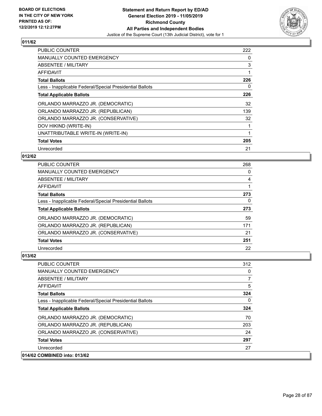

| <b>PUBLIC COUNTER</b>                                    | 222 |
|----------------------------------------------------------|-----|
| <b>MANUALLY COUNTED EMERGENCY</b>                        | 0   |
| <b>ABSENTEE / MILITARY</b>                               | 3   |
| AFFIDAVIT                                                |     |
| <b>Total Ballots</b>                                     | 226 |
| Less - Inapplicable Federal/Special Presidential Ballots | 0   |
| <b>Total Applicable Ballots</b>                          | 226 |
| ORLANDO MARRAZZO JR. (DEMOCRATIC)                        | 32  |
| ORLANDO MARRAZZO JR. (REPUBLICAN)                        | 139 |
| ORLANDO MARRAZZO JR. (CONSERVATIVE)                      | 32  |
| DOV HIKIND (WRITE-IN)                                    |     |
| UNATTRIBUTABLE WRITE-IN (WRITE-IN)                       |     |
| <b>Total Votes</b>                                       | 205 |
| Unrecorded                                               | 21  |

## **012/62**

| <b>PUBLIC COUNTER</b>                                    | 268 |
|----------------------------------------------------------|-----|
| <b>MANUALLY COUNTED EMERGENCY</b>                        | 0   |
| ABSENTEE / MILITARY                                      | 4   |
| <b>AFFIDAVIT</b>                                         |     |
| <b>Total Ballots</b>                                     | 273 |
| Less - Inapplicable Federal/Special Presidential Ballots | 0   |
| <b>Total Applicable Ballots</b>                          | 273 |
| ORLANDO MARRAZZO JR. (DEMOCRATIC)                        | 59  |
| ORLANDO MARRAZZO JR. (REPUBLICAN)                        | 171 |
| ORLANDO MARRAZZO JR. (CONSERVATIVE)                      | 21  |
| <b>Total Votes</b>                                       | 251 |
| Unrecorded                                               | 22  |

| <b>PUBLIC COUNTER</b>                                    | 312 |
|----------------------------------------------------------|-----|
| <b>MANUALLY COUNTED EMERGENCY</b>                        | 0   |
| ABSENTEE / MILITARY                                      | 7   |
| AFFIDAVIT                                                | 5   |
| <b>Total Ballots</b>                                     | 324 |
| Less - Inapplicable Federal/Special Presidential Ballots | 0   |
| <b>Total Applicable Ballots</b>                          | 324 |
| ORLANDO MARRAZZO JR. (DEMOCRATIC)                        | 70  |
| ORLANDO MARRAZZO JR. (REPUBLICAN)                        | 203 |
| ORLANDO MARRAZZO JR. (CONSERVATIVE)                      | 24  |
| <b>Total Votes</b>                                       | 297 |
| Unrecorded                                               | 27  |
| 014/62 COMBINED into: 013/62                             |     |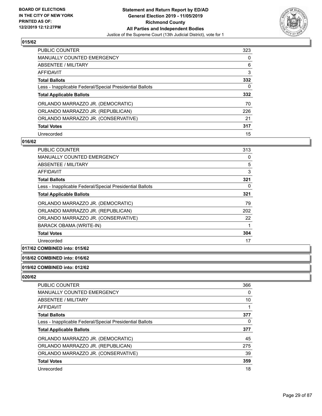

| <b>PUBLIC COUNTER</b>                                    | 323 |
|----------------------------------------------------------|-----|
| <b>MANUALLY COUNTED EMERGENCY</b>                        | 0   |
| ABSENTEE / MILITARY                                      | 6   |
| AFFIDAVIT                                                | 3   |
| <b>Total Ballots</b>                                     | 332 |
| Less - Inapplicable Federal/Special Presidential Ballots | 0   |
|                                                          |     |
| <b>Total Applicable Ballots</b>                          | 332 |
| ORLANDO MARRAZZO JR. (DEMOCRATIC)                        | 70  |
| ORLANDO MARRAZZO JR. (REPUBLICAN)                        | 226 |
| ORLANDO MARRAZZO JR. (CONSERVATIVE)                      | 21  |
| <b>Total Votes</b>                                       | 317 |

#### **016/62**

| <b>PUBLIC COUNTER</b>                                    | 313 |
|----------------------------------------------------------|-----|
| <b>MANUALLY COUNTED EMERGENCY</b>                        | 0   |
| ABSENTEE / MILITARY                                      | 5   |
| AFFIDAVIT                                                | 3   |
| <b>Total Ballots</b>                                     | 321 |
| Less - Inapplicable Federal/Special Presidential Ballots | 0   |
| <b>Total Applicable Ballots</b>                          | 321 |
| ORLANDO MARRAZZO JR. (DEMOCRATIC)                        | 79  |
| ORLANDO MARRAZZO JR. (REPUBLICAN)                        | 202 |
| ORLANDO MARRAZZO JR. (CONSERVATIVE)                      | 22  |
| BARACK OBAMA (WRITE-IN)                                  | 1   |
| <b>Total Votes</b>                                       | 304 |
| Unrecorded                                               | 17  |

## **017/62 COMBINED into: 015/62**

#### **018/62 COMBINED into: 016/62**

**019/62 COMBINED into: 012/62**

| <b>PUBLIC COUNTER</b>                                    | 366 |
|----------------------------------------------------------|-----|
| <b>MANUALLY COUNTED EMERGENCY</b>                        | 0   |
| <b>ABSENTEE / MILITARY</b>                               | 10  |
| <b>AFFIDAVIT</b>                                         |     |
| <b>Total Ballots</b>                                     | 377 |
| Less - Inapplicable Federal/Special Presidential Ballots | 0   |
| <b>Total Applicable Ballots</b>                          | 377 |
| ORLANDO MARRAZZO JR. (DEMOCRATIC)                        | 45  |
| ORLANDO MARRAZZO JR. (REPUBLICAN)                        | 275 |
| ORLANDO MARRAZZO JR. (CONSERVATIVE)                      | 39  |
| <b>Total Votes</b>                                       | 359 |
| Unrecorded                                               | 18  |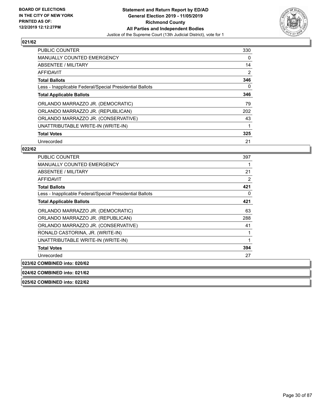

| <b>PUBLIC COUNTER</b>                                    | 330 |
|----------------------------------------------------------|-----|
| <b>MANUALLY COUNTED EMERGENCY</b>                        | 0   |
| ABSENTEE / MILITARY                                      | 14  |
| <b>AFFIDAVIT</b>                                         | 2   |
| <b>Total Ballots</b>                                     | 346 |
| Less - Inapplicable Federal/Special Presidential Ballots | 0   |
| <b>Total Applicable Ballots</b>                          | 346 |
| ORLANDO MARRAZZO JR. (DEMOCRATIC)                        | 79  |
| ORLANDO MARRAZZO JR. (REPUBLICAN)                        | 202 |
| ORLANDO MARRAZZO JR. (CONSERVATIVE)                      | 43  |
| UNATTRIBUTABLE WRITE-IN (WRITE-IN)                       | 1   |
| <b>Total Votes</b>                                       | 325 |
| Unrecorded                                               | 21  |

| <b>PUBLIC COUNTER</b>                                    | 397 |
|----------------------------------------------------------|-----|
| <b>MANUALLY COUNTED EMERGENCY</b>                        | 1   |
| ABSENTEE / MILITARY                                      | 21  |
| <b>AFFIDAVIT</b>                                         | 2   |
| <b>Total Ballots</b>                                     | 421 |
| Less - Inapplicable Federal/Special Presidential Ballots | 0   |
| <b>Total Applicable Ballots</b>                          | 421 |
| ORLANDO MARRAZZO JR. (DEMOCRATIC)                        | 63  |
| ORLANDO MARRAZZO JR. (REPUBLICAN)                        | 288 |
| ORLANDO MARRAZZO JR. (CONSERVATIVE)                      | 41  |
| RONALD CASTORINA, JR. (WRITE-IN)                         | 1   |
| UNATTRIBUTABLE WRITE-IN (WRITE-IN)                       | 1   |
| <b>Total Votes</b>                                       | 394 |
| Unrecorded                                               | 27  |
| 023/62 COMBINED into: 020/62                             |     |
| 024/62 COMBINED into: 021/62                             |     |
| 025/62 COMBINED into: 022/62                             |     |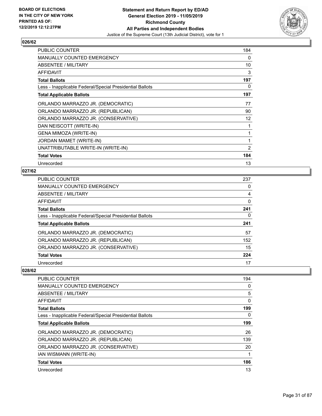

| <b>PUBLIC COUNTER</b>                                    | 184 |
|----------------------------------------------------------|-----|
| <b>MANUALLY COUNTED EMERGENCY</b>                        | 0   |
| ABSENTEE / MILITARY                                      | 10  |
| AFFIDAVIT                                                | 3   |
| <b>Total Ballots</b>                                     | 197 |
| Less - Inapplicable Federal/Special Presidential Ballots | 0   |
| <b>Total Applicable Ballots</b>                          | 197 |
| ORLANDO MARRAZZO JR. (DEMOCRATIC)                        | 77  |
| ORLANDO MARRAZZO JR. (REPUBLICAN)                        | 90  |
| ORLANDO MARRAZZO JR. (CONSERVATIVE)                      | 12  |
| DAN NEISCOTT (WRITE-IN)                                  |     |
| GENA MIMOZA (WRITE-IN)                                   | 1   |
| JORDAN MAMET (WRITE-IN)                                  | 1   |
| UNATTRIBUTABLE WRITE-IN (WRITE-IN)                       | 2   |
| <b>Total Votes</b>                                       | 184 |
| Unrecorded                                               | 13  |

## **027/62**

| <b>PUBLIC COUNTER</b>                                    | 237 |
|----------------------------------------------------------|-----|
| MANUALLY COUNTED EMERGENCY                               | 0   |
| ABSENTEE / MILITARY                                      | 4   |
| AFFIDAVIT                                                | 0   |
| <b>Total Ballots</b>                                     | 241 |
| Less - Inapplicable Federal/Special Presidential Ballots | 0   |
| <b>Total Applicable Ballots</b>                          | 241 |
| ORLANDO MARRAZZO JR. (DEMOCRATIC)                        | 57  |
| ORLANDO MARRAZZO JR. (REPUBLICAN)                        | 152 |
| ORLANDO MARRAZZO JR. (CONSERVATIVE)                      | 15  |
| <b>Total Votes</b>                                       | 224 |
| Unrecorded                                               | 17  |

| <b>PUBLIC COUNTER</b>                                    | 194 |
|----------------------------------------------------------|-----|
| <b>MANUALLY COUNTED EMERGENCY</b>                        | 0   |
| ABSENTEE / MILITARY                                      | 5   |
| AFFIDAVIT                                                | 0   |
| <b>Total Ballots</b>                                     | 199 |
| Less - Inapplicable Federal/Special Presidential Ballots | 0   |
| <b>Total Applicable Ballots</b>                          | 199 |
| ORLANDO MARRAZZO JR. (DEMOCRATIC)                        | 26  |
| ORLANDO MARRAZZO JR. (REPUBLICAN)                        | 139 |
| ORLANDO MARRAZZO JR. (CONSERVATIVE)                      | 20  |
| IAN WISMANN (WRITE-IN)                                   |     |
| <b>Total Votes</b>                                       | 186 |
| Unrecorded                                               | 13  |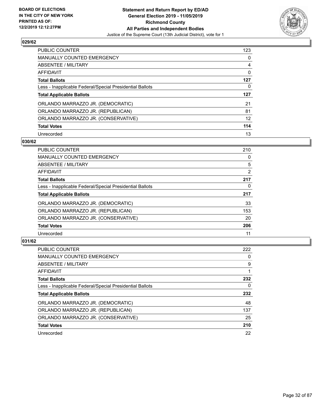

| <b>PUBLIC COUNTER</b>                                    | 123 |
|----------------------------------------------------------|-----|
| <b>MANUALLY COUNTED EMERGENCY</b>                        | 0   |
| ABSENTEE / MILITARY                                      | 4   |
| AFFIDAVIT                                                | 0   |
| <b>Total Ballots</b>                                     | 127 |
| Less - Inapplicable Federal/Special Presidential Ballots | 0   |
|                                                          |     |
| <b>Total Applicable Ballots</b>                          | 127 |
| ORLANDO MARRAZZO JR. (DEMOCRATIC)                        | 21  |
| ORLANDO MARRAZZO JR. (REPUBLICAN)                        | 81  |
| ORLANDO MARRAZZO JR. (CONSERVATIVE)                      | 12  |
| <b>Total Votes</b>                                       | 114 |

#### **030/62**

| <b>PUBLIC COUNTER</b>                                    | 210 |
|----------------------------------------------------------|-----|
| <b>MANUALLY COUNTED EMERGENCY</b>                        | 0   |
| ABSENTEE / MILITARY                                      | 5   |
| <b>AFFIDAVIT</b>                                         | 2   |
| <b>Total Ballots</b>                                     | 217 |
| Less - Inapplicable Federal/Special Presidential Ballots | 0   |
| <b>Total Applicable Ballots</b>                          | 217 |
| ORLANDO MARRAZZO JR. (DEMOCRATIC)                        | 33  |
| ORLANDO MARRAZZO JR. (REPUBLICAN)                        | 153 |
| ORLANDO MARRAZZO JR. (CONSERVATIVE)                      | 20  |
| <b>Total Votes</b>                                       | 206 |
| Unrecorded                                               | 11  |

| <b>PUBLIC COUNTER</b>                                    | 222 |
|----------------------------------------------------------|-----|
| <b>MANUALLY COUNTED EMERGENCY</b>                        | 0   |
| ABSENTEE / MILITARY                                      | 9   |
| <b>AFFIDAVIT</b>                                         |     |
| <b>Total Ballots</b>                                     | 232 |
| Less - Inapplicable Federal/Special Presidential Ballots | 0   |
| <b>Total Applicable Ballots</b>                          | 232 |
| ORLANDO MARRAZZO JR. (DEMOCRATIC)                        | 48  |
| ORLANDO MARRAZZO JR. (REPUBLICAN)                        | 137 |
| ORLANDO MARRAZZO JR. (CONSERVATIVE)                      | 25  |
| <b>Total Votes</b>                                       | 210 |
| Unrecorded                                               | 22  |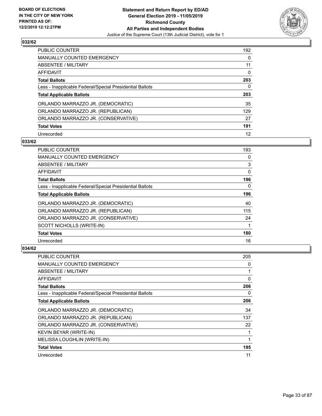

| <b>PUBLIC COUNTER</b>                                    | 192      |
|----------------------------------------------------------|----------|
| <b>MANUALLY COUNTED EMERGENCY</b>                        | $\Omega$ |
| ABSENTEE / MILITARY                                      | 11       |
| AFFIDAVIT                                                | 0        |
| <b>Total Ballots</b>                                     | 203      |
| Less - Inapplicable Federal/Special Presidential Ballots | 0        |
| <b>Total Applicable Ballots</b>                          | 203      |
| ORLANDO MARRAZZO JR. (DEMOCRATIC)                        | 35       |
| ORLANDO MARRAZZO JR. (REPUBLICAN)                        | 129      |
| ORLANDO MARRAZZO JR. (CONSERVATIVE)                      | 27       |
| <b>Total Votes</b>                                       | 191      |
| Unrecorded                                               | 12       |

#### **033/62**

| <b>PUBLIC COUNTER</b>                                    | 193      |
|----------------------------------------------------------|----------|
| <b>MANUALLY COUNTED EMERGENCY</b>                        | 0        |
| ABSENTEE / MILITARY                                      | 3        |
| AFFIDAVIT                                                | 0        |
| <b>Total Ballots</b>                                     | 196      |
| Less - Inapplicable Federal/Special Presidential Ballots | $\Omega$ |
| <b>Total Applicable Ballots</b>                          | 196      |
| ORLANDO MARRAZZO JR. (DEMOCRATIC)                        | 40       |
| ORLANDO MARRAZZO JR. (REPUBLICAN)                        | 115      |
| ORLANDO MARRAZZO JR. (CONSERVATIVE)                      | 24       |
| SCOTT NICHOLLS (WRITE-IN)                                |          |
| <b>Total Votes</b>                                       | 180      |
| Unrecorded                                               | 16       |

| PUBLIC COUNTER                                           | 205 |
|----------------------------------------------------------|-----|
| MANUALLY COUNTED EMERGENCY                               | 0   |
| ABSENTEE / MILITARY                                      |     |
| AFFIDAVIT                                                | 0   |
| <b>Total Ballots</b>                                     | 206 |
| Less - Inapplicable Federal/Special Presidential Ballots | 0   |
| <b>Total Applicable Ballots</b>                          | 206 |
| ORLANDO MARRAZZO JR. (DEMOCRATIC)                        | 34  |
| ORLANDO MARRAZZO JR. (REPUBLICAN)                        | 137 |
| ORLANDO MARRAZZO JR. (CONSERVATIVE)                      | 22  |
| KEVIN BEYAR (WRITE-IN)                                   |     |
| MELISSA LOUGHLIN (WRITE-IN)                              | 1   |
| <b>Total Votes</b>                                       | 195 |
| Unrecorded                                               | 11  |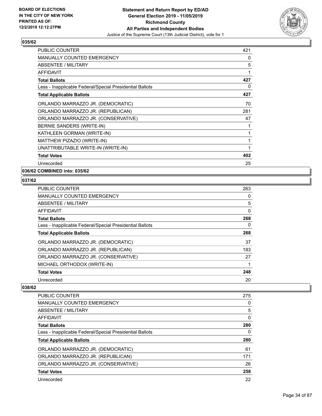

| <b>PUBLIC COUNTER</b>                                    | 421 |
|----------------------------------------------------------|-----|
| <b>MANUALLY COUNTED EMERGENCY</b>                        | 0   |
| <b>ABSENTEE / MILITARY</b>                               | 5   |
| AFFIDAVIT                                                | 1   |
| <b>Total Ballots</b>                                     | 427 |
| Less - Inapplicable Federal/Special Presidential Ballots | 0   |
| <b>Total Applicable Ballots</b>                          | 427 |
| ORLANDO MARRAZZO JR. (DEMOCRATIC)                        | 70  |
| ORLANDO MARRAZZO JR. (REPUBLICAN)                        | 281 |
| ORLANDO MARRAZZO JR. (CONSERVATIVE)                      | 47  |
| BERNIE SANDERS (WRITE-IN)                                | 1   |
| KATHLEEN GORMAN (WRITE-IN)                               | 1   |
| MATTHEW PIZAZIO (WRITE-IN)                               | 1   |
| UNATTRIBUTABLE WRITE-IN (WRITE-IN)                       | 1   |
| <b>Total Votes</b>                                       | 402 |
| Unrecorded                                               | 25  |

## **036/62 COMBINED into: 035/62**

## **037/62**

| <b>PUBLIC COUNTER</b>                                    | 263 |
|----------------------------------------------------------|-----|
| <b>MANUALLY COUNTED EMERGENCY</b>                        | 0   |
| ABSENTEE / MILITARY                                      | 5   |
| AFFIDAVIT                                                | 0   |
| <b>Total Ballots</b>                                     | 268 |
| Less - Inapplicable Federal/Special Presidential Ballots | 0   |
| <b>Total Applicable Ballots</b>                          | 268 |
| ORLANDO MARRAZZO JR. (DEMOCRATIC)                        | 37  |
| ORLANDO MARRAZZO JR. (REPUBLICAN)                        | 183 |
| ORLANDO MARRAZZO JR. (CONSERVATIVE)                      | 27  |
| MICHAEL ORTHODOX (WRITE-IN)                              |     |
| <b>Total Votes</b>                                       | 248 |
| Unrecorded                                               | 20  |

| PUBLIC COUNTER                                           | 275 |
|----------------------------------------------------------|-----|
| <b>MANUALLY COUNTED EMERGENCY</b>                        | 0   |
| ABSENTEE / MILITARY                                      | 5   |
| AFFIDAVIT                                                | 0   |
| <b>Total Ballots</b>                                     | 280 |
| Less - Inapplicable Federal/Special Presidential Ballots | 0   |
|                                                          |     |
| <b>Total Applicable Ballots</b>                          | 280 |
| ORLANDO MARRAZZO JR. (DEMOCRATIC)                        | 61  |
| ORLANDO MARRAZZO JR. (REPUBLICAN)                        | 171 |
| ORLANDO MARRAZZO JR. (CONSERVATIVE)                      | 26  |
| <b>Total Votes</b>                                       | 258 |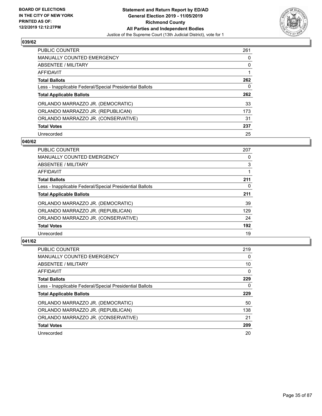

| <b>PUBLIC COUNTER</b>                                    | 261 |
|----------------------------------------------------------|-----|
| <b>MANUALLY COUNTED EMERGENCY</b>                        | 0   |
| ABSENTEE / MILITARY                                      | 0   |
| AFFIDAVIT                                                |     |
| <b>Total Ballots</b>                                     | 262 |
| Less - Inapplicable Federal/Special Presidential Ballots | 0   |
| <b>Total Applicable Ballots</b>                          | 262 |
| ORLANDO MARRAZZO JR. (DEMOCRATIC)                        | 33  |
| ORLANDO MARRAZZO JR. (REPUBLICAN)                        | 173 |
| ORLANDO MARRAZZO JR. (CONSERVATIVE)                      | 31  |
| <b>Total Votes</b>                                       | 237 |
| Unrecorded                                               | 25  |

#### **040/62**

| <b>PUBLIC COUNTER</b>                                    | 207 |
|----------------------------------------------------------|-----|
| <b>MANUALLY COUNTED EMERGENCY</b>                        | 0   |
| ABSENTEE / MILITARY                                      | 3   |
| <b>AFFIDAVIT</b>                                         |     |
| <b>Total Ballots</b>                                     | 211 |
| Less - Inapplicable Federal/Special Presidential Ballots | 0   |
| <b>Total Applicable Ballots</b>                          | 211 |
| ORLANDO MARRAZZO JR. (DEMOCRATIC)                        | 39  |
| ORLANDO MARRAZZO JR. (REPUBLICAN)                        | 129 |
| ORLANDO MARRAZZO JR. (CONSERVATIVE)                      | 24  |
| <b>Total Votes</b>                                       | 192 |
| Unrecorded                                               | 19  |

| <b>PUBLIC COUNTER</b>                                    | 219      |
|----------------------------------------------------------|----------|
| <b>MANUALLY COUNTED EMERGENCY</b>                        | $\Omega$ |
| ABSENTEE / MILITARY                                      | 10       |
| AFFIDAVIT                                                | $\Omega$ |
| <b>Total Ballots</b>                                     | 229      |
| Less - Inapplicable Federal/Special Presidential Ballots | 0        |
| <b>Total Applicable Ballots</b>                          | 229      |
| ORLANDO MARRAZZO JR. (DEMOCRATIC)                        | 50       |
| ORLANDO MARRAZZO JR. (REPUBLICAN)                        | 138      |
| ORLANDO MARRAZZO JR. (CONSERVATIVE)                      | 21       |
|                                                          |          |
| <b>Total Votes</b>                                       | 209      |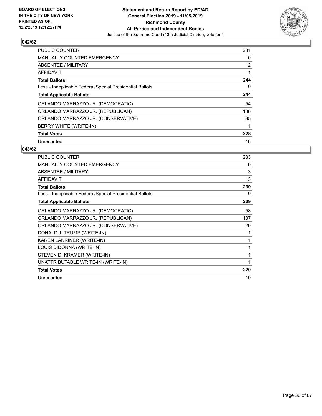

| <b>PUBLIC COUNTER</b>                                    | 231 |
|----------------------------------------------------------|-----|
| <b>MANUALLY COUNTED EMERGENCY</b>                        | 0   |
| ABSENTEE / MILITARY                                      | 12  |
| AFFIDAVIT                                                |     |
| <b>Total Ballots</b>                                     | 244 |
| Less - Inapplicable Federal/Special Presidential Ballots | 0   |
| <b>Total Applicable Ballots</b>                          | 244 |
| ORLANDO MARRAZZO JR. (DEMOCRATIC)                        | 54  |
| ORLANDO MARRAZZO JR. (REPUBLICAN)                        | 138 |
| ORLANDO MARRAZZO JR. (CONSERVATIVE)                      | 35  |
| BERRY WHITE (WRITE-IN)                                   | 1   |
| <b>Total Votes</b>                                       | 228 |
| Unrecorded                                               | 16  |

| PUBLIC COUNTER                                           | 233 |
|----------------------------------------------------------|-----|
| <b>MANUALLY COUNTED EMERGENCY</b>                        | 0   |
| <b>ABSENTEE / MILITARY</b>                               | 3   |
| <b>AFFIDAVIT</b>                                         | 3   |
| <b>Total Ballots</b>                                     | 239 |
| Less - Inapplicable Federal/Special Presidential Ballots | 0   |
| <b>Total Applicable Ballots</b>                          | 239 |
| ORLANDO MARRAZZO JR. (DEMOCRATIC)                        | 58  |
| ORLANDO MARRAZZO JR. (REPUBLICAN)                        | 137 |
| ORLANDO MARRAZZO JR. (CONSERVATIVE)                      | 20  |
| DONALD J. TRUMP (WRITE-IN)                               | 1   |
| KAREN LANRINER (WRITE-IN)                                | 1   |
| LOUIS DIDONNA (WRITE-IN)                                 | 1   |
| STEVEN D. KRAMER (WRITE-IN)                              | 1   |
| UNATTRIBUTABLE WRITE-IN (WRITE-IN)                       | 1   |
| <b>Total Votes</b>                                       | 220 |
| Unrecorded                                               | 19  |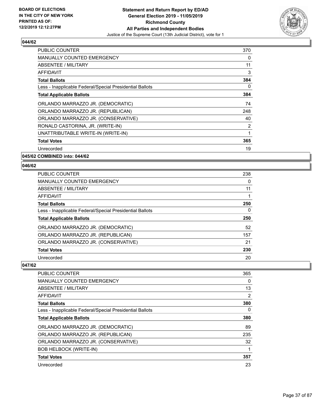

| <b>PUBLIC COUNTER</b>                                    | 370          |
|----------------------------------------------------------|--------------|
| <b>MANUALLY COUNTED EMERGENCY</b>                        | 0            |
| <b>ABSENTEE / MILITARY</b>                               | 11           |
| AFFIDAVIT                                                | 3            |
| <b>Total Ballots</b>                                     | 384          |
| Less - Inapplicable Federal/Special Presidential Ballots | $\mathbf{0}$ |
| <b>Total Applicable Ballots</b>                          | 384          |
| ORLANDO MARRAZZO JR. (DEMOCRATIC)                        | 74           |
| ORLANDO MARRAZZO JR. (REPUBLICAN)                        | 248          |
| ORLANDO MARRAZZO JR. (CONSERVATIVE)                      | 40           |
| RONALD CASTORINA, JR. (WRITE-IN)                         | 2            |
| UNATTRIBUTABLE WRITE-IN (WRITE-IN)                       | 1            |
| <b>Total Votes</b>                                       | 365          |
| Unrecorded                                               | 19           |
| 045/62 COMBINED into: 044/62                             |              |

**046/62** 

| PUBLIC COUNTER                                           | 238 |
|----------------------------------------------------------|-----|
| <b>MANUALLY COUNTED EMERGENCY</b>                        | 0   |
| ABSENTEE / MILITARY                                      | 11  |
| AFFIDAVIT                                                |     |
| <b>Total Ballots</b>                                     | 250 |
| Less - Inapplicable Federal/Special Presidential Ballots | 0   |
| <b>Total Applicable Ballots</b>                          | 250 |
| ORLANDO MARRAZZO JR. (DEMOCRATIC)                        | 52  |
| ORLANDO MARRAZZO JR. (REPUBLICAN)                        | 157 |
| ORLANDO MARRAZZO JR. (CONSERVATIVE)                      | 21  |
| <b>Total Votes</b>                                       | 230 |
| Unrecorded                                               | 20  |

| <b>PUBLIC COUNTER</b>                                    | 365      |
|----------------------------------------------------------|----------|
| <b>MANUALLY COUNTED EMERGENCY</b>                        | 0        |
| ABSENTEE / MILITARY                                      | 13       |
| AFFIDAVIT                                                | 2        |
| <b>Total Ballots</b>                                     | 380      |
| Less - Inapplicable Federal/Special Presidential Ballots | $\Omega$ |
| <b>Total Applicable Ballots</b>                          | 380      |
| ORLANDO MARRAZZO JR. (DEMOCRATIC)                        | 89       |
| ORLANDO MARRAZZO JR. (REPUBLICAN)                        | 235      |
| ORLANDO MARRAZZO JR. (CONSERVATIVE)                      | 32       |
| <b>BOB HELBOCK (WRITE-IN)</b>                            | 1        |
| <b>Total Votes</b>                                       | 357      |
| Unrecorded                                               | 23       |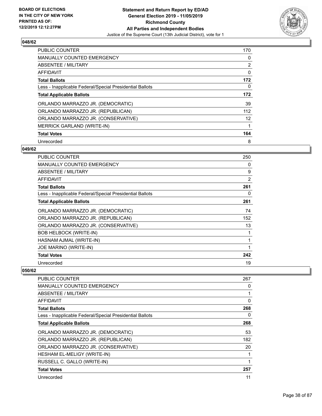

| <b>PUBLIC COUNTER</b>                                    | 170 |
|----------------------------------------------------------|-----|
| <b>MANUALLY COUNTED EMERGENCY</b>                        | 0   |
| ABSENTEE / MILITARY                                      | 2   |
| <b>AFFIDAVIT</b>                                         | 0   |
| <b>Total Ballots</b>                                     | 172 |
| Less - Inapplicable Federal/Special Presidential Ballots | 0   |
| <b>Total Applicable Ballots</b>                          | 172 |
| ORLANDO MARRAZZO JR. (DEMOCRATIC)                        | 39  |
| ORLANDO MARRAZZO JR. (REPUBLICAN)                        | 112 |
| ORLANDO MARRAZZO JR. (CONSERVATIVE)                      | 12  |
| MERRICK GARLAND (WRITE-IN)                               | 1   |
| <b>Total Votes</b>                                       | 164 |
| Unrecorded                                               | 8   |

### **049/62**

| PUBLIC COUNTER                                           | 250 |
|----------------------------------------------------------|-----|
| <b>MANUALLY COUNTED EMERGENCY</b>                        | 0   |
| <b>ABSENTEE / MILITARY</b>                               | 9   |
| AFFIDAVIT                                                | 2   |
| <b>Total Ballots</b>                                     | 261 |
| Less - Inapplicable Federal/Special Presidential Ballots | 0   |
| <b>Total Applicable Ballots</b>                          | 261 |
| ORLANDO MARRAZZO JR. (DEMOCRATIC)                        | 74  |
| ORLANDO MARRAZZO JR. (REPUBLICAN)                        | 152 |
| ORLANDO MARRAZZO JR. (CONSERVATIVE)                      | 13  |
| <b>BOB HELBOCK (WRITE-IN)</b>                            | 1   |
| HASNAM AJMAL (WRITE-IN)                                  | 1   |
| JOE MARINO (WRITE-IN)                                    | 1   |
| <b>Total Votes</b>                                       | 242 |
| Unrecorded                                               | 19  |

| PUBLIC COUNTER                                           | 267      |
|----------------------------------------------------------|----------|
| <b>MANUALLY COUNTED EMERGENCY</b>                        | 0        |
| ABSENTEE / MILITARY                                      |          |
| AFFIDAVIT                                                | $\Omega$ |
| <b>Total Ballots</b>                                     | 268      |
| Less - Inapplicable Federal/Special Presidential Ballots | 0        |
| <b>Total Applicable Ballots</b>                          | 268      |
| ORLANDO MARRAZZO JR. (DEMOCRATIC)                        | 53       |
| ORLANDO MARRAZZO JR. (REPUBLICAN)                        | 182      |
| ORLANDO MARRAZZO JR. (CONSERVATIVE)                      | 20       |
| HESHAM EL-MELIGY (WRITE-IN)                              |          |
| RUSSELL C. GALLO (WRITE-IN)                              |          |
| <b>Total Votes</b>                                       | 257      |
| Unrecorded                                               | 11       |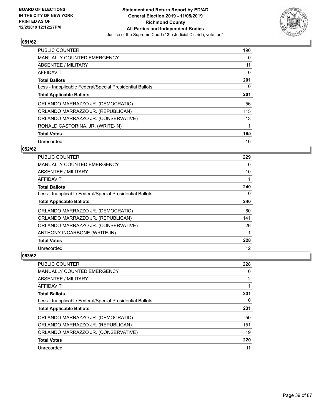

| <b>PUBLIC COUNTER</b>                                    | 190 |
|----------------------------------------------------------|-----|
| <b>MANUALLY COUNTED EMERGENCY</b>                        | 0   |
| ABSENTEE / MILITARY                                      | 11  |
| <b>AFFIDAVIT</b>                                         | 0   |
| <b>Total Ballots</b>                                     | 201 |
| Less - Inapplicable Federal/Special Presidential Ballots | 0   |
| <b>Total Applicable Ballots</b>                          | 201 |
| ORLANDO MARRAZZO JR. (DEMOCRATIC)                        | 56  |
| ORLANDO MARRAZZO JR. (REPUBLICAN)                        | 115 |
| ORLANDO MARRAZZO JR. (CONSERVATIVE)                      | 13  |
| RONALD CASTORINA, JR. (WRITE-IN)                         |     |
| <b>Total Votes</b>                                       | 185 |
| Unrecorded                                               | 16  |

#### **052/62**

| <b>PUBLIC COUNTER</b>                                    | 229 |
|----------------------------------------------------------|-----|
| MANUALLY COUNTED EMERGENCY                               | 0   |
| ABSENTEE / MILITARY                                      | 10  |
| AFFIDAVIT                                                |     |
| <b>Total Ballots</b>                                     | 240 |
| Less - Inapplicable Federal/Special Presidential Ballots | 0   |
| <b>Total Applicable Ballots</b>                          | 240 |
| ORLANDO MARRAZZO JR. (DEMOCRATIC)                        | 60  |
| ORLANDO MARRAZZO JR. (REPUBLICAN)                        | 141 |
| ORLANDO MARRAZZO JR. (CONSERVATIVE)                      | 26  |
| ANTHONY INCARBONE (WRITE-IN)                             | 1   |
| <b>Total Votes</b>                                       | 228 |
| Unrecorded                                               | 12  |

| <b>PUBLIC COUNTER</b>                                    | 228            |
|----------------------------------------------------------|----------------|
| <b>MANUALLY COUNTED EMERGENCY</b>                        | 0              |
| ABSENTEE / MILITARY                                      | $\overline{2}$ |
| AFFIDAVIT                                                |                |
| <b>Total Ballots</b>                                     | 231            |
| Less - Inapplicable Federal/Special Presidential Ballots | 0              |
|                                                          |                |
| <b>Total Applicable Ballots</b>                          | 231            |
| ORLANDO MARRAZZO JR. (DEMOCRATIC)                        | 50             |
| ORLANDO MARRAZZO JR. (REPUBLICAN)                        | 151            |
| ORLANDO MARRAZZO JR. (CONSERVATIVE)                      | 19             |
| <b>Total Votes</b>                                       | 220            |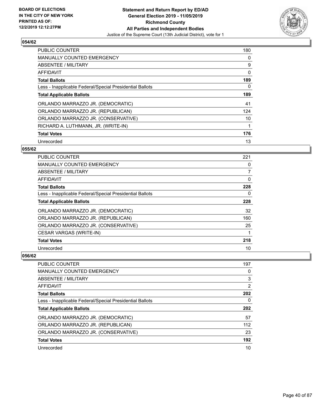

| <b>PUBLIC COUNTER</b>                                    | 180 |
|----------------------------------------------------------|-----|
| <b>MANUALLY COUNTED EMERGENCY</b>                        | 0   |
| ABSENTEE / MILITARY                                      | 9   |
| <b>AFFIDAVIT</b>                                         | 0   |
| <b>Total Ballots</b>                                     | 189 |
| Less - Inapplicable Federal/Special Presidential Ballots | 0   |
| <b>Total Applicable Ballots</b>                          | 189 |
| ORLANDO MARRAZZO JR. (DEMOCRATIC)                        | 41  |
| ORLANDO MARRAZZO JR. (REPUBLICAN)                        | 124 |
| ORLANDO MARRAZZO JR. (CONSERVATIVE)                      | 10  |
| RICHARD A. LUTHMANN, JR. (WRITE-IN)                      |     |
| <b>Total Votes</b>                                       | 176 |
| Unrecorded                                               | 13  |

#### **055/62**

| PUBLIC COUNTER                                           | 221            |
|----------------------------------------------------------|----------------|
| <b>MANUALLY COUNTED EMERGENCY</b>                        | 0              |
| ABSENTEE / MILITARY                                      | $\overline{7}$ |
| AFFIDAVIT                                                | 0              |
| <b>Total Ballots</b>                                     | 228            |
| Less - Inapplicable Federal/Special Presidential Ballots | 0              |
| <b>Total Applicable Ballots</b>                          | 228            |
| ORLANDO MARRAZZO JR. (DEMOCRATIC)                        | 32             |
| ORLANDO MARRAZZO JR. (REPUBLICAN)                        | 160            |
| ORLANDO MARRAZZO JR. (CONSERVATIVE)                      | 25             |
| CESAR VARGAS (WRITE-IN)                                  |                |
| <b>Total Votes</b>                                       | 218            |
| Unrecorded                                               | 10             |

| <b>PUBLIC COUNTER</b>                                    | 197            |
|----------------------------------------------------------|----------------|
| <b>MANUALLY COUNTED EMERGENCY</b>                        | 0              |
| ABSENTEE / MILITARY                                      | 3              |
| AFFIDAVIT                                                | $\overline{2}$ |
| <b>Total Ballots</b>                                     | 202            |
| Less - Inapplicable Federal/Special Presidential Ballots | 0              |
|                                                          |                |
| <b>Total Applicable Ballots</b>                          | 202            |
| ORLANDO MARRAZZO JR. (DEMOCRATIC)                        | 57             |
| ORLANDO MARRAZZO JR. (REPUBLICAN)                        | 112            |
| ORLANDO MARRAZZO JR. (CONSERVATIVE)                      | 23             |
| <b>Total Votes</b>                                       | 192            |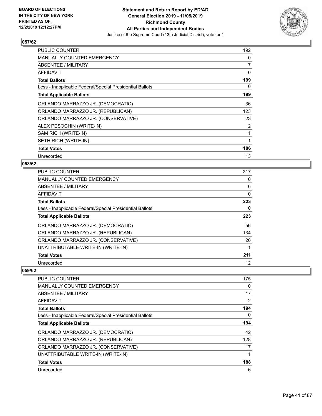

| <b>PUBLIC COUNTER</b>                                    | 192 |
|----------------------------------------------------------|-----|
| <b>MANUALLY COUNTED EMERGENCY</b>                        | 0   |
| ABSENTEE / MILITARY                                      | 7   |
| <b>AFFIDAVIT</b>                                         | 0   |
| <b>Total Ballots</b>                                     | 199 |
| Less - Inapplicable Federal/Special Presidential Ballots | 0   |
| <b>Total Applicable Ballots</b>                          | 199 |
| ORLANDO MARRAZZO JR. (DEMOCRATIC)                        | 36  |
| ORLANDO MARRAZZO JR. (REPUBLICAN)                        | 123 |
| ORLANDO MARRAZZO JR. (CONSERVATIVE)                      | 23  |
| ALEX PESOCHIN (WRITE-IN)                                 | 2   |
| SAM RICH (WRITE-IN)                                      | 1   |
| SETH RICH (WRITE-IN)                                     | 1   |
| <b>Total Votes</b>                                       | 186 |
| Unrecorded                                               | 13  |

#### **058/62**

| <b>PUBLIC COUNTER</b>                                    | 217 |
|----------------------------------------------------------|-----|
| <b>MANUALLY COUNTED EMERGENCY</b>                        | 0   |
| ABSENTEE / MILITARY                                      | 6   |
| AFFIDAVIT                                                | 0   |
| <b>Total Ballots</b>                                     | 223 |
| Less - Inapplicable Federal/Special Presidential Ballots | 0   |
| <b>Total Applicable Ballots</b>                          | 223 |
| ORLANDO MARRAZZO JR. (DEMOCRATIC)                        | 56  |
| ORLANDO MARRAZZO JR. (REPUBLICAN)                        | 134 |
| ORLANDO MARRAZZO JR. (CONSERVATIVE)                      | 20  |
| UNATTRIBUTABLE WRITE-IN (WRITE-IN)                       |     |
| <b>Total Votes</b>                                       | 211 |
| Unrecorded                                               | 12  |

| <b>PUBLIC COUNTER</b>                                    | 175 |
|----------------------------------------------------------|-----|
| MANUALLY COUNTED EMERGENCY                               | 0   |
| ABSENTEE / MILITARY                                      | 17  |
| AFFIDAVIT                                                | 2   |
| <b>Total Ballots</b>                                     | 194 |
| Less - Inapplicable Federal/Special Presidential Ballots | 0   |
| <b>Total Applicable Ballots</b>                          | 194 |
| ORLANDO MARRAZZO JR. (DEMOCRATIC)                        | 42  |
| ORLANDO MARRAZZO JR. (REPUBLICAN)                        | 128 |
| ORLANDO MARRAZZO JR. (CONSERVATIVE)                      | 17  |
| UNATTRIBUTABLE WRITE-IN (WRITE-IN)                       |     |
| <b>Total Votes</b>                                       | 188 |
| Unrecorded                                               | 6   |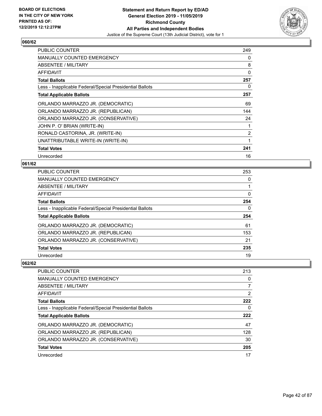

| PUBLIC COUNTER                                           | 249            |
|----------------------------------------------------------|----------------|
| <b>MANUALLY COUNTED EMERGENCY</b>                        | 0              |
| ABSENTEE / MILITARY                                      | 8              |
| AFFIDAVIT                                                | 0              |
| <b>Total Ballots</b>                                     | 257            |
| Less - Inapplicable Federal/Special Presidential Ballots | 0              |
| <b>Total Applicable Ballots</b>                          | 257            |
| ORLANDO MARRAZZO JR. (DEMOCRATIC)                        | 69             |
| ORLANDO MARRAZZO JR. (REPUBLICAN)                        | 144            |
| ORLANDO MARRAZZO JR. (CONSERVATIVE)                      | 24             |
| JOHN P. O' BRIAN (WRITE-IN)                              | 1              |
| RONALD CASTORINA, JR. (WRITE-IN)                         | $\overline{2}$ |
| UNATTRIBUTABLE WRITE-IN (WRITE-IN)                       | 1              |
| <b>Total Votes</b>                                       | 241            |
| Unrecorded                                               | 16             |

## **061/62**

| <b>PUBLIC COUNTER</b>                                    | 253 |
|----------------------------------------------------------|-----|
| <b>MANUALLY COUNTED EMERGENCY</b>                        | 0   |
| ABSENTEE / MILITARY                                      |     |
| <b>AFFIDAVIT</b>                                         | 0   |
| <b>Total Ballots</b>                                     | 254 |
| Less - Inapplicable Federal/Special Presidential Ballots | 0   |
| <b>Total Applicable Ballots</b>                          | 254 |
| ORLANDO MARRAZZO JR. (DEMOCRATIC)                        | 61  |
| ORLANDO MARRAZZO JR. (REPUBLICAN)                        | 153 |
| ORLANDO MARRAZZO JR. (CONSERVATIVE)                      | 21  |
|                                                          |     |
| <b>Total Votes</b>                                       | 235 |

| PUBLIC COUNTER                                           | 213 |
|----------------------------------------------------------|-----|
| MANUALLY COUNTED EMERGENCY                               | 0   |
| ABSENTEE / MILITARY                                      | 7   |
| AFFIDAVIT                                                | 2   |
| <b>Total Ballots</b>                                     | 222 |
| Less - Inapplicable Federal/Special Presidential Ballots | 0   |
| <b>Total Applicable Ballots</b>                          | 222 |
|                                                          |     |
| ORLANDO MARRAZZO JR. (DEMOCRATIC)                        | 47  |
| ORLANDO MARRAZZO JR. (REPUBLICAN)                        | 128 |
| ORLANDO MARRAZZO JR. (CONSERVATIVE)                      | 30  |
| <b>Total Votes</b>                                       | 205 |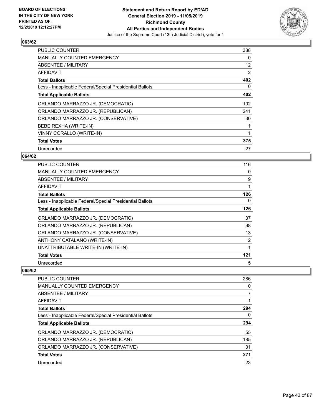

| <b>PUBLIC COUNTER</b>                                    | 388 |
|----------------------------------------------------------|-----|
| <b>MANUALLY COUNTED EMERGENCY</b>                        | 0   |
| ABSENTEE / MILITARY                                      | 12  |
| AFFIDAVIT                                                | 2   |
| <b>Total Ballots</b>                                     | 402 |
| Less - Inapplicable Federal/Special Presidential Ballots | 0   |
| <b>Total Applicable Ballots</b>                          | 402 |
| ORLANDO MARRAZZO JR. (DEMOCRATIC)                        | 102 |
| ORLANDO MARRAZZO JR. (REPUBLICAN)                        | 241 |
| ORLANDO MARRAZZO JR. (CONSERVATIVE)                      | 30  |
| BEBE REXHA (WRITE-IN)                                    | 1   |
| VINNY CORALLO (WRITE-IN)                                 | 1   |
| <b>Total Votes</b>                                       | 375 |
| Unrecorded                                               | 27  |

## **064/62**

| <b>PUBLIC COUNTER</b>                                    | 116 |
|----------------------------------------------------------|-----|
| <b>MANUALLY COUNTED EMERGENCY</b>                        | 0   |
| ABSENTEE / MILITARY                                      | 9   |
| AFFIDAVIT                                                |     |
| <b>Total Ballots</b>                                     | 126 |
| Less - Inapplicable Federal/Special Presidential Ballots | 0   |
| <b>Total Applicable Ballots</b>                          | 126 |
| ORLANDO MARRAZZO JR. (DEMOCRATIC)                        | 37  |
| ORLANDO MARRAZZO JR. (REPUBLICAN)                        | 68  |
| ORLANDO MARRAZZO JR. (CONSERVATIVE)                      | 13  |
| ANTHONY CATALANO (WRITE-IN)                              | 2   |
| UNATTRIBUTABLE WRITE-IN (WRITE-IN)                       |     |
| <b>Total Votes</b>                                       | 121 |
| Unrecorded                                               | 5   |

| PUBLIC COUNTER                                           | 286 |
|----------------------------------------------------------|-----|
| <b>MANUALLY COUNTED EMERGENCY</b>                        | 0   |
| ABSENTEE / MILITARY                                      |     |
| AFFIDAVIT                                                |     |
| <b>Total Ballots</b>                                     | 294 |
| Less - Inapplicable Federal/Special Presidential Ballots | 0   |
| <b>Total Applicable Ballots</b>                          | 294 |
| ORLANDO MARRAZZO JR. (DEMOCRATIC)                        | 55  |
| ORLANDO MARRAZZO JR. (REPUBLICAN)                        | 185 |
|                                                          |     |
| ORLANDO MARRAZZO JR. (CONSERVATIVE)                      | 31  |
| <b>Total Votes</b>                                       | 271 |
| Unrecorded                                               | 23  |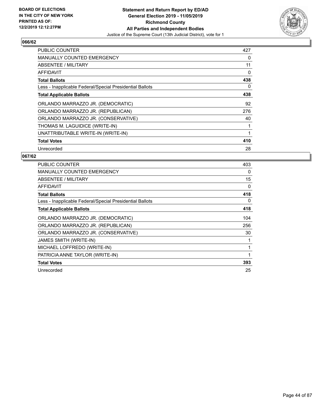

| PUBLIC COUNTER                                           | 427 |
|----------------------------------------------------------|-----|
| <b>MANUALLY COUNTED EMERGENCY</b>                        | 0   |
| <b>ABSENTEE / MILITARY</b>                               | 11  |
| AFFIDAVIT                                                | 0   |
| <b>Total Ballots</b>                                     | 438 |
| Less - Inapplicable Federal/Special Presidential Ballots | 0   |
| <b>Total Applicable Ballots</b>                          | 438 |
| ORLANDO MARRAZZO JR. (DEMOCRATIC)                        | 92  |
| ORLANDO MARRAZZO JR. (REPUBLICAN)                        | 276 |
| ORLANDO MARRAZZO JR. (CONSERVATIVE)                      | 40  |
| THOMAS M. LAGUIDICE (WRITE-IN)                           | 1   |
| UNATTRIBUTABLE WRITE-IN (WRITE-IN)                       | 1   |
| <b>Total Votes</b>                                       | 410 |
| Unrecorded                                               | 28  |

| <b>PUBLIC COUNTER</b>                                    | 403 |
|----------------------------------------------------------|-----|
| <b>MANUALLY COUNTED EMERGENCY</b>                        | 0   |
| ABSENTEE / MILITARY                                      | 15  |
| <b>AFFIDAVIT</b>                                         | 0   |
| <b>Total Ballots</b>                                     | 418 |
| Less - Inapplicable Federal/Special Presidential Ballots | 0   |
| <b>Total Applicable Ballots</b>                          | 418 |
| ORLANDO MARRAZZO JR. (DEMOCRATIC)                        | 104 |
| ORLANDO MARRAZZO JR. (REPUBLICAN)                        | 256 |
| ORLANDO MARRAZZO JR. (CONSERVATIVE)                      | 30  |
| JAMES SMITH (WRITE-IN)                                   |     |
| MICHAEL LOFFREDO (WRITE-IN)                              |     |
| PATRICIA ANNE TAYLOR (WRITE-IN)                          |     |
| <b>Total Votes</b>                                       | 393 |
| Unrecorded                                               | 25  |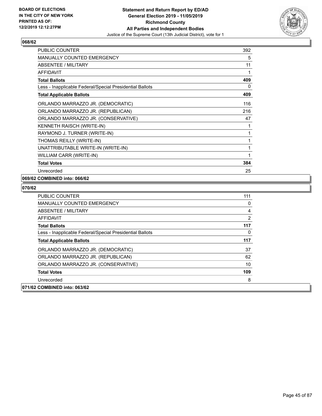

| PUBLIC COUNTER                                           | 392 |
|----------------------------------------------------------|-----|
| <b>MANUALLY COUNTED EMERGENCY</b>                        | 5   |
| <b>ABSENTEE / MILITARY</b>                               | 11  |
| <b>AFFIDAVIT</b>                                         | 1   |
| <b>Total Ballots</b>                                     | 409 |
| Less - Inapplicable Federal/Special Presidential Ballots | 0   |
| <b>Total Applicable Ballots</b>                          | 409 |
| ORLANDO MARRAZZO JR. (DEMOCRATIC)                        | 116 |
| ORLANDO MARRAZZO JR. (REPUBLICAN)                        | 216 |
| ORLANDO MARRAZZO JR. (CONSERVATIVE)                      | 47  |
| <b>KENNETH RAISCH (WRITE-IN)</b>                         | 1   |
| RAYMOND J. TURNER (WRITE-IN)                             | 1   |
| THOMAS REILLY (WRITE-IN)                                 | 1   |
| UNATTRIBUTABLE WRITE-IN (WRITE-IN)                       | 1   |
| WILLIAM CARR (WRITE-IN)                                  | 1   |
| <b>Total Votes</b>                                       | 384 |
| Unrecorded                                               | 25  |

## **069/62 COMBINED into: 066/62**

| MANUALLY COUNTED EMERGENCY                               | 0   |
|----------------------------------------------------------|-----|
| ABSENTEE / MILITARY                                      | 4   |
| AFFIDAVIT                                                | 2   |
| <b>Total Ballots</b>                                     | 117 |
| Less - Inapplicable Federal/Special Presidential Ballots | 0   |
| <b>Total Applicable Ballots</b>                          | 117 |
| ORLANDO MARRAZZO JR. (DEMOCRATIC)                        | 37  |
| ORLANDO MARRAZZO JR. (REPUBLICAN)                        | 62  |
| ORLANDO MARRAZZO JR. (CONSERVATIVE)                      | 10  |
| <b>Total Votes</b>                                       | 109 |
| Unrecorded                                               | 8   |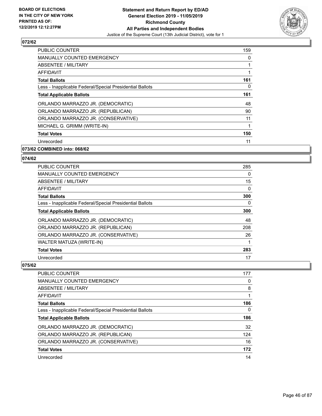

| <b>PUBLIC COUNTER</b>                                    | 159 |
|----------------------------------------------------------|-----|
| <b>MANUALLY COUNTED EMERGENCY</b>                        | 0   |
| ABSENTEE / MILITARY                                      |     |
| AFFIDAVIT                                                |     |
| <b>Total Ballots</b>                                     | 161 |
| Less - Inapplicable Federal/Special Presidential Ballots | 0   |
| <b>Total Applicable Ballots</b>                          | 161 |
| ORLANDO MARRAZZO JR. (DEMOCRATIC)                        | 48  |
| ORLANDO MARRAZZO JR. (REPUBLICAN)                        | 90  |
| ORLANDO MARRAZZO JR. (CONSERVATIVE)                      | 11  |
| MICHAEL G. GRIMM (WRITE-IN)                              |     |
| <b>Total Votes</b>                                       | 150 |
| Unrecorded                                               | 11  |
|                                                          |     |

## **073/62 COMBINED into: 068/62**

## **074/62**

| <b>PUBLIC COUNTER</b>                                    | 285      |
|----------------------------------------------------------|----------|
| <b>MANUALLY COUNTED EMERGENCY</b>                        | 0        |
| ABSENTEE / MILITARY                                      | 15       |
| AFFIDAVIT                                                | 0        |
| <b>Total Ballots</b>                                     | 300      |
| Less - Inapplicable Federal/Special Presidential Ballots | $\Omega$ |
| <b>Total Applicable Ballots</b>                          | 300      |
| ORLANDO MARRAZZO JR. (DEMOCRATIC)                        | 48       |
| ORLANDO MARRAZZO JR. (REPUBLICAN)                        | 208      |
| ORLANDO MARRAZZO JR. (CONSERVATIVE)                      | 26       |
| WALTER MATUZA (WRITE-IN)                                 |          |
| <b>Total Votes</b>                                       | 283      |
| Unrecorded                                               | 17       |

| PUBLIC COUNTER                                           | 177 |
|----------------------------------------------------------|-----|
| <b>MANUALLY COUNTED EMERGENCY</b>                        | 0   |
| ABSENTEE / MILITARY                                      | 8   |
| AFFIDAVIT                                                | 1   |
| <b>Total Ballots</b>                                     | 186 |
| Less - Inapplicable Federal/Special Presidential Ballots | 0   |
| <b>Total Applicable Ballots</b>                          | 186 |
| ORLANDO MARRAZZO JR. (DEMOCRATIC)                        | 32  |
| ORLANDO MARRAZZO JR. (REPUBLICAN)                        | 124 |
| ORLANDO MARRAZZO JR. (CONSERVATIVE)                      | 16  |
| <b>Total Votes</b>                                       | 172 |
| Unrecorded                                               | 14  |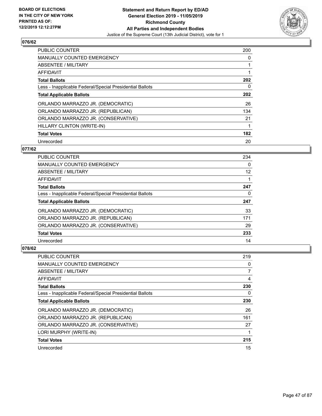

| PUBLIC COUNTER                                           | 200 |
|----------------------------------------------------------|-----|
| <b>MANUALLY COUNTED EMERGENCY</b>                        | 0   |
| ABSENTEE / MILITARY                                      | 1   |
| <b>AFFIDAVIT</b>                                         |     |
| <b>Total Ballots</b>                                     | 202 |
| Less - Inapplicable Federal/Special Presidential Ballots | 0   |
| <b>Total Applicable Ballots</b>                          | 202 |
| ORLANDO MARRAZZO JR. (DEMOCRATIC)                        | 26  |
| ORLANDO MARRAZZO JR. (REPUBLICAN)                        | 134 |
| ORLANDO MARRAZZO JR. (CONSERVATIVE)                      | 21  |
| HILLARY CLINTON (WRITE-IN)                               | 1   |
| <b>Total Votes</b>                                       | 182 |
| Unrecorded                                               | 20  |

### **077/62**

| <b>PUBLIC COUNTER</b>                                    | 234 |
|----------------------------------------------------------|-----|
| <b>MANUALLY COUNTED EMERGENCY</b>                        | 0   |
| ABSENTEE / MILITARY                                      | 12  |
| AFFIDAVIT                                                |     |
| <b>Total Ballots</b>                                     | 247 |
| Less - Inapplicable Federal/Special Presidential Ballots | 0   |
| <b>Total Applicable Ballots</b>                          | 247 |
| ORLANDO MARRAZZO JR. (DEMOCRATIC)                        | 33  |
| ORLANDO MARRAZZO JR. (REPUBLICAN)                        | 171 |
| ORLANDO MARRAZZO JR. (CONSERVATIVE)                      | 29  |
| <b>Total Votes</b>                                       | 233 |
| Unrecorded                                               | 14  |

| PUBLIC COUNTER                                           | 219 |
|----------------------------------------------------------|-----|
| MANUALLY COUNTED EMERGENCY                               | 0   |
| ABSENTEE / MILITARY                                      |     |
| <b>AFFIDAVIT</b>                                         | 4   |
| <b>Total Ballots</b>                                     | 230 |
| Less - Inapplicable Federal/Special Presidential Ballots | 0   |
| <b>Total Applicable Ballots</b>                          | 230 |
| ORLANDO MARRAZZO JR. (DEMOCRATIC)                        | 26  |
| ORLANDO MARRAZZO JR. (REPUBLICAN)                        | 161 |
| ORLANDO MARRAZZO JR. (CONSERVATIVE)                      | 27  |
| LORI MURPHY (WRITE-IN)                                   |     |
| <b>Total Votes</b>                                       | 215 |
| Unrecorded                                               | 15  |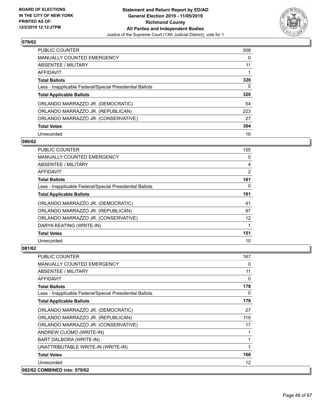

| <b>PUBLIC COUNTER</b>                                    | 308      |
|----------------------------------------------------------|----------|
| <b>MANUALLY COUNTED EMERGENCY</b>                        | $\Omega$ |
| ABSENTEE / MILITARY                                      | 11       |
| AFFIDAVIT                                                |          |
| <b>Total Ballots</b>                                     | 320      |
| Less - Inapplicable Federal/Special Presidential Ballots | 0        |
| <b>Total Applicable Ballots</b>                          | 320      |
|                                                          |          |
| ORLANDO MARRAZZO JR. (DEMOCRATIC)                        | 54       |
| ORLANDO MARRAZZO JR. (REPUBLICAN)                        | 223      |
| ORLANDO MARRAZZO JR. (CONSERVATIVE)                      | 27       |
| <b>Total Votes</b>                                       | 304      |

#### **080/62**

| <b>PUBLIC COUNTER</b>                                    | 155 |
|----------------------------------------------------------|-----|
| <b>MANUALLY COUNTED EMERGENCY</b>                        | 0   |
| ABSENTEE / MILITARY                                      | 4   |
| AFFIDAVIT                                                | 2   |
| <b>Total Ballots</b>                                     | 161 |
| Less - Inapplicable Federal/Special Presidential Ballots | 0   |
| <b>Total Applicable Ballots</b>                          | 161 |
| ORLANDO MARRAZZO JR. (DEMOCRATIC)                        | 41  |
| ORLANDO MARRAZZO JR. (REPUBLICAN)                        | 97  |
| ORLANDO MARRAZZO JR. (CONSERVATIVE)                      | 12  |
| DARYA KEATING (WRITE-IN)                                 |     |
| <b>Total Votes</b>                                       | 151 |
| Unrecorded                                               | 10  |

| <b>PUBLIC COUNTER</b>                                    | 167      |
|----------------------------------------------------------|----------|
| MANUALLY COUNTED EMERGENCY                               | $\Omega$ |
| <b>ABSENTEE / MILITARY</b>                               | 11       |
| <b>AFFIDAVIT</b>                                         | $\Omega$ |
| <b>Total Ballots</b>                                     | 178      |
| Less - Inapplicable Federal/Special Presidential Ballots | $\Omega$ |
| <b>Total Applicable Ballots</b>                          | 178      |
| ORLANDO MARRAZZO JR. (DEMOCRATIC)                        | 27       |
| ORLANDO MARRAZZO JR. (REPUBLICAN)                        | 119      |
| ORLANDO MARRAZZO JR. (CONSERVATIVE)                      | 17       |
| ANDREW CUOMO (WRITE-IN)                                  |          |
| BART DALBORA (WRITE-IN)                                  | 1        |
| UNATTRIBUTABLE WRITE-IN (WRITE-IN)                       |          |
| <b>Total Votes</b>                                       | 166      |
| Unrecorded                                               | 12       |
| 082/62 COMBINED into: 079/62                             |          |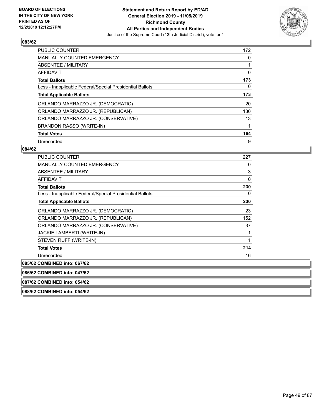

| <b>PUBLIC COUNTER</b>                                    | 172 |
|----------------------------------------------------------|-----|
| <b>MANUALLY COUNTED EMERGENCY</b>                        | 0   |
| ABSENTEE / MILITARY                                      |     |
| AFFIDAVIT                                                | 0   |
| <b>Total Ballots</b>                                     | 173 |
| Less - Inapplicable Federal/Special Presidential Ballots | 0   |
| <b>Total Applicable Ballots</b>                          | 173 |
| ORLANDO MARRAZZO JR. (DEMOCRATIC)                        | 20  |
| ORLANDO MARRAZZO JR. (REPUBLICAN)                        | 130 |
| ORLANDO MARRAZZO JR. (CONSERVATIVE)                      | 13  |
| <b>BRANDON RASSO (WRITE-IN)</b>                          | 1   |
| <b>Total Votes</b>                                       | 164 |
| Unrecorded                                               | 9   |

### **084/62**

| <b>PUBLIC COUNTER</b>                                    | 227          |
|----------------------------------------------------------|--------------|
| <b>MANUALLY COUNTED EMERGENCY</b>                        | 0            |
| <b>ABSENTEE / MILITARY</b>                               | 3            |
| <b>AFFIDAVIT</b>                                         | $\mathbf{0}$ |
| <b>Total Ballots</b>                                     | 230          |
| Less - Inapplicable Federal/Special Presidential Ballots | 0            |
| <b>Total Applicable Ballots</b>                          | 230          |
| ORLANDO MARRAZZO JR. (DEMOCRATIC)                        | 23           |
| ORLANDO MARRAZZO JR. (REPUBLICAN)                        | 152          |
| ORLANDO MARRAZZO JR. (CONSERVATIVE)                      | 37           |
| JACKIE LAMBERTI (WRITE-IN)                               |              |
| STEVEN RUFF (WRITE-IN)                                   |              |
| <b>Total Votes</b>                                       | 214          |
| Unrecorded                                               | 16           |
| 085/62 COMBINED into: 067/62                             |              |
| 086/62 COMBINED into: 047/62                             |              |
| 087/62 COMBINED into: 054/62                             |              |
| 088/62 COMBINED into: 054/62                             |              |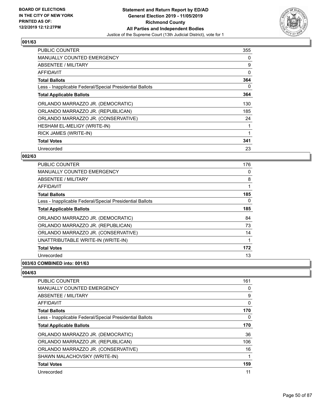

| <b>PUBLIC COUNTER</b>                                    | 355 |
|----------------------------------------------------------|-----|
| <b>MANUALLY COUNTED EMERGENCY</b>                        | 0   |
| <b>ABSENTEE / MILITARY</b>                               | 9   |
| <b>AFFIDAVIT</b>                                         | 0   |
| <b>Total Ballots</b>                                     | 364 |
| Less - Inapplicable Federal/Special Presidential Ballots | 0   |
| <b>Total Applicable Ballots</b>                          | 364 |
| ORLANDO MARRAZZO JR. (DEMOCRATIC)                        | 130 |
| ORLANDO MARRAZZO JR. (REPUBLICAN)                        | 185 |
| ORLANDO MARRAZZO JR. (CONSERVATIVE)                      | 24  |
| HESHAM EL-MELIGY (WRITE-IN)                              |     |
| RICK JAMES (WRITE-IN)                                    |     |
| <b>Total Votes</b>                                       | 341 |
| Unrecorded                                               | 23  |

## **002/63**

| PUBLIC COUNTER                                           | 176 |
|----------------------------------------------------------|-----|
| <b>MANUALLY COUNTED EMERGENCY</b>                        | 0   |
| ABSENTEE / MILITARY                                      | 8   |
| AFFIDAVIT                                                |     |
| <b>Total Ballots</b>                                     | 185 |
| Less - Inapplicable Federal/Special Presidential Ballots | 0   |
| <b>Total Applicable Ballots</b>                          | 185 |
| ORLANDO MARRAZZO JR. (DEMOCRATIC)                        | 84  |
| ORLANDO MARRAZZO JR. (REPUBLICAN)                        | 73  |
| ORLANDO MARRAZZO JR. (CONSERVATIVE)                      | 14  |
| UNATTRIBUTABLE WRITE-IN (WRITE-IN)                       |     |
| <b>Total Votes</b>                                       | 172 |
| Unrecorded                                               | 13  |
|                                                          |     |

## **003/63 COMBINED into: 001/63**

| <b>PUBLIC COUNTER</b>                                    | 161      |
|----------------------------------------------------------|----------|
| <b>MANUALLY COUNTED EMERGENCY</b>                        | 0        |
| ABSENTEE / MILITARY                                      | 9        |
| AFFIDAVIT                                                | 0        |
| <b>Total Ballots</b>                                     | 170      |
| Less - Inapplicable Federal/Special Presidential Ballots | $\Omega$ |
| <b>Total Applicable Ballots</b>                          | 170      |
| ORLANDO MARRAZZO JR. (DEMOCRATIC)                        | 36       |
| ORLANDO MARRAZZO JR. (REPUBLICAN)                        | 106      |
| ORLANDO MARRAZZO JR. (CONSERVATIVE)                      | 16       |
| SHAWN MALACHOVSKY (WRITE-IN)                             | 1        |
| <b>Total Votes</b>                                       | 159      |
| Unrecorded                                               | 11       |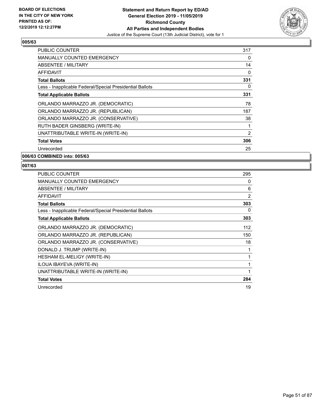

| <b>PUBLIC COUNTER</b>                                    | 317      |
|----------------------------------------------------------|----------|
| <b>MANUALLY COUNTED EMERGENCY</b>                        | 0        |
| <b>ABSENTEE / MILITARY</b>                               | 14       |
| AFFIDAVIT                                                | 0        |
| <b>Total Ballots</b>                                     | 331      |
| Less - Inapplicable Federal/Special Presidential Ballots | $\Omega$ |
| <b>Total Applicable Ballots</b>                          | 331      |
| ORLANDO MARRAZZO JR. (DEMOCRATIC)                        | 78       |
| ORLANDO MARRAZZO JR. (REPUBLICAN)                        | 187      |
| ORLANDO MARRAZZO JR. (CONSERVATIVE)                      | 38       |
| RUTH BADER GINSBERG (WRITE-IN)                           |          |
| UNATTRIBUTABLE WRITE-IN (WRITE-IN)                       | 2        |
| <b>Total Votes</b>                                       | 306      |
| Unrecorded                                               | 25       |
| 006/63 COMBINED into: 005/63                             |          |

| PUBLIC COUNTER                                           | 295 |
|----------------------------------------------------------|-----|
| <b>MANUALLY COUNTED EMERGENCY</b>                        | 0   |
| <b>ABSENTEE / MILITARY</b>                               | 6   |
| AFFIDAVIT                                                | 2   |
| <b>Total Ballots</b>                                     | 303 |
| Less - Inapplicable Federal/Special Presidential Ballots | 0   |
| <b>Total Applicable Ballots</b>                          | 303 |
| ORLANDO MARRAZZO JR. (DEMOCRATIC)                        | 112 |
| ORLANDO MARRAZZO JR. (REPUBLICAN)                        | 150 |
| ORLANDO MARRAZZO JR. (CONSERVATIVE)                      | 18  |
| DONALD J. TRUMP (WRITE-IN)                               | 1   |
| <b>HESHAM EL-MELIGY (WRITE-IN)</b>                       | 1   |
| ILOUA IBAYEVA (WRITE-IN)                                 | 1   |
| UNATTRIBUTABLE WRITE-IN (WRITE-IN)                       | 1   |
| <b>Total Votes</b>                                       | 284 |
| Unrecorded                                               | 19  |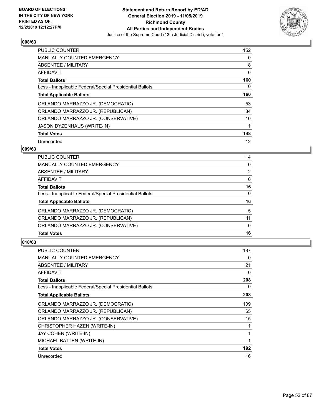

| <b>PUBLIC COUNTER</b>                                    | 152 |
|----------------------------------------------------------|-----|
| <b>MANUALLY COUNTED EMERGENCY</b>                        | 0   |
| ABSENTEE / MILITARY                                      | 8   |
| AFFIDAVIT                                                | 0   |
| <b>Total Ballots</b>                                     | 160 |
| Less - Inapplicable Federal/Special Presidential Ballots | 0   |
| <b>Total Applicable Ballots</b>                          | 160 |
| ORLANDO MARRAZZO JR. (DEMOCRATIC)                        | 53  |
| ORLANDO MARRAZZO JR. (REPUBLICAN)                        | 84  |
| ORLANDO MARRAZZO JR. (CONSERVATIVE)                      | 10  |
| <b>JASON DYZENHAUS (WRITE-IN)</b>                        |     |
| <b>Total Votes</b>                                       | 148 |
| Unrecorded                                               | 12  |

### **009/63**

| PUBLIC COUNTER                                           | 14             |
|----------------------------------------------------------|----------------|
| <b>MANUALLY COUNTED EMERGENCY</b>                        | $\Omega$       |
| ABSENTEE / MILITARY                                      | $\overline{2}$ |
| AFFIDAVIT                                                | 0              |
| <b>Total Ballots</b>                                     | 16             |
| Less - Inapplicable Federal/Special Presidential Ballots | $\Omega$       |
| <b>Total Applicable Ballots</b>                          | 16             |
| ORLANDO MARRAZZO JR. (DEMOCRATIC)                        | 5              |
| ORLANDO MARRAZZO JR. (REPUBLICAN)                        | 11             |
| ORLANDO MARRAZZO JR. (CONSERVATIVE)                      | $\Omega$       |
| <b>Total Votes</b>                                       | 16             |

| PUBLIC COUNTER                                           | 187 |
|----------------------------------------------------------|-----|
| <b>MANUALLY COUNTED EMERGENCY</b>                        | 0   |
| ABSENTEE / MILITARY                                      | 21  |
| AFFIDAVIT                                                | 0   |
| <b>Total Ballots</b>                                     | 208 |
| Less - Inapplicable Federal/Special Presidential Ballots | 0   |
| <b>Total Applicable Ballots</b>                          | 208 |
| ORLANDO MARRAZZO JR. (DEMOCRATIC)                        | 109 |
| ORLANDO MARRAZZO JR. (REPUBLICAN)                        | 65  |
| ORLANDO MARRAZZO JR. (CONSERVATIVE)                      | 15  |
| CHRISTOPHER HAZEN (WRITE-IN)                             | 1   |
| <b>JAY COHEN (WRITE-IN)</b>                              | 1   |
| MICHAEL BATTEN (WRITE-IN)                                | 1   |
| <b>Total Votes</b>                                       | 192 |
| Unrecorded                                               | 16  |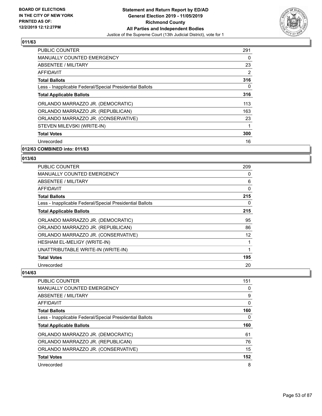

| <b>PUBLIC COUNTER</b>                                    | 291 |
|----------------------------------------------------------|-----|
| <b>MANUALLY COUNTED EMERGENCY</b>                        | 0   |
| ABSENTEE / MILITARY                                      | 23  |
| AFFIDAVIT                                                | 2   |
| <b>Total Ballots</b>                                     | 316 |
| Less - Inapplicable Federal/Special Presidential Ballots | 0   |
| <b>Total Applicable Ballots</b>                          | 316 |
| ORLANDO MARRAZZO JR. (DEMOCRATIC)                        | 113 |
| ORLANDO MARRAZZO JR. (REPUBLICAN)                        | 163 |
| ORLANDO MARRAZZO JR. (CONSERVATIVE)                      | 23  |
| STEVEN MILEVSKI (WRITE-IN)                               | 1   |
| <b>Total Votes</b>                                       | 300 |
| Unrecorded                                               | 16  |
|                                                          |     |

## **012/63 COMBINED into: 011/63**

#### **013/63**

| <b>PUBLIC COUNTER</b>                                    | 209 |
|----------------------------------------------------------|-----|
| <b>MANUALLY COUNTED EMERGENCY</b>                        | 0   |
| ABSENTEE / MILITARY                                      | 6   |
| AFFIDAVIT                                                | 0   |
| <b>Total Ballots</b>                                     | 215 |
| Less - Inapplicable Federal/Special Presidential Ballots | 0   |
| <b>Total Applicable Ballots</b>                          | 215 |
| ORLANDO MARRAZZO JR. (DEMOCRATIC)                        | 95  |
| ORLANDO MARRAZZO JR. (REPUBLICAN)                        | 86  |
| ORLANDO MARRAZZO JR. (CONSERVATIVE)                      | 12  |
| HESHAM EL-MELIGY (WRITE-IN)                              | 1   |
| UNATTRIBUTABLE WRITE-IN (WRITE-IN)                       | 1   |
| <b>Total Votes</b>                                       | 195 |
| Unrecorded                                               | 20  |

| <b>PUBLIC COUNTER</b>                                    | 151 |
|----------------------------------------------------------|-----|
| <b>MANUALLY COUNTED EMERGENCY</b>                        | 0   |
| ABSENTEE / MILITARY                                      | 9   |
| AFFIDAVIT                                                | 0   |
| <b>Total Ballots</b>                                     | 160 |
| Less - Inapplicable Federal/Special Presidential Ballots | 0   |
| <b>Total Applicable Ballots</b>                          | 160 |
| ORLANDO MARRAZZO JR. (DEMOCRATIC)                        | 61  |
| ORLANDO MARRAZZO JR. (REPUBLICAN)                        | 76  |
| ORLANDO MARRAZZO JR. (CONSERVATIVE)                      | 15  |
| <b>Total Votes</b>                                       | 152 |
| Unrecorded                                               | 8   |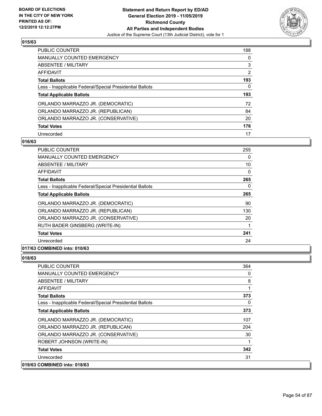

| <b>PUBLIC COUNTER</b>                                    | 188 |
|----------------------------------------------------------|-----|
| <b>MANUALLY COUNTED EMERGENCY</b>                        | 0   |
| ABSENTEE / MILITARY                                      | 3   |
| AFFIDAVIT                                                | 2   |
| <b>Total Ballots</b>                                     | 193 |
| Less - Inapplicable Federal/Special Presidential Ballots | 0   |
|                                                          |     |
| <b>Total Applicable Ballots</b>                          | 193 |
| ORLANDO MARRAZZO JR. (DEMOCRATIC)                        | 72  |
| ORLANDO MARRAZZO JR. (REPUBLICAN)                        | 84  |
| ORLANDO MARRAZZO JR. (CONSERVATIVE)                      | 20  |
| <b>Total Votes</b>                                       | 176 |

#### **016/63**

| PUBLIC COUNTER                                           | 255      |
|----------------------------------------------------------|----------|
| <b>MANUALLY COUNTED EMERGENCY</b>                        | 0        |
| ABSENTEE / MILITARY                                      | 10       |
| AFFIDAVIT                                                | $\Omega$ |
| <b>Total Ballots</b>                                     | 265      |
| Less - Inapplicable Federal/Special Presidential Ballots | 0        |
| <b>Total Applicable Ballots</b>                          | 265      |
| ORLANDO MARRAZZO JR. (DEMOCRATIC)                        | 90       |
| ORLANDO MARRAZZO JR. (REPUBLICAN)                        | 130      |
| ORLANDO MARRAZZO JR. (CONSERVATIVE)                      | 20       |
| RUTH BADER GINSBERG (WRITE-IN)                           | 1        |
| <b>Total Votes</b>                                       | 241      |
| Unrecorded                                               | 24       |

## **017/63 COMBINED into: 010/63**

| PUBLIC COUNTER                                           | 364 |
|----------------------------------------------------------|-----|
| <b>MANUALLY COUNTED EMERGENCY</b>                        | 0   |
| <b>ABSENTEE / MILITARY</b>                               | 8   |
| <b>AFFIDAVIT</b>                                         | 1   |
| <b>Total Ballots</b>                                     | 373 |
| Less - Inapplicable Federal/Special Presidential Ballots | 0   |
| <b>Total Applicable Ballots</b>                          | 373 |
| ORLANDO MARRAZZO JR. (DEMOCRATIC)                        | 107 |
| ORLANDO MARRAZZO JR. (REPUBLICAN)                        | 204 |
| ORLANDO MARRAZZO JR. (CONSERVATIVE)                      | 30  |
| ROBERT JOHNSON (WRITE-IN)                                | 1   |
| <b>Total Votes</b>                                       | 342 |
| Unrecorded                                               | 31  |
| 019/63 COMBINED into: 018/63                             |     |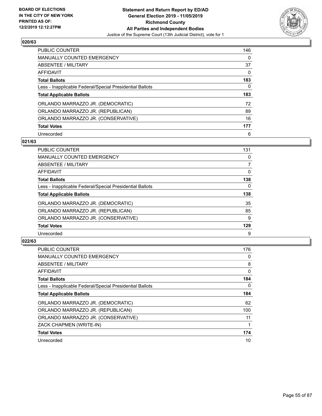

| <b>PUBLIC COUNTER</b>                                    | 146 |
|----------------------------------------------------------|-----|
| <b>MANUALLY COUNTED EMERGENCY</b>                        | 0   |
| ABSENTEE / MILITARY                                      | 37  |
| AFFIDAVIT                                                | 0   |
| <b>Total Ballots</b>                                     | 183 |
| Less - Inapplicable Federal/Special Presidential Ballots | 0   |
|                                                          |     |
| <b>Total Applicable Ballots</b>                          | 183 |
| ORLANDO MARRAZZO JR. (DEMOCRATIC)                        | 72  |
| ORLANDO MARRAZZO JR. (REPUBLICAN)                        | 89  |
| ORLANDO MARRAZZO JR. (CONSERVATIVE)                      | 16  |
| <b>Total Votes</b>                                       | 177 |

#### **021/63**

| <b>PUBLIC COUNTER</b>                                    | 131      |
|----------------------------------------------------------|----------|
| <b>MANUALLY COUNTED EMERGENCY</b>                        | 0        |
| ABSENTEE / MILITARY                                      | 7        |
| <b>AFFIDAVIT</b>                                         | 0        |
| <b>Total Ballots</b>                                     | 138      |
| Less - Inapplicable Federal/Special Presidential Ballots | $\Omega$ |
| <b>Total Applicable Ballots</b>                          | 138      |
| ORLANDO MARRAZZO JR. (DEMOCRATIC)                        | 35       |
| ORLANDO MARRAZZO JR. (REPUBLICAN)                        | 85       |
| ORLANDO MARRAZZO JR. (CONSERVATIVE)                      | 9        |
| <b>Total Votes</b>                                       | 129      |
| Unrecorded                                               | 9        |

| <b>PUBLIC COUNTER</b>                                    | 176 |
|----------------------------------------------------------|-----|
| <b>MANUALLY COUNTED EMERGENCY</b>                        | 0   |
| ABSENTEE / MILITARY                                      | 8   |
| AFFIDAVIT                                                | 0   |
| <b>Total Ballots</b>                                     | 184 |
| Less - Inapplicable Federal/Special Presidential Ballots | 0   |
| <b>Total Applicable Ballots</b>                          | 184 |
| ORLANDO MARRAZZO JR. (DEMOCRATIC)                        | 62  |
| ORLANDO MARRAZZO JR. (REPUBLICAN)                        | 100 |
| ORLANDO MARRAZZO JR. (CONSERVATIVE)                      | 11  |
| ZACK CHAPMEN (WRITE-IN)                                  |     |
| <b>Total Votes</b>                                       | 174 |
| Unrecorded                                               | 10  |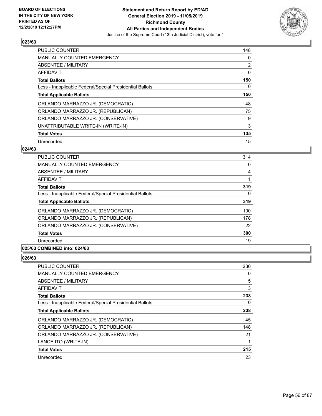

| <b>PUBLIC COUNTER</b>                                    | 148 |
|----------------------------------------------------------|-----|
| <b>MANUALLY COUNTED EMERGENCY</b>                        | 0   |
| ABSENTEE / MILITARY                                      | 2   |
| AFFIDAVIT                                                | 0   |
| <b>Total Ballots</b>                                     | 150 |
| Less - Inapplicable Federal/Special Presidential Ballots | 0   |
| <b>Total Applicable Ballots</b>                          | 150 |
| ORLANDO MARRAZZO JR. (DEMOCRATIC)                        | 48  |
| ORLANDO MARRAZZO JR. (REPUBLICAN)                        | 75  |
| ORLANDO MARRAZZO JR. (CONSERVATIVE)                      | 9   |
| UNATTRIBUTABLE WRITE-IN (WRITE-IN)                       | 3   |
| <b>Total Votes</b>                                       | 135 |
| Unrecorded                                               | 15  |

## **024/63**

| <b>PUBLIC COUNTER</b>                                    | 314      |
|----------------------------------------------------------|----------|
| <b>MANUALLY COUNTED EMERGENCY</b>                        | 0        |
| ABSENTEE / MILITARY                                      | 4        |
| <b>AFFIDAVIT</b>                                         |          |
| <b>Total Ballots</b>                                     | 319      |
| Less - Inapplicable Federal/Special Presidential Ballots | $\Omega$ |
| <b>Total Applicable Ballots</b>                          | 319      |
| ORLANDO MARRAZZO JR. (DEMOCRATIC)                        | 100      |
| ORLANDO MARRAZZO JR. (REPUBLICAN)                        | 178      |
| ORLANDO MARRAZZO JR. (CONSERVATIVE)                      | 22       |
| <b>Total Votes</b>                                       | 300      |
| Unrecorded                                               | 19       |

## **025/63 COMBINED into: 024/63**

| PUBLIC COUNTER                                           | 230 |
|----------------------------------------------------------|-----|
| <b>MANUALLY COUNTED EMERGENCY</b>                        | 0   |
| ABSENTEE / MILITARY                                      | 5   |
| AFFIDAVIT                                                | 3   |
| <b>Total Ballots</b>                                     | 238 |
| Less - Inapplicable Federal/Special Presidential Ballots | 0   |
| <b>Total Applicable Ballots</b>                          | 238 |
| ORLANDO MARRAZZO JR. (DEMOCRATIC)                        | 45  |
| ORLANDO MARRAZZO JR. (REPUBLICAN)                        | 148 |
| ORLANDO MARRAZZO JR. (CONSERVATIVE)                      | 21  |
| LANCE ITO (WRITE-IN)                                     |     |
| <b>Total Votes</b>                                       | 215 |
| Unrecorded                                               | 23  |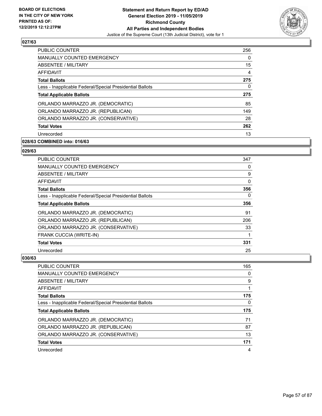

| <b>PUBLIC COUNTER</b>                                    | 256 |
|----------------------------------------------------------|-----|
| <b>MANUALLY COUNTED EMERGENCY</b>                        | 0   |
| ABSENTEE / MILITARY                                      | 15  |
| <b>AFFIDAVIT</b>                                         | 4   |
| <b>Total Ballots</b>                                     | 275 |
| Less - Inapplicable Federal/Special Presidential Ballots | 0   |
| <b>Total Applicable Ballots</b>                          | 275 |
| ORLANDO MARRAZZO JR. (DEMOCRATIC)                        | 85  |
| ORLANDO MARRAZZO JR. (REPUBLICAN)                        | 149 |
| ORLANDO MARRAZZO JR. (CONSERVATIVE)                      | 28  |
| <b>Total Votes</b>                                       | 262 |
| Unrecorded                                               | 13  |

# **028/63 COMBINED into: 016/63**

#### **029/63**

| PUBLIC COUNTER                                           | 347 |
|----------------------------------------------------------|-----|
| <b>MANUALLY COUNTED EMERGENCY</b>                        | 0   |
| ABSENTEE / MILITARY                                      | 9   |
| AFFIDAVIT                                                | 0   |
| <b>Total Ballots</b>                                     | 356 |
| Less - Inapplicable Federal/Special Presidential Ballots | 0   |
| <b>Total Applicable Ballots</b>                          | 356 |
| ORLANDO MARRAZZO JR. (DEMOCRATIC)                        | 91  |
| ORLANDO MARRAZZO JR. (REPUBLICAN)                        | 206 |
| ORLANDO MARRAZZO JR. (CONSERVATIVE)                      | 33  |
| FRANK CUCCIA (WRITE-IN)                                  | 1   |
| <b>Total Votes</b>                                       | 331 |
| Unrecorded                                               | 25  |

| <b>PUBLIC COUNTER</b>                                    | 165 |
|----------------------------------------------------------|-----|
| <b>MANUALLY COUNTED EMERGENCY</b>                        | 0   |
| ABSENTEE / MILITARY                                      | 9   |
| AFFIDAVIT                                                |     |
| <b>Total Ballots</b>                                     | 175 |
| Less - Inapplicable Federal/Special Presidential Ballots | 0   |
|                                                          |     |
| <b>Total Applicable Ballots</b>                          | 175 |
| ORLANDO MARRAZZO JR. (DEMOCRATIC)                        | 71  |
| ORLANDO MARRAZZO JR. (REPUBLICAN)                        | 87  |
| ORLANDO MARRAZZO JR. (CONSERVATIVE)                      | 13  |
| <b>Total Votes</b>                                       | 171 |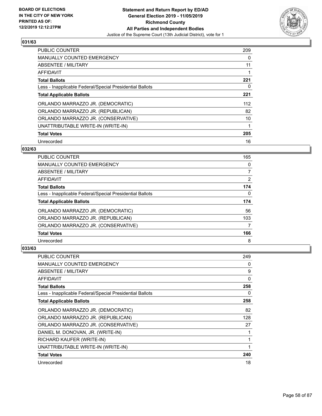

| PUBLIC COUNTER                                           | 209 |
|----------------------------------------------------------|-----|
| <b>MANUALLY COUNTED EMERGENCY</b>                        | 0   |
| ABSENTEE / MILITARY                                      | 11  |
| AFFIDAVIT                                                |     |
| <b>Total Ballots</b>                                     | 221 |
| Less - Inapplicable Federal/Special Presidential Ballots | 0   |
| <b>Total Applicable Ballots</b>                          | 221 |
| ORLANDO MARRAZZO JR. (DEMOCRATIC)                        | 112 |
| ORLANDO MARRAZZO JR. (REPUBLICAN)                        | 82  |
| ORLANDO MARRAZZO JR. (CONSERVATIVE)                      | 10  |
| UNATTRIBUTABLE WRITE-IN (WRITE-IN)                       | 1   |
| <b>Total Votes</b>                                       | 205 |
| Unrecorded                                               | 16  |

## **032/63**

| <b>PUBLIC COUNTER</b>                                    | 165            |
|----------------------------------------------------------|----------------|
| <b>MANUALLY COUNTED EMERGENCY</b>                        | 0              |
| <b>ABSENTEE / MILITARY</b>                               | 7              |
| AFFIDAVIT                                                | $\overline{2}$ |
| <b>Total Ballots</b>                                     | 174            |
| Less - Inapplicable Federal/Special Presidential Ballots | $\Omega$       |
| <b>Total Applicable Ballots</b>                          | 174            |
| ORLANDO MARRAZZO JR. (DEMOCRATIC)                        | 56             |
| ORLANDO MARRAZZO JR. (REPUBLICAN)                        | 103            |
| ORLANDO MARRAZZO JR. (CONSERVATIVE)                      | 7              |
| <b>Total Votes</b>                                       | 166            |
| Unrecorded                                               | 8              |

| PUBLIC COUNTER                                           | 249 |
|----------------------------------------------------------|-----|
| <b>MANUALLY COUNTED EMERGENCY</b>                        | 0   |
| ABSENTEE / MILITARY                                      | 9   |
| AFFIDAVIT                                                | 0   |
| <b>Total Ballots</b>                                     | 258 |
| Less - Inapplicable Federal/Special Presidential Ballots | 0   |
| <b>Total Applicable Ballots</b>                          | 258 |
| ORLANDO MARRAZZO JR. (DEMOCRATIC)                        | 82  |
| ORLANDO MARRAZZO JR. (REPUBLICAN)                        | 128 |
| ORLANDO MARRAZZO JR. (CONSERVATIVE)                      | 27  |
| DANIEL M. DONOVAN, JR. (WRITE-IN)                        | 1   |
| RICHARD KAUFER (WRITE-IN)                                | 1   |
| UNATTRIBUTABLE WRITE-IN (WRITE-IN)                       | 1   |
| <b>Total Votes</b>                                       | 240 |
| Unrecorded                                               | 18  |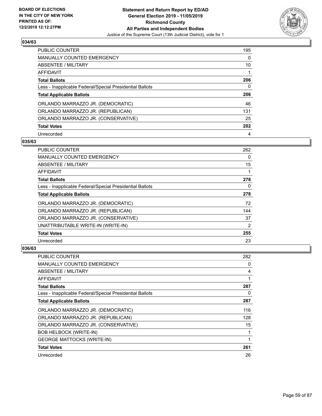

| <b>PUBLIC COUNTER</b>                                    | 195      |
|----------------------------------------------------------|----------|
| <b>MANUALLY COUNTED EMERGENCY</b>                        | $\Omega$ |
| ABSENTEE / MILITARY                                      | 10       |
| AFFIDAVIT                                                |          |
| <b>Total Ballots</b>                                     | 206      |
| Less - Inapplicable Federal/Special Presidential Ballots | 0        |
| <b>Total Applicable Ballots</b>                          | 206      |
|                                                          |          |
| ORLANDO MARRAZZO JR. (DEMOCRATIC)                        | 46       |
| ORLANDO MARRAZZO JR. (REPUBLICAN)                        | 131      |
| ORLANDO MARRAZZO JR. (CONSERVATIVE)                      | 25       |
| <b>Total Votes</b>                                       | 202      |

#### **035/63**

| <b>PUBLIC COUNTER</b>                                    | 262            |
|----------------------------------------------------------|----------------|
| <b>MANUALLY COUNTED EMERGENCY</b>                        | 0              |
| ABSENTEE / MILITARY                                      | 15             |
| AFFIDAVIT                                                |                |
| <b>Total Ballots</b>                                     | 278            |
| Less - Inapplicable Federal/Special Presidential Ballots | 0              |
| <b>Total Applicable Ballots</b>                          | 278            |
| ORLANDO MARRAZZO JR. (DEMOCRATIC)                        | 72             |
| ORLANDO MARRAZZO JR. (REPUBLICAN)                        | 144            |
| ORLANDO MARRAZZO JR. (CONSERVATIVE)                      | 37             |
| UNATTRIBUTABLE WRITE-IN (WRITE-IN)                       | $\overline{2}$ |
| <b>Total Votes</b>                                       | 255            |
| Unrecorded                                               | 23             |

| PUBLIC COUNTER                                           | 282 |
|----------------------------------------------------------|-----|
| <b>MANUALLY COUNTED EMERGENCY</b>                        | 0   |
| ABSENTEE / MILITARY                                      | 4   |
| AFFIDAVIT                                                | 1   |
| <b>Total Ballots</b>                                     | 287 |
| Less - Inapplicable Federal/Special Presidential Ballots | 0   |
| <b>Total Applicable Ballots</b>                          | 287 |
| ORLANDO MARRAZZO JR. (DEMOCRATIC)                        | 116 |
| ORLANDO MARRAZZO JR. (REPUBLICAN)                        | 128 |
| ORLANDO MARRAZZO JR. (CONSERVATIVE)                      | 15  |
| <b>BOB HELBOCK (WRITE-IN)</b>                            | 1   |
| <b>GEORGE MATTOCKS (WRITE-IN)</b>                        | 1   |
| <b>Total Votes</b>                                       | 261 |
| Unrecorded                                               | 26  |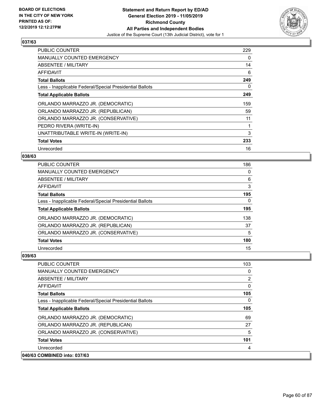

| PUBLIC COUNTER                                           | 229 |
|----------------------------------------------------------|-----|
| <b>MANUALLY COUNTED EMERGENCY</b>                        | 0   |
| ABSENTEE / MILITARY                                      | 14  |
| AFFIDAVIT                                                | 6   |
| <b>Total Ballots</b>                                     | 249 |
| Less - Inapplicable Federal/Special Presidential Ballots | 0   |
| <b>Total Applicable Ballots</b>                          | 249 |
| ORLANDO MARRAZZO JR. (DEMOCRATIC)                        | 159 |
| ORLANDO MARRAZZO JR. (REPUBLICAN)                        | 59  |
| ORLANDO MARRAZZO JR. (CONSERVATIVE)                      | 11  |
| PEDRO RIVERA (WRITE-IN)                                  | 1   |
| UNATTRIBUTABLE WRITE-IN (WRITE-IN)                       | 3   |
| <b>Total Votes</b>                                       | 233 |
| Unrecorded                                               | 16  |

## **038/63**

| PUBLIC COUNTER                                           | 186 |
|----------------------------------------------------------|-----|
| MANUALLY COUNTED EMERGENCY                               | 0   |
| ABSENTEE / MILITARY                                      | 6   |
| AFFIDAVIT                                                | 3   |
| <b>Total Ballots</b>                                     | 195 |
| Less - Inapplicable Federal/Special Presidential Ballots | 0   |
| <b>Total Applicable Ballots</b>                          | 195 |
| ORLANDO MARRAZZO JR. (DEMOCRATIC)                        | 138 |
| ORLANDO MARRAZZO JR. (REPUBLICAN)                        | 37  |
| ORLANDO MARRAZZO JR. (CONSERVATIVE)                      | 5   |
| <b>Total Votes</b>                                       | 180 |
| Unrecorded                                               | 15  |

| PUBLIC COUNTER                                           | 103 |
|----------------------------------------------------------|-----|
| <b>MANUALLY COUNTED EMERGENCY</b>                        | 0   |
| ABSENTEE / MILITARY                                      | 2   |
| AFFIDAVIT                                                | 0   |
| <b>Total Ballots</b>                                     | 105 |
| Less - Inapplicable Federal/Special Presidential Ballots | 0   |
| <b>Total Applicable Ballots</b>                          | 105 |
| ORLANDO MARRAZZO JR. (DEMOCRATIC)                        | 69  |
| ORLANDO MARRAZZO JR. (REPUBLICAN)                        | 27  |
| ORLANDO MARRAZZO JR. (CONSERVATIVE)                      | 5   |
| <b>Total Votes</b>                                       | 101 |
| Unrecorded                                               | 4   |
| 040/63 COMBINED into: 037/63                             |     |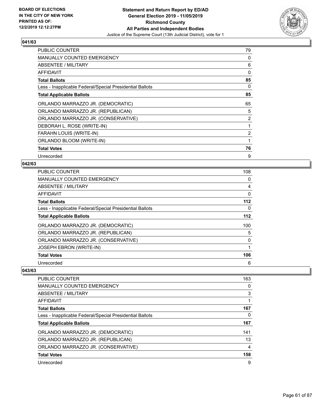

| <b>PUBLIC COUNTER</b>                                    | 79 |
|----------------------------------------------------------|----|
| <b>MANUALLY COUNTED EMERGENCY</b>                        | 0  |
| ABSENTEE / MILITARY                                      | 6  |
| AFFIDAVIT                                                | 0  |
| <b>Total Ballots</b>                                     | 85 |
| Less - Inapplicable Federal/Special Presidential Ballots | 0  |
| <b>Total Applicable Ballots</b>                          | 85 |
| ORLANDO MARRAZZO JR. (DEMOCRATIC)                        | 65 |
| ORLANDO MARRAZZO JR. (REPUBLICAN)                        | 5  |
| ORLANDO MARRAZZO JR. (CONSERVATIVE)                      | 2  |
| DEBORAH L. ROSE (WRITE-IN)                               | 1  |
| <b>FARAHN LOUIS (WRITE-IN)</b>                           | 2  |
| ORLANDO BLOOM (WRITE-IN)                                 | 1  |
| <b>Total Votes</b>                                       | 76 |
| Unrecorded                                               | 9  |

### **042/63**

| <b>PUBLIC COUNTER</b>                                    | 108   |
|----------------------------------------------------------|-------|
| <b>MANUALLY COUNTED EMERGENCY</b>                        | 0     |
| ABSENTEE / MILITARY                                      | 4     |
| AFFIDAVIT                                                | 0     |
| <b>Total Ballots</b>                                     | $112$ |
| Less - Inapplicable Federal/Special Presidential Ballots | 0     |
| <b>Total Applicable Ballots</b>                          | $112$ |
| ORLANDO MARRAZZO JR. (DEMOCRATIC)                        | 100   |
| ORLANDO MARRAZZO JR. (REPUBLICAN)                        | 5     |
| ORLANDO MARRAZZO JR. (CONSERVATIVE)                      | 0     |
| <b>JOSEPH EBRON (WRITE-IN)</b>                           |       |
| <b>Total Votes</b>                                       | 106   |
| Unrecorded                                               | 6     |

| <b>PUBLIC COUNTER</b>                                    | 163 |
|----------------------------------------------------------|-----|
| <b>MANUALLY COUNTED EMERGENCY</b>                        | 0   |
| ABSENTEE / MILITARY                                      | 3   |
| AFFIDAVIT                                                |     |
| <b>Total Ballots</b>                                     | 167 |
| Less - Inapplicable Federal/Special Presidential Ballots | 0   |
| <b>Total Applicable Ballots</b>                          | 167 |
| ORLANDO MARRAZZO JR. (DEMOCRATIC)                        | 141 |
| ORLANDO MARRAZZO JR. (REPUBLICAN)                        | 13  |
| ORLANDO MARRAZZO JR. (CONSERVATIVE)                      | 4   |
| <b>Total Votes</b>                                       | 158 |
| Unrecorded                                               | 9   |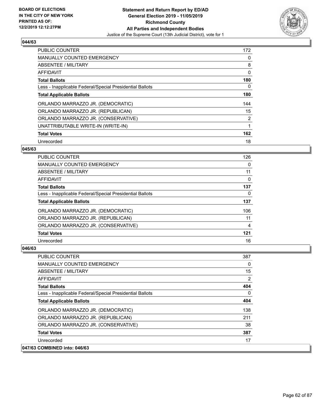

| <b>PUBLIC COUNTER</b>                                    | 172 |
|----------------------------------------------------------|-----|
| <b>MANUALLY COUNTED EMERGENCY</b>                        | 0   |
| ABSENTEE / MILITARY                                      | 8   |
| AFFIDAVIT                                                | 0   |
| <b>Total Ballots</b>                                     | 180 |
| Less - Inapplicable Federal/Special Presidential Ballots | 0   |
| <b>Total Applicable Ballots</b>                          | 180 |
| ORLANDO MARRAZZO JR. (DEMOCRATIC)                        | 144 |
| ORLANDO MARRAZZO JR. (REPUBLICAN)                        | 15  |
| ORLANDO MARRAZZO JR. (CONSERVATIVE)                      | 2   |
| UNATTRIBUTABLE WRITE-IN (WRITE-IN)                       | 1   |
| <b>Total Votes</b>                                       | 162 |
| Unrecorded                                               | 18  |

#### **045/63**

| <b>PUBLIC COUNTER</b>                                    | 126 |
|----------------------------------------------------------|-----|
| <b>MANUALLY COUNTED EMERGENCY</b>                        | 0   |
| ABSENTEE / MILITARY                                      | 11  |
| <b>AFFIDAVIT</b>                                         | 0   |
| <b>Total Ballots</b>                                     | 137 |
| Less - Inapplicable Federal/Special Presidential Ballots | 0   |
| <b>Total Applicable Ballots</b>                          | 137 |
| ORLANDO MARRAZZO JR. (DEMOCRATIC)                        | 106 |
| ORLANDO MARRAZZO JR. (REPUBLICAN)                        | 11  |
| ORLANDO MARRAZZO JR. (CONSERVATIVE)                      | 4   |
| <b>Total Votes</b>                                       | 121 |
| Unrecorded                                               | 16  |

| PUBLIC COUNTER                                           | 387          |
|----------------------------------------------------------|--------------|
| <b>MANUALLY COUNTED EMERGENCY</b>                        | $\Omega$     |
| ABSENTEE / MILITARY                                      | 15           |
| AFFIDAVIT                                                | 2            |
| <b>Total Ballots</b>                                     | 404          |
| Less - Inapplicable Federal/Special Presidential Ballots | $\mathbf{0}$ |
| <b>Total Applicable Ballots</b>                          | 404          |
| ORLANDO MARRAZZO JR. (DEMOCRATIC)                        | 138          |
| ORLANDO MARRAZZO JR. (REPUBLICAN)                        | 211          |
| ORLANDO MARRAZZO JR. (CONSERVATIVE)                      | 38           |
| <b>Total Votes</b>                                       | 387          |
| Unrecorded                                               | 17           |
| 047/63 COMBINED into: 046/63                             |              |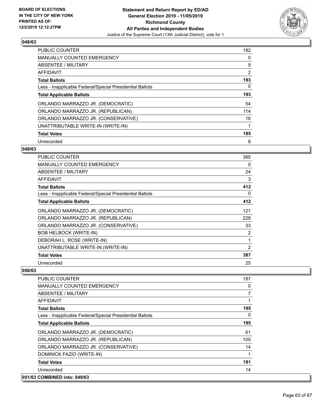

| <b>PUBLIC COUNTER</b>                                    | 182 |
|----------------------------------------------------------|-----|
| <b>MANUALLY COUNTED EMERGENCY</b>                        | 0   |
| ABSENTEE / MILITARY                                      | 9   |
| <b>AFFIDAVIT</b>                                         | 2   |
| <b>Total Ballots</b>                                     | 193 |
| Less - Inapplicable Federal/Special Presidential Ballots | 0   |
| <b>Total Applicable Ballots</b>                          | 193 |
| ORLANDO MARRAZZO JR. (DEMOCRATIC)                        | 54  |
| ORLANDO MARRAZZO JR. (REPUBLICAN)                        | 114 |
| ORLANDO MARRAZZO JR. (CONSERVATIVE)                      | 16  |
| UNATTRIBUTABLE WRITE-IN (WRITE-IN)                       | 1   |
| <b>Total Votes</b>                                       | 185 |
| Unrecorded                                               | 8   |

#### **049/63**

| <b>PUBLIC COUNTER</b>                                    | 385            |
|----------------------------------------------------------|----------------|
| <b>MANUALLY COUNTED EMERGENCY</b>                        | 0              |
| <b>ABSENTEE / MILITARY</b>                               | 24             |
| <b>AFFIDAVIT</b>                                         | 3              |
| <b>Total Ballots</b>                                     | 412            |
| Less - Inapplicable Federal/Special Presidential Ballots | 0              |
| <b>Total Applicable Ballots</b>                          | 412            |
| ORLANDO MARRAZZO JR. (DEMOCRATIC)                        | 121            |
| ORLANDO MARRAZZO JR. (REPUBLICAN)                        | 228            |
| ORLANDO MARRAZZO JR. (CONSERVATIVE)                      | 33             |
| <b>BOB HELBOCK (WRITE-IN)</b>                            | 2              |
| DEBORAH L. ROSE (WRITE-IN)                               | 1              |
| UNATTRIBUTABLE WRITE-IN (WRITE-IN)                       | $\overline{2}$ |
| <b>Total Votes</b>                                       | 387            |
| Unrecorded                                               | 25             |

| PUBLIC COUNTER                                           | 187            |
|----------------------------------------------------------|----------------|
| <b>MANUALLY COUNTED EMERGENCY</b>                        | 0              |
| ABSENTEE / MILITARY                                      | $\overline{7}$ |
| AFFIDAVIT                                                |                |
| <b>Total Ballots</b>                                     | 195            |
| Less - Inapplicable Federal/Special Presidential Ballots | $\Omega$       |
| <b>Total Applicable Ballots</b>                          | 195            |
| ORLANDO MARRAZZO JR. (DEMOCRATIC)                        | 61             |
| ORLANDO MARRAZZO JR. (REPUBLICAN)                        | 105            |
| ORLANDO MARRAZZO JR. (CONSERVATIVE)                      | 14             |
| DOMINICK FAZIO (WRITE-IN)                                |                |
| <b>Total Votes</b>                                       | 181            |
| Unrecorded                                               | 14             |
| 051/63 COMBINED into: 049/63                             |                |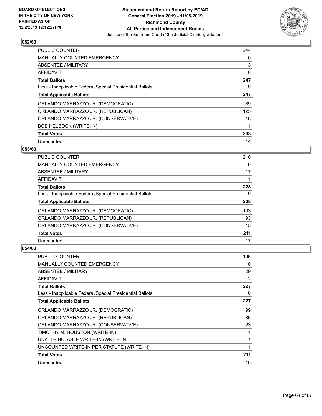

| <b>PUBLIC COUNTER</b>                                    | 244 |
|----------------------------------------------------------|-----|
| <b>MANUALLY COUNTED EMERGENCY</b>                        | 0   |
| ABSENTEE / MILITARY                                      | 3   |
| AFFIDAVIT                                                | 0   |
| <b>Total Ballots</b>                                     | 247 |
| Less - Inapplicable Federal/Special Presidential Ballots | 0   |
| <b>Total Applicable Ballots</b>                          | 247 |
| ORLANDO MARRAZZO JR. (DEMOCRATIC)                        | 89  |
| ORLANDO MARRAZZO JR. (REPUBLICAN)                        | 125 |
| ORLANDO MARRAZZO JR. (CONSERVATIVE)                      | 18  |
| <b>BOB HELBOCK (WRITE-IN)</b>                            | 1   |
| <b>Total Votes</b>                                       | 233 |
| Unrecorded                                               | 14  |

#### **053/63**

| <b>PUBLIC COUNTER</b>                                    | 210 |
|----------------------------------------------------------|-----|
| MANUALLY COUNTED EMERGENCY                               | 0   |
| ABSENTEE / MILITARY                                      | 17  |
| <b>AFFIDAVIT</b>                                         |     |
| <b>Total Ballots</b>                                     | 228 |
| Less - Inapplicable Federal/Special Presidential Ballots | 0   |
| <b>Total Applicable Ballots</b>                          | 228 |
| ORLANDO MARRAZZO JR. (DEMOCRATIC)                        | 103 |
| ORLANDO MARRAZZO JR. (REPUBLICAN)                        | 93  |
| ORLANDO MARRAZZO JR. (CONSERVATIVE)                      | 15  |
| <b>Total Votes</b>                                       | 211 |
| Unrecorded                                               | 17  |

| <b>PUBLIC COUNTER</b>                                    | 196 |
|----------------------------------------------------------|-----|
| <b>MANUALLY COUNTED EMERGENCY</b>                        | 0   |
| <b>ABSENTEE / MILITARY</b>                               | 29  |
| AFFIDAVIT                                                | 2   |
| <b>Total Ballots</b>                                     | 227 |
| Less - Inapplicable Federal/Special Presidential Ballots | 0   |
| <b>Total Applicable Ballots</b>                          | 227 |
| ORLANDO MARRAZZO JR. (DEMOCRATIC)                        | 99  |
| ORLANDO MARRAZZO JR. (REPUBLICAN)                        | 86  |
| ORLANDO MARRAZZO JR. (CONSERVATIVE)                      | 23  |
| TIMOTHY M. HOUSTON (WRITE-IN)                            |     |
| UNATTRIBUTABLE WRITE-IN (WRITE-IN)                       | 1   |
| UNCOUNTED WRITE-IN PER STATUTE (WRITE-IN)                | 1   |
| <b>Total Votes</b>                                       | 211 |
| Unrecorded                                               | 16  |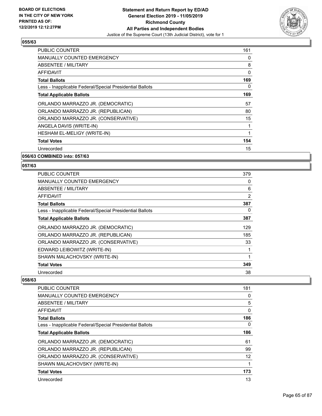

| <b>PUBLIC COUNTER</b>                                    | 161 |
|----------------------------------------------------------|-----|
| <b>MANUALLY COUNTED EMERGENCY</b>                        | 0   |
| ABSENTEE / MILITARY                                      | 8   |
| <b>AFFIDAVIT</b>                                         | 0   |
| <b>Total Ballots</b>                                     | 169 |
| Less - Inapplicable Federal/Special Presidential Ballots | 0   |
| <b>Total Applicable Ballots</b>                          | 169 |
| ORLANDO MARRAZZO JR. (DEMOCRATIC)                        | 57  |
| ORLANDO MARRAZZO JR. (REPUBLICAN)                        | 80  |
| ORLANDO MARRAZZO JR. (CONSERVATIVE)                      | 15  |
| ANGELA DAVIS (WRITE-IN)                                  | 1   |
| HESHAM EL-MELIGY (WRITE-IN)                              | 1   |
| <b>Total Votes</b>                                       | 154 |
| Unrecorded                                               | 15  |
|                                                          |     |

**056/63 COMBINED into: 057/63**

#### **057/63**

| <b>PUBLIC COUNTER</b>                                    | 379          |
|----------------------------------------------------------|--------------|
| MANUALLY COUNTED EMERGENCY                               | 0            |
| ABSENTEE / MILITARY                                      | 6            |
| AFFIDAVIT                                                | 2            |
| <b>Total Ballots</b>                                     | 387          |
| Less - Inapplicable Federal/Special Presidential Ballots | 0            |
| <b>Total Applicable Ballots</b>                          | 387          |
| ORLANDO MARRAZZO JR. (DEMOCRATIC)                        | 129          |
| ORLANDO MARRAZZO JR. (REPUBLICAN)                        | 185          |
| ORLANDO MARRAZZO JR. (CONSERVATIVE)                      | 33           |
| EDWARD LEIBOWITZ (WRITE-IN)                              | 1            |
| SHAWN MALACHOVSKY (WRITE-IN)                             | $\mathbf{1}$ |
| <b>Total Votes</b>                                       | 349          |
| Unrecorded                                               | 38           |

| <b>PUBLIC COUNTER</b>                                    | 181 |
|----------------------------------------------------------|-----|
| <b>MANUALLY COUNTED EMERGENCY</b>                        | 0   |
| ABSENTEE / MILITARY                                      | 5   |
| AFFIDAVIT                                                | 0   |
| <b>Total Ballots</b>                                     | 186 |
| Less - Inapplicable Federal/Special Presidential Ballots | 0   |
| <b>Total Applicable Ballots</b>                          | 186 |
| ORLANDO MARRAZZO JR. (DEMOCRATIC)                        | 61  |
| ORLANDO MARRAZZO JR. (REPUBLICAN)                        | 99  |
| ORLANDO MARRAZZO JR. (CONSERVATIVE)                      | 12  |
| SHAWN MALACHOVSKY (WRITE-IN)                             |     |
| <b>Total Votes</b>                                       | 173 |
| Unrecorded                                               | 13  |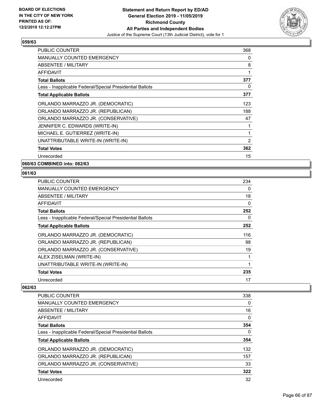

| <b>PUBLIC COUNTER</b>                                    | 368 |
|----------------------------------------------------------|-----|
| <b>MANUALLY COUNTED EMERGENCY</b>                        | 0   |
| ABSENTEE / MILITARY                                      | 8   |
| <b>AFFIDAVIT</b>                                         | 1   |
| <b>Total Ballots</b>                                     | 377 |
| Less - Inapplicable Federal/Special Presidential Ballots | 0   |
| <b>Total Applicable Ballots</b>                          | 377 |
| ORLANDO MARRAZZO JR. (DEMOCRATIC)                        | 123 |
| ORLANDO MARRAZZO JR. (REPUBLICAN)                        | 188 |
| ORLANDO MARRAZZO JR. (CONSERVATIVE)                      | 47  |
| JENNIFER C. EDWARDS (WRITE-IN)                           | 1   |
| MICHAEL E. GUTIERREZ (WRITE-IN)                          | 1   |
| UNATTRIBUTABLE WRITE-IN (WRITE-IN)                       | 2   |
| <b>Total Votes</b>                                       | 362 |
| Unrecorded                                               | 15  |

**060/63 COMBINED into: 082/63**

## **061/63**

| PUBLIC COUNTER                                           | 234 |
|----------------------------------------------------------|-----|
| <b>MANUALLY COUNTED EMERGENCY</b>                        | 0   |
| ABSENTEE / MILITARY                                      | 18  |
| AFFIDAVIT                                                | 0   |
| <b>Total Ballots</b>                                     | 252 |
| Less - Inapplicable Federal/Special Presidential Ballots | 0   |
| <b>Total Applicable Ballots</b>                          | 252 |
| ORLANDO MARRAZZO JR. (DEMOCRATIC)                        | 116 |
| ORLANDO MARRAZZO JR. (REPUBLICAN)                        | 98  |
| ORLANDO MARRAZZO JR. (CONSERVATIVE)                      | 19  |
| ALEX ZISELMAN (WRITE-IN)                                 | 1   |
| UNATTRIBUTABLE WRITE-IN (WRITE-IN)                       | 1   |
| <b>Total Votes</b>                                       | 235 |
| Unrecorded                                               | 17  |

| PUBLIC COUNTER                                           | 338 |
|----------------------------------------------------------|-----|
| <b>MANUALLY COUNTED EMERGENCY</b>                        | 0   |
| ABSENTEE / MILITARY                                      | 16  |
| AFFIDAVIT                                                | 0   |
| <b>Total Ballots</b>                                     | 354 |
| Less - Inapplicable Federal/Special Presidential Ballots | 0   |
| <b>Total Applicable Ballots</b>                          | 354 |
| ORLANDO MARRAZZO JR. (DEMOCRATIC)                        | 132 |
| ORLANDO MARRAZZO JR. (REPUBLICAN)                        | 157 |
| ORLANDO MARRAZZO JR. (CONSERVATIVE)                      | 33  |
| <b>Total Votes</b>                                       | 322 |
| Unrecorded                                               | 32  |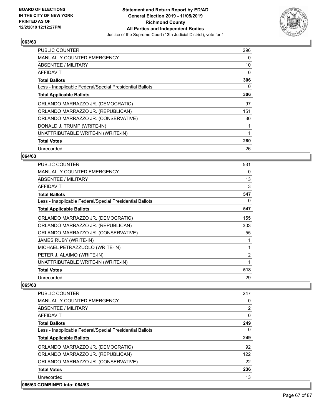

| PUBLIC COUNTER                                           | 296 |
|----------------------------------------------------------|-----|
| <b>MANUALLY COUNTED EMERGENCY</b>                        | 0   |
| <b>ABSENTEE / MILITARY</b>                               | 10  |
| AFFIDAVIT                                                | 0   |
| <b>Total Ballots</b>                                     | 306 |
| Less - Inapplicable Federal/Special Presidential Ballots | 0   |
| <b>Total Applicable Ballots</b>                          | 306 |
| ORLANDO MARRAZZO JR. (DEMOCRATIC)                        | 97  |
| ORLANDO MARRAZZO JR. (REPUBLICAN)                        | 151 |
| ORLANDO MARRAZZO JR. (CONSERVATIVE)                      | 30  |
| DONALD J. TRUMP (WRITE-IN)                               | 1   |
| UNATTRIBUTABLE WRITE-IN (WRITE-IN)                       | 1   |
| <b>Total Votes</b>                                       | 280 |
| Unrecorded                                               | 26  |

## **064/63**

| <b>PUBLIC COUNTER</b>                                    | 531            |
|----------------------------------------------------------|----------------|
| <b>MANUALLY COUNTED EMERGENCY</b>                        | 0              |
| ABSENTEE / MILITARY                                      | 13             |
| AFFIDAVIT                                                | 3              |
| <b>Total Ballots</b>                                     | 547            |
| Less - Inapplicable Federal/Special Presidential Ballots | 0              |
| <b>Total Applicable Ballots</b>                          | 547            |
| ORLANDO MARRAZZO JR. (DEMOCRATIC)                        | 155            |
| ORLANDO MARRAZZO JR. (REPUBLICAN)                        | 303            |
| ORLANDO MARRAZZO JR. (CONSERVATIVE)                      | 55             |
| JAMES RUBY (WRITE-IN)                                    | 1              |
| MICHAEL PETRAZZUOLO (WRITE-IN)                           | 1              |
| PETER J. ALAIMO (WRITE-IN)                               | $\overline{2}$ |
| UNATTRIBUTABLE WRITE-IN (WRITE-IN)                       | 1              |
| <b>Total Votes</b>                                       | 518            |
| Unrecorded                                               | 29             |

| PUBLIC COUNTER                                           | 247            |
|----------------------------------------------------------|----------------|
| <b>MANUALLY COUNTED EMERGENCY</b>                        | 0              |
| ABSENTEE / MILITARY                                      | $\overline{2}$ |
| AFFIDAVIT                                                | 0              |
| <b>Total Ballots</b>                                     | 249            |
| Less - Inapplicable Federal/Special Presidential Ballots | $\Omega$       |
| <b>Total Applicable Ballots</b>                          | 249            |
| ORLANDO MARRAZZO JR. (DEMOCRATIC)                        | 92             |
| ORLANDO MARRAZZO JR. (REPUBLICAN)                        | 122            |
| ORLANDO MARRAZZO JR. (CONSERVATIVE)                      | 22             |
| <b>Total Votes</b>                                       | 236            |
| Unrecorded                                               | 13             |
| 066/63 COMBINED into: 064/63                             |                |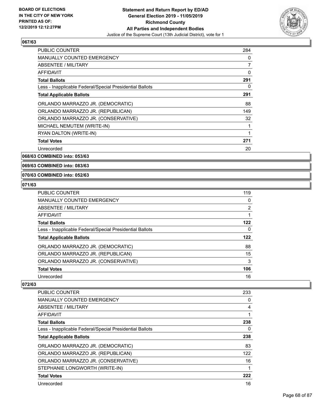

| <b>PUBLIC COUNTER</b>                                    | 284 |
|----------------------------------------------------------|-----|
| <b>MANUALLY COUNTED EMERGENCY</b>                        | 0   |
| <b>ABSENTEE / MILITARY</b>                               | 7   |
| <b>AFFIDAVIT</b>                                         | 0   |
| <b>Total Ballots</b>                                     | 291 |
| Less - Inapplicable Federal/Special Presidential Ballots | 0   |
| <b>Total Applicable Ballots</b>                          | 291 |
| ORLANDO MARRAZZO JR. (DEMOCRATIC)                        | 88  |
| ORLANDO MARRAZZO JR. (REPUBLICAN)                        | 149 |
| ORLANDO MARRAZZO JR. (CONSERVATIVE)                      | 32  |
| MICHAEL NEMUTEM (WRITE-IN)                               |     |
| RYAN DALTON (WRITE-IN)                                   | 1   |
| <b>Total Votes</b>                                       | 271 |
| Unrecorded                                               | 20  |

**068/63 COMBINED into: 053/63**

**069/63 COMBINED into: 083/63**

#### **070/63 COMBINED into: 052/63**

#### **071/63**

| <b>PUBLIC COUNTER</b>                                    | 119 |
|----------------------------------------------------------|-----|
| <b>MANUALLY COUNTED EMERGENCY</b>                        | 0   |
| ABSENTEE / MILITARY                                      | 2   |
| AFFIDAVIT                                                |     |
| <b>Total Ballots</b>                                     | 122 |
| Less - Inapplicable Federal/Special Presidential Ballots | 0   |
| <b>Total Applicable Ballots</b>                          | 122 |
| ORLANDO MARRAZZO JR. (DEMOCRATIC)                        | 88  |
| ORLANDO MARRAZZO JR. (REPUBLICAN)                        | 15  |
| ORLANDO MARRAZZO JR. (CONSERVATIVE)                      | 3   |
| <b>Total Votes</b>                                       | 106 |
| Unrecorded                                               | 16  |

| <b>PUBLIC COUNTER</b>                                    | 233 |
|----------------------------------------------------------|-----|
| <b>MANUALLY COUNTED EMERGENCY</b>                        | 0   |
| ABSENTEE / MILITARY                                      | 4   |
| <b>AFFIDAVIT</b>                                         | 1   |
| <b>Total Ballots</b>                                     | 238 |
| Less - Inapplicable Federal/Special Presidential Ballots | 0   |
| <b>Total Applicable Ballots</b>                          | 238 |
| ORLANDO MARRAZZO JR. (DEMOCRATIC)                        | 83  |
| ORLANDO MARRAZZO JR. (REPUBLICAN)                        | 122 |
| ORLANDO MARRAZZO JR. (CONSERVATIVE)                      | 16  |
| STEPHANIE LONGWORTH (WRITE-IN)                           | 1   |
| <b>Total Votes</b>                                       | 222 |
| Unrecorded                                               | 16  |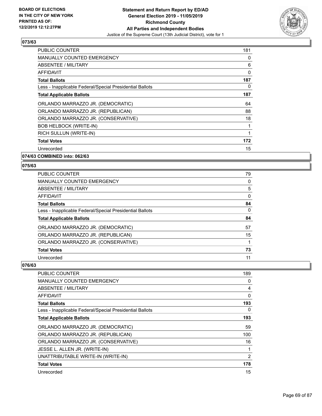

| <b>PUBLIC COUNTER</b>                                    | 181 |
|----------------------------------------------------------|-----|
| <b>MANUALLY COUNTED EMERGENCY</b>                        | 0   |
| <b>ABSENTEE / MILITARY</b>                               | 6   |
| <b>AFFIDAVIT</b>                                         | 0   |
| <b>Total Ballots</b>                                     | 187 |
| Less - Inapplicable Federal/Special Presidential Ballots | 0   |
| <b>Total Applicable Ballots</b>                          | 187 |
| ORLANDO MARRAZZO JR. (DEMOCRATIC)                        | 64  |
| ORLANDO MARRAZZO JR. (REPUBLICAN)                        | 88  |
| ORLANDO MARRAZZO JR. (CONSERVATIVE)                      | 18  |
| <b>BOB HELBOCK (WRITE-IN)</b>                            | 1   |
| RICH SULLUN (WRITE-IN)                                   | 1   |
| <b>Total Votes</b>                                       | 172 |
| Unrecorded                                               | 15  |

**074/63 COMBINED into: 062/63**

#### **075/63**

| PUBLIC COUNTER                                           | 79       |
|----------------------------------------------------------|----------|
| <b>MANUALLY COUNTED EMERGENCY</b>                        | 0        |
| ABSENTEE / MILITARY                                      | 5        |
| AFFIDAVIT                                                | $\Omega$ |
| <b>Total Ballots</b>                                     | 84       |
| Less - Inapplicable Federal/Special Presidential Ballots | 0        |
| <b>Total Applicable Ballots</b>                          | 84       |
| ORLANDO MARRAZZO JR. (DEMOCRATIC)                        | 57       |
| ORLANDO MARRAZZO JR. (REPUBLICAN)                        | 15       |
| ORLANDO MARRAZZO JR. (CONSERVATIVE)                      |          |
| <b>Total Votes</b>                                       | 73       |
| Unrecorded                                               | 11       |

| PUBLIC COUNTER                                           | 189 |
|----------------------------------------------------------|-----|
| MANUALLY COUNTED EMERGENCY                               | 0   |
| ABSENTEE / MILITARY                                      | 4   |
| AFFIDAVIT                                                | 0   |
| <b>Total Ballots</b>                                     | 193 |
| Less - Inapplicable Federal/Special Presidential Ballots | 0   |
| <b>Total Applicable Ballots</b>                          | 193 |
| ORLANDO MARRAZZO JR. (DEMOCRATIC)                        | 59  |
| ORLANDO MARRAZZO JR. (REPUBLICAN)                        | 100 |
| ORLANDO MARRAZZO JR. (CONSERVATIVE)                      | 16  |
| JESSE L. ALLEN JR. (WRITE-IN)                            | 1   |
| UNATTRIBUTABLE WRITE-IN (WRITE-IN)                       | 2   |
| <b>Total Votes</b>                                       | 178 |
| Unrecorded                                               | 15  |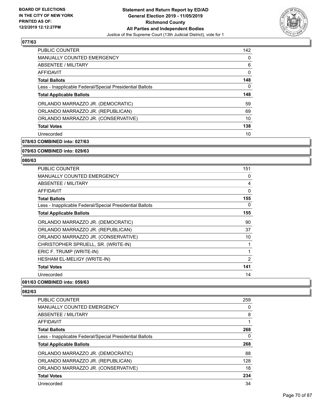

| <b>PUBLIC COUNTER</b>                                    | 142      |
|----------------------------------------------------------|----------|
| <b>MANUALLY COUNTED EMERGENCY</b>                        | 0        |
| ABSENTEE / MILITARY                                      | 6        |
| <b>AFFIDAVIT</b>                                         | $\Omega$ |
| <b>Total Ballots</b>                                     | 148      |
| Less - Inapplicable Federal/Special Presidential Ballots | 0        |
| <b>Total Applicable Ballots</b>                          | 148      |
| ORLANDO MARRAZZO JR. (DEMOCRATIC)                        | 59       |
| ORLANDO MARRAZZO JR. (REPUBLICAN)                        | 69       |
| ORLANDO MARRAZZO JR. (CONSERVATIVE)                      | 10       |
| <b>Total Votes</b>                                       | 138      |
| Unrecorded                                               | 10       |

**078/63 COMBINED into: 027/63**

#### **079/63 COMBINED into: 029/63**

#### **080/63**

| <b>PUBLIC COUNTER</b>                                    | 151 |
|----------------------------------------------------------|-----|
| <b>MANUALLY COUNTED EMERGENCY</b>                        | 0   |
| ABSENTEE / MILITARY                                      | 4   |
| <b>AFFIDAVIT</b>                                         | 0   |
| <b>Total Ballots</b>                                     | 155 |
| Less - Inapplicable Federal/Special Presidential Ballots | 0   |
| <b>Total Applicable Ballots</b>                          | 155 |
| ORLANDO MARRAZZO JR. (DEMOCRATIC)                        | 90  |
| ORLANDO MARRAZZO JR. (REPUBLICAN)                        | 37  |
| ORLANDO MARRAZZO JR. (CONSERVATIVE)                      | 10  |
| CHRISTOPHER SPRUELL, SR. (WRITE-IN)                      | 1   |
| ERIC F. TRUMP (WRITE-IN)                                 | 1   |
| HESHAM EL-MELIGY (WRITE-IN)                              | 2   |
| <b>Total Votes</b>                                       | 141 |
| Unrecorded                                               | 14  |
|                                                          |     |

### **081/63 COMBINED into: 059/63**

| <b>PUBLIC COUNTER</b>                                    | 259 |
|----------------------------------------------------------|-----|
| <b>MANUALLY COUNTED EMERGENCY</b>                        | 0   |
| ABSENTEE / MILITARY                                      | 8   |
| AFFIDAVIT                                                |     |
| <b>Total Ballots</b>                                     | 268 |
| Less - Inapplicable Federal/Special Presidential Ballots | 0   |
| <b>Total Applicable Ballots</b>                          | 268 |
| ORLANDO MARRAZZO JR. (DEMOCRATIC)                        | 88  |
| ORLANDO MARRAZZO JR. (REPUBLICAN)                        | 128 |
| ORLANDO MARRAZZO JR. (CONSERVATIVE)                      | 18  |
| <b>Total Votes</b>                                       | 234 |
| Unrecorded                                               | 34  |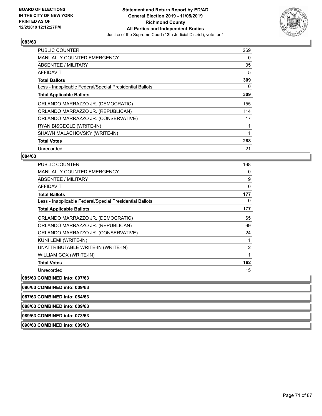

| <b>PUBLIC COUNTER</b>                                    | 269 |
|----------------------------------------------------------|-----|
| <b>MANUALLY COUNTED EMERGENCY</b>                        | 0   |
| <b>ABSENTEE / MILITARY</b>                               | 35  |
| AFFIDAVIT                                                | 5   |
| <b>Total Ballots</b>                                     | 309 |
| Less - Inapplicable Federal/Special Presidential Ballots | 0   |
| <b>Total Applicable Ballots</b>                          | 309 |
| ORLANDO MARRAZZO JR. (DEMOCRATIC)                        | 155 |
| ORLANDO MARRAZZO JR. (REPUBLICAN)                        | 114 |
| ORLANDO MARRAZZO JR. (CONSERVATIVE)                      | 17  |
| RYAN BISCEGLE (WRITE-IN)                                 | 1   |
| SHAWN MALACHOVSKY (WRITE-IN)                             | 1   |
| <b>Total Votes</b>                                       | 288 |
| Unrecorded                                               | 21  |

#### **084/63**

| <b>PUBLIC COUNTER</b>                                    | 168 |
|----------------------------------------------------------|-----|
| <b>MANUALLY COUNTED EMERGENCY</b>                        | 0   |
| <b>ABSENTEE / MILITARY</b>                               | 9   |
| AFFIDAVIT                                                | 0   |
| <b>Total Ballots</b>                                     | 177 |
| Less - Inapplicable Federal/Special Presidential Ballots | 0   |
| <b>Total Applicable Ballots</b>                          | 177 |
| ORLANDO MARRAZZO JR. (DEMOCRATIC)                        | 65  |
| ORLANDO MARRAZZO JR. (REPUBLICAN)                        | 69  |
| ORLANDO MARRAZZO JR. (CONSERVATIVE)                      | 24  |
| KUNI LEMI (WRITE-IN)                                     | 1   |
| UNATTRIBUTABLE WRITE-IN (WRITE-IN)                       | 2   |
| WILLIAM COX (WRITE-IN)                                   | 1   |
| <b>Total Votes</b>                                       | 162 |
| Unrecorded                                               | 15  |

**085/63 COMBINED into: 007/63**

**086/63 COMBINED into: 009/63**

**087/63 COMBINED into: 084/63**

**088/63 COMBINED into: 009/63**

**089/63 COMBINED into: 073/63**

**090/63 COMBINED into: 009/63**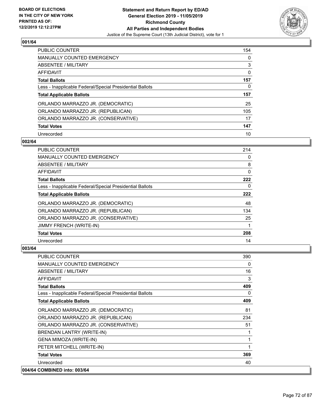

| PUBLIC COUNTER                                           | 154 |
|----------------------------------------------------------|-----|
| <b>MANUALLY COUNTED EMERGENCY</b>                        | 0   |
| ABSENTEE / MILITARY                                      | 3   |
| AFFIDAVIT                                                | 0   |
| <b>Total Ballots</b>                                     | 157 |
| Less - Inapplicable Federal/Special Presidential Ballots | 0   |
| <b>Total Applicable Ballots</b>                          | 157 |
|                                                          |     |
| ORLANDO MARRAZZO JR. (DEMOCRATIC)                        | 25  |
| ORLANDO MARRAZZO JR. (REPUBLICAN)                        | 105 |
| ORLANDO MARRAZZO JR. (CONSERVATIVE)                      | 17  |
| <b>Total Votes</b>                                       | 147 |

#### **002/64**

| <b>PUBLIC COUNTER</b>                                    | 214 |
|----------------------------------------------------------|-----|
| <b>MANUALLY COUNTED EMERGENCY</b>                        | 0   |
| ABSENTEE / MILITARY                                      | 8   |
| AFFIDAVIT                                                | 0   |
| <b>Total Ballots</b>                                     | 222 |
| Less - Inapplicable Federal/Special Presidential Ballots | 0   |
| <b>Total Applicable Ballots</b>                          | 222 |
| ORLANDO MARRAZZO JR. (DEMOCRATIC)                        | 48  |
| ORLANDO MARRAZZO JR. (REPUBLICAN)                        | 134 |
| ORLANDO MARRAZZO JR. (CONSERVATIVE)                      | 25  |
| JIMMY FRENCH (WRITE-IN)                                  |     |
| <b>Total Votes</b>                                       | 208 |
| Unrecorded                                               | 14  |

| <b>PUBLIC COUNTER</b>                                    | 390      |
|----------------------------------------------------------|----------|
| <b>MANUALLY COUNTED EMERGENCY</b>                        | $\Omega$ |
| <b>ABSENTEE / MILITARY</b>                               | 16       |
| <b>AFFIDAVIT</b>                                         | 3        |
| <b>Total Ballots</b>                                     | 409      |
| Less - Inapplicable Federal/Special Presidential Ballots | 0        |
| <b>Total Applicable Ballots</b>                          | 409      |
| ORLANDO MARRAZZO JR. (DEMOCRATIC)                        | 81       |
| ORLANDO MARRAZZO JR. (REPUBLICAN)                        | 234      |
| ORLANDO MARRAZZO JR. (CONSERVATIVE)                      | 51       |
| BRENDAN LANTRY (WRITE-IN)                                |          |
| GENA MIMOZA (WRITE-IN)                                   |          |
| PETER MITCHELL (WRITE-IN)                                |          |
| <b>Total Votes</b>                                       | 369      |
| Unrecorded                                               | 40       |
| 004/64 COMBINED into: 003/64                             |          |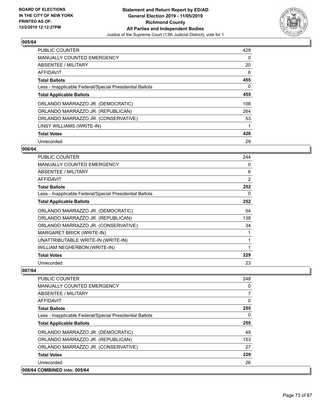

| PUBLIC COUNTER                                           | 429 |
|----------------------------------------------------------|-----|
| <b>MANUALLY COUNTED EMERGENCY</b>                        | 0   |
| ABSENTEE / MILITARY                                      | 20  |
| <b>AFFIDAVIT</b>                                         | 6   |
| <b>Total Ballots</b>                                     | 455 |
| Less - Inapplicable Federal/Special Presidential Ballots | 0   |
| <b>Total Applicable Ballots</b>                          | 455 |
| ORLANDO MARRAZZO JR. (DEMOCRATIC)                        | 108 |
| ORLANDO MARRAZZO JR. (REPUBLICAN)                        | 264 |
| ORLANDO MARRAZZO JR. (CONSERVATIVE)                      | 53  |
| LINSY WILLIAMS (WRITE-IN)                                | 1   |
| <b>Total Votes</b>                                       | 426 |
| Unrecorded                                               | 29  |

## **006/64**

| PUBLIC COUNTER                                           | 244            |
|----------------------------------------------------------|----------------|
| <b>MANUALLY COUNTED EMERGENCY</b>                        | 0              |
| <b>ABSENTEE / MILITARY</b>                               | 6              |
| <b>AFFIDAVIT</b>                                         | $\overline{2}$ |
| <b>Total Ballots</b>                                     | 252            |
| Less - Inapplicable Federal/Special Presidential Ballots | 0              |
| <b>Total Applicable Ballots</b>                          | 252            |
| ORLANDO MARRAZZO JR. (DEMOCRATIC)                        | 54             |
| ORLANDO MARRAZZO JR. (REPUBLICAN)                        | 138            |
| ORLANDO MARRAZZO JR. (CONSERVATIVE)                      | 34             |
| MARGARET BRICK (WRITE-IN)                                | 1              |
| UNATTRIBUTABLE WRITE-IN (WRITE-IN)                       | 1              |
| WILLIAM NEGHERBON (WRITE-IN)                             | 1              |
| <b>Total Votes</b>                                       | 229            |
| Unrecorded                                               | 23             |

| <b>PUBLIC COUNTER</b>                                    | 248            |
|----------------------------------------------------------|----------------|
| <b>MANUALLY COUNTED EMERGENCY</b>                        | 0              |
| ABSENTEE / MILITARY                                      | $\overline{7}$ |
| <b>AFFIDAVIT</b>                                         | 0              |
| <b>Total Ballots</b>                                     | 255            |
| Less - Inapplicable Federal/Special Presidential Ballots | $\Omega$       |
| <b>Total Applicable Ballots</b>                          | 255            |
| ORLANDO MARRAZZO JR. (DEMOCRATIC)                        | 49             |
| ORLANDO MARRAZZO JR. (REPUBLICAN)                        | 153            |
| ORLANDO MARRAZZO JR. (CONSERVATIVE)                      | 27             |
| <b>Total Votes</b>                                       | 229            |
| Unrecorded                                               | 26             |
| 008/64 COMBINED into: 005/64                             |                |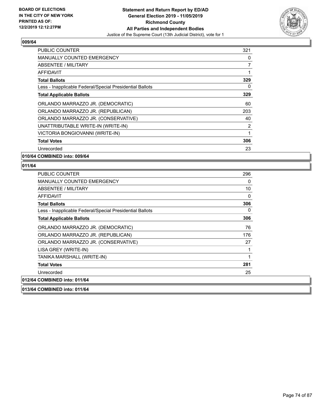

| <b>PUBLIC COUNTER</b>                                    | 321 |
|----------------------------------------------------------|-----|
| <b>MANUALLY COUNTED EMERGENCY</b>                        | 0   |
| <b>ABSENTEE / MILITARY</b>                               | 7   |
| AFFIDAVIT                                                | 1   |
| <b>Total Ballots</b>                                     | 329 |
| Less - Inapplicable Federal/Special Presidential Ballots | 0   |
| <b>Total Applicable Ballots</b>                          | 329 |
| ORLANDO MARRAZZO JR. (DEMOCRATIC)                        | 60  |
| ORLANDO MARRAZZO JR. (REPUBLICAN)                        | 203 |
| ORLANDO MARRAZZO JR. (CONSERVATIVE)                      | 40  |
| UNATTRIBUTABLE WRITE-IN (WRITE-IN)                       | 2   |
| VICTORIA BONGIOVANNI (WRITE-IN)                          | 1   |
| <b>Total Votes</b>                                       | 306 |
| Unrecorded                                               | 23  |

**010/64 COMBINED into: 009/64**

#### **011/64**

| <b>PUBLIC COUNTER</b>                                    | 296 |
|----------------------------------------------------------|-----|
| MANUALLY COUNTED EMERGENCY                               | 0   |
| ABSENTEE / MILITARY                                      | 10  |
| AFFIDAVIT                                                | 0   |
| <b>Total Ballots</b>                                     | 306 |
| Less - Inapplicable Federal/Special Presidential Ballots | 0   |
| <b>Total Applicable Ballots</b>                          | 306 |
| ORLANDO MARRAZZO JR. (DEMOCRATIC)                        | 76  |
| ORLANDO MARRAZZO JR. (REPUBLICAN)                        | 176 |
| ORLANDO MARRAZZO JR. (CONSERVATIVE)                      | 27  |
| LISA GREY (WRITE-IN)                                     |     |
| TANIKA MARSHALL (WRITE-IN)                               | 1   |
| <b>Total Votes</b>                                       | 281 |
| Unrecorded                                               | 25  |
| 012/64 COMBINED into: 011/64                             |     |
|                                                          |     |

**013/64 COMBINED into: 011/64**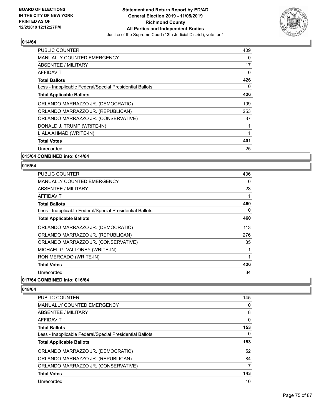

| PUBLIC COUNTER                                           | 409 |
|----------------------------------------------------------|-----|
| <b>MANUALLY COUNTED EMERGENCY</b>                        | 0   |
| <b>ABSENTEE / MILITARY</b>                               | 17  |
| <b>AFFIDAVIT</b>                                         | 0   |
| <b>Total Ballots</b>                                     | 426 |
| Less - Inapplicable Federal/Special Presidential Ballots | 0   |
| <b>Total Applicable Ballots</b>                          | 426 |
| ORLANDO MARRAZZO JR. (DEMOCRATIC)                        | 109 |
| ORLANDO MARRAZZO JR. (REPUBLICAN)                        | 253 |
| ORLANDO MARRAZZO JR. (CONSERVATIVE)                      | 37  |
| DONALD J. TRUMP (WRITE-IN)                               | 1   |
| LIALA AHMAD (WRITE-IN)                                   | 1   |
| <b>Total Votes</b>                                       | 401 |
| Unrecorded                                               | 25  |
|                                                          |     |

**015/64 COMBINED into: 014/64**

## **016/64**

| PUBLIC COUNTER                                           | 436 |
|----------------------------------------------------------|-----|
| <b>MANUALLY COUNTED EMERGENCY</b>                        | 0   |
| <b>ABSENTEE / MILITARY</b>                               | 23  |
| AFFIDAVIT                                                | 1   |
| <b>Total Ballots</b>                                     | 460 |
| Less - Inapplicable Federal/Special Presidential Ballots | 0   |
| <b>Total Applicable Ballots</b>                          | 460 |
| ORLANDO MARRAZZO JR. (DEMOCRATIC)                        | 113 |
| ORLANDO MARRAZZO JR. (REPUBLICAN)                        | 276 |
| ORLANDO MARRAZZO JR. (CONSERVATIVE)                      | 35  |
| MICHAEL G. VALLONEY (WRITE-IN)                           | 1   |
| RON MERCADO (WRITE-IN)                                   | 1   |
| <b>Total Votes</b>                                       | 426 |
| Unrecorded                                               | 34  |
|                                                          |     |

# **017/64 COMBINED into: 016/64**

| <b>PUBLIC COUNTER</b>                                    | 145 |
|----------------------------------------------------------|-----|
| <b>MANUALLY COUNTED EMERGENCY</b>                        | 0   |
| ABSENTEE / MILITARY                                      | 8   |
| AFFIDAVIT                                                | 0   |
| <b>Total Ballots</b>                                     | 153 |
| Less - Inapplicable Federal/Special Presidential Ballots | 0   |
|                                                          |     |
| <b>Total Applicable Ballots</b>                          | 153 |
| ORLANDO MARRAZZO JR. (DEMOCRATIC)                        | 52  |
| ORLANDO MARRAZZO JR. (REPUBLICAN)                        | 84  |
| ORLANDO MARRAZZO JR. (CONSERVATIVE)                      | 7   |
| <b>Total Votes</b>                                       | 143 |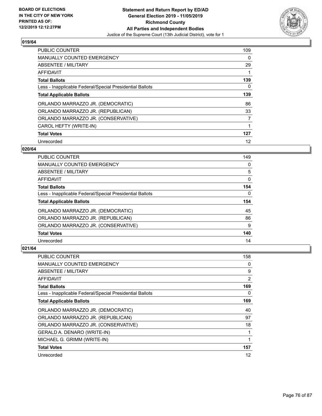

| PUBLIC COUNTER                                           | 109 |
|----------------------------------------------------------|-----|
| <b>MANUALLY COUNTED EMERGENCY</b>                        | 0   |
| ABSENTEE / MILITARY                                      | 29  |
| AFFIDAVIT                                                |     |
| <b>Total Ballots</b>                                     | 139 |
| Less - Inapplicable Federal/Special Presidential Ballots | 0   |
| <b>Total Applicable Ballots</b>                          | 139 |
| ORLANDO MARRAZZO JR. (DEMOCRATIC)                        | 86  |
| ORLANDO MARRAZZO JR. (REPUBLICAN)                        | 33  |
| ORLANDO MARRAZZO JR. (CONSERVATIVE)                      | 7   |
| CAROL HEFTY (WRITE-IN)                                   | 1   |
| <b>Total Votes</b>                                       | 127 |
| Unrecorded                                               | 12  |

## **020/64**

| <b>PUBLIC COUNTER</b>                                    | 149      |
|----------------------------------------------------------|----------|
| <b>MANUALLY COUNTED EMERGENCY</b>                        | 0        |
| ABSENTEE / MILITARY                                      | 5        |
| AFFIDAVIT                                                | $\Omega$ |
| <b>Total Ballots</b>                                     | 154      |
| Less - Inapplicable Federal/Special Presidential Ballots | $\Omega$ |
| <b>Total Applicable Ballots</b>                          | 154      |
| ORLANDO MARRAZZO JR. (DEMOCRATIC)                        | 45       |
| ORLANDO MARRAZZO JR. (REPUBLICAN)                        | 86       |
| ORLANDO MARRAZZO JR. (CONSERVATIVE)                      | 9        |
| <b>Total Votes</b>                                       | 140      |
| Unrecorded                                               |          |

| <b>PUBLIC COUNTER</b>                                    | 158 |
|----------------------------------------------------------|-----|
| <b>MANUALLY COUNTED EMERGENCY</b>                        | 0   |
| ABSENTEE / MILITARY                                      | 9   |
| AFFIDAVIT                                                | 2   |
| <b>Total Ballots</b>                                     | 169 |
| Less - Inapplicable Federal/Special Presidential Ballots | 0   |
| <b>Total Applicable Ballots</b>                          | 169 |
| ORLANDO MARRAZZO JR. (DEMOCRATIC)                        | 40  |
| ORLANDO MARRAZZO JR. (REPUBLICAN)                        | 97  |
| ORLANDO MARRAZZO JR. (CONSERVATIVE)                      | 18  |
| GERALD A. DENARO (WRITE-IN)                              | 1   |
| MICHAEL G. GRIMM (WRITE-IN)                              |     |
| <b>Total Votes</b>                                       | 157 |
| Unrecorded                                               | 12  |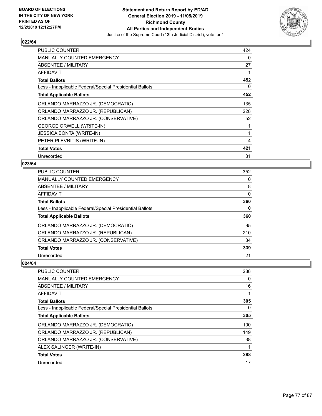

| PUBLIC COUNTER                                           | 424 |
|----------------------------------------------------------|-----|
| MANUALLY COUNTED EMERGENCY                               | 0   |
| <b>ABSENTEE / MILITARY</b>                               | 27  |
| AFFIDAVIT                                                | 1   |
| <b>Total Ballots</b>                                     | 452 |
| Less - Inapplicable Federal/Special Presidential Ballots | 0   |
| <b>Total Applicable Ballots</b>                          | 452 |
| ORLANDO MARRAZZO JR. (DEMOCRATIC)                        | 135 |
| ORLANDO MARRAZZO JR. (REPUBLICAN)                        | 228 |
| ORLANDO MARRAZZO JR. (CONSERVATIVE)                      | 52  |
| <b>GEORGE ORWELL (WRITE-IN)</b>                          | 1   |
| <b>JESSICA BONTA (WRITE-IN)</b>                          | 1   |
| PETER PLEVRITIS (WRITE-IN)                               | 4   |
| <b>Total Votes</b>                                       | 421 |
| Unrecorded                                               | 31  |

## **023/64**

| <b>PUBLIC COUNTER</b>                                    | 352 |
|----------------------------------------------------------|-----|
| <b>MANUALLY COUNTED EMERGENCY</b>                        | 0   |
| ABSENTEE / MILITARY                                      | 8   |
| <b>AFFIDAVIT</b>                                         | 0   |
| <b>Total Ballots</b>                                     | 360 |
| Less - Inapplicable Federal/Special Presidential Ballots | 0   |
| <b>Total Applicable Ballots</b>                          | 360 |
| ORLANDO MARRAZZO JR. (DEMOCRATIC)                        | 95  |
| ORLANDO MARRAZZO JR. (REPUBLICAN)                        | 210 |
| ORLANDO MARRAZZO JR. (CONSERVATIVE)                      | 34  |
| <b>Total Votes</b>                                       | 339 |
| Unrecorded                                               | 21  |

| PUBLIC COUNTER                                           | 288      |
|----------------------------------------------------------|----------|
| <b>MANUALLY COUNTED EMERGENCY</b>                        | $\Omega$ |
| ABSENTEE / MILITARY                                      | 16       |
| AFFIDAVIT                                                |          |
| <b>Total Ballots</b>                                     | 305      |
| Less - Inapplicable Federal/Special Presidential Ballots | 0        |
| <b>Total Applicable Ballots</b>                          | 305      |
| ORLANDO MARRAZZO JR. (DEMOCRATIC)                        | 100      |
| ORLANDO MARRAZZO JR. (REPUBLICAN)                        | 149      |
| ORLANDO MARRAZZO JR. (CONSERVATIVE)                      | 38       |
| ALEX SALINGER (WRITE-IN)                                 |          |
| <b>Total Votes</b>                                       | 288      |
| Unrecorded                                               | 17       |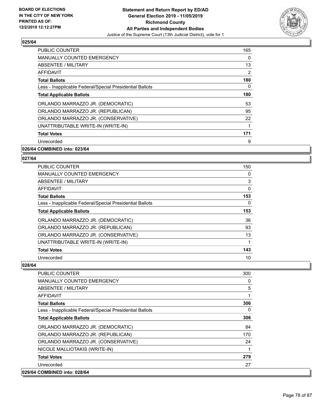

| <b>PUBLIC COUNTER</b>                                    | 165 |
|----------------------------------------------------------|-----|
| <b>MANUALLY COUNTED EMERGENCY</b>                        | 0   |
| ABSENTEE / MILITARY                                      | 13  |
| AFFIDAVIT                                                | 2   |
| <b>Total Ballots</b>                                     | 180 |
| Less - Inapplicable Federal/Special Presidential Ballots | 0   |
| <b>Total Applicable Ballots</b>                          | 180 |
| ORLANDO MARRAZZO JR. (DEMOCRATIC)                        | 53  |
| ORLANDO MARRAZZO JR. (REPUBLICAN)                        | 95  |
| ORLANDO MARRAZZO JR. (CONSERVATIVE)                      | 22  |
| UNATTRIBUTABLE WRITE-IN (WRITE-IN)                       | 1   |
| <b>Total Votes</b>                                       | 171 |
| Unrecorded                                               | 9   |
|                                                          |     |

## **026/64 COMBINED into: 023/64**

## **027/64**

| <b>PUBLIC COUNTER</b>                                    | 150 |
|----------------------------------------------------------|-----|
| <b>MANUALLY COUNTED EMERGENCY</b>                        | 0   |
| ABSENTEE / MILITARY                                      | 3   |
| AFFIDAVIT                                                | 0   |
| <b>Total Ballots</b>                                     | 153 |
| Less - Inapplicable Federal/Special Presidential Ballots | 0   |
| <b>Total Applicable Ballots</b>                          | 153 |
| ORLANDO MARRAZZO JR. (DEMOCRATIC)                        | 36  |
| ORLANDO MARRAZZO JR. (REPUBLICAN)                        | 93  |
| ORLANDO MARRAZZO JR. (CONSERVATIVE)                      | 13  |
| UNATTRIBUTABLE WRITE-IN (WRITE-IN)                       | 1   |
| <b>Total Votes</b>                                       | 143 |
| Unrecorded                                               | 10  |

| PUBLIC COUNTER                                           | 300      |
|----------------------------------------------------------|----------|
| <b>MANUALLY COUNTED EMERGENCY</b>                        | 0        |
| <b>ABSENTEE / MILITARY</b>                               | 5        |
| <b>AFFIDAVIT</b>                                         |          |
| <b>Total Ballots</b>                                     | 306      |
| Less - Inapplicable Federal/Special Presidential Ballots | $\Omega$ |
| <b>Total Applicable Ballots</b>                          | 306      |
| ORLANDO MARRAZZO JR. (DEMOCRATIC)                        | 84       |
| ORLANDO MARRAZZO JR. (REPUBLICAN)                        | 170      |
| ORLANDO MARRAZZO JR. (CONSERVATIVE)                      | 24       |
| NICOLE MALLIOTAKIS (WRITE-IN)                            |          |
| <b>Total Votes</b>                                       | 279      |
| Unrecorded                                               | 27       |
| 029/64 COMBINED into: 028/64                             |          |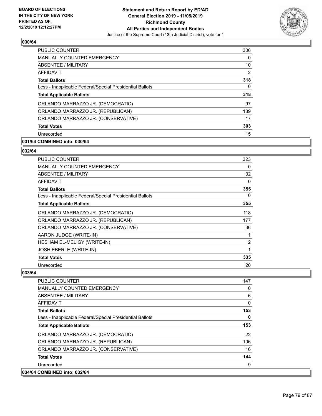

| <b>PUBLIC COUNTER</b>                                    | 306 |
|----------------------------------------------------------|-----|
| <b>MANUALLY COUNTED EMERGENCY</b>                        | 0   |
| ABSENTEE / MILITARY                                      | 10  |
| <b>AFFIDAVIT</b>                                         | 2   |
| <b>Total Ballots</b>                                     | 318 |
| Less - Inapplicable Federal/Special Presidential Ballots | 0   |
| <b>Total Applicable Ballots</b>                          | 318 |
| ORLANDO MARRAZZO JR. (DEMOCRATIC)                        | 97  |
| ORLANDO MARRAZZO JR. (REPUBLICAN)                        | 189 |
| ORLANDO MARRAZZO JR. (CONSERVATIVE)                      | 17  |
| <b>Total Votes</b>                                       | 303 |
| Unrecorded                                               | 15  |

# **031/64 COMBINED into: 030/64**

# **032/64**

| <b>PUBLIC COUNTER</b>                                    | 323            |
|----------------------------------------------------------|----------------|
| <b>MANUALLY COUNTED EMERGENCY</b>                        | 0              |
| <b>ABSENTEE / MILITARY</b>                               | 32             |
| AFFIDAVIT                                                | 0              |
| <b>Total Ballots</b>                                     | 355            |
| Less - Inapplicable Federal/Special Presidential Ballots | 0              |
| <b>Total Applicable Ballots</b>                          | 355            |
| ORLANDO MARRAZZO JR. (DEMOCRATIC)                        | 118            |
| ORLANDO MARRAZZO JR. (REPUBLICAN)                        | 177            |
| ORLANDO MARRAZZO JR. (CONSERVATIVE)                      | 36             |
| AARON JUDGE (WRITE-IN)                                   | 1              |
| <b>HESHAM EL-MELIGY (WRITE-IN)</b>                       | $\overline{2}$ |
| <b>JOSH EBERLE (WRITE-IN)</b>                            | 1              |
| <b>Total Votes</b>                                       | 335            |
| Unrecorded                                               | 20             |

| <b>PUBLIC COUNTER</b><br><b>MANUALLY COUNTED EMERGENCY</b> | 147<br>$\Omega$ |
|------------------------------------------------------------|-----------------|
|                                                            |                 |
| ABSENTEE / MILITARY                                        | 6               |
| AFFIDAVIT                                                  | 0               |
| <b>Total Ballots</b>                                       | 153             |
| Less - Inapplicable Federal/Special Presidential Ballots   | $\Omega$        |
| <b>Total Applicable Ballots</b>                            | 153             |
| ORLANDO MARRAZZO JR. (DEMOCRATIC)                          | 22              |
| ORLANDO MARRAZZO JR. (REPUBLICAN)                          | 106             |
| ORLANDO MARRAZZO JR. (CONSERVATIVE)                        | 16              |
| <b>Total Votes</b>                                         | 144             |
| Unrecorded                                                 | 9               |
| 034/64 COMBINED into: 032/64                               |                 |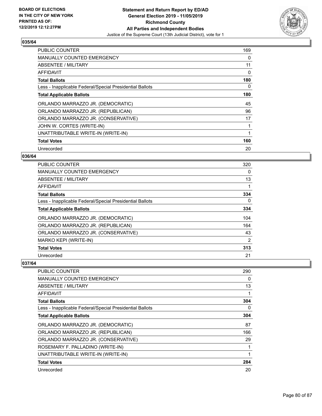

| PUBLIC COUNTER                                           | 169 |
|----------------------------------------------------------|-----|
| <b>MANUALLY COUNTED EMERGENCY</b>                        | 0   |
| ABSENTEE / MILITARY                                      | 11  |
| AFFIDAVIT                                                | 0   |
| <b>Total Ballots</b>                                     | 180 |
| Less - Inapplicable Federal/Special Presidential Ballots | 0   |
| <b>Total Applicable Ballots</b>                          | 180 |
| ORLANDO MARRAZZO JR. (DEMOCRATIC)                        | 45  |
| ORLANDO MARRAZZO JR. (REPUBLICAN)                        | 96  |
| ORLANDO MARRAZZO JR. (CONSERVATIVE)                      | 17  |
| JOHN W. CORTES (WRITE-IN)                                |     |
| UNATTRIBUTABLE WRITE-IN (WRITE-IN)                       |     |
| <b>Total Votes</b>                                       | 160 |
| Unrecorded                                               | 20  |

## **036/64**

| PUBLIC COUNTER                                           | 320 |
|----------------------------------------------------------|-----|
| <b>MANUALLY COUNTED EMERGENCY</b>                        | 0   |
| ABSENTEE / MILITARY                                      | 13  |
| AFFIDAVIT                                                | 1   |
| <b>Total Ballots</b>                                     | 334 |
| Less - Inapplicable Federal/Special Presidential Ballots | 0   |
| <b>Total Applicable Ballots</b>                          | 334 |
| ORLANDO MARRAZZO JR. (DEMOCRATIC)                        | 104 |
| ORLANDO MARRAZZO JR. (REPUBLICAN)                        | 164 |
| ORLANDO MARRAZZO JR. (CONSERVATIVE)                      | 43  |
| MARKO KEPI (WRITE-IN)                                    | 2   |
| <b>Total Votes</b>                                       | 313 |
| Unrecorded                                               | 21  |

| PUBLIC COUNTER                                           | 290 |
|----------------------------------------------------------|-----|
| <b>MANUALLY COUNTED EMERGENCY</b>                        | 0   |
| ABSENTEE / MILITARY                                      | 13  |
| AFFIDAVIT                                                |     |
| <b>Total Ballots</b>                                     | 304 |
| Less - Inapplicable Federal/Special Presidential Ballots | 0   |
| <b>Total Applicable Ballots</b>                          | 304 |
| ORLANDO MARRAZZO JR. (DEMOCRATIC)                        | 87  |
| ORLANDO MARRAZZO JR. (REPUBLICAN)                        | 166 |
| ORLANDO MARRAZZO JR. (CONSERVATIVE)                      | 29  |
| ROSEMARY F. PALLADINO (WRITE-IN)                         |     |
| UNATTRIBUTABLE WRITE-IN (WRITE-IN)                       |     |
| <b>Total Votes</b>                                       | 284 |
| Unrecorded                                               | 20  |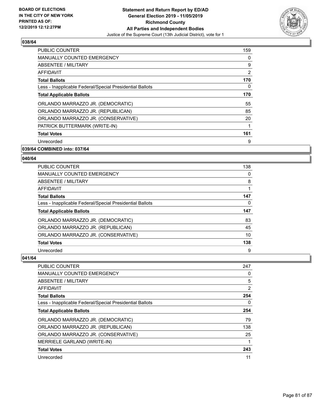

| <b>PUBLIC COUNTER</b>                                    | 159            |
|----------------------------------------------------------|----------------|
| <b>MANUALLY COUNTED EMERGENCY</b>                        | $\Omega$       |
| ABSENTEE / MILITARY                                      | 9              |
| AFFIDAVIT                                                | $\overline{2}$ |
| <b>Total Ballots</b>                                     | 170            |
| Less - Inapplicable Federal/Special Presidential Ballots | 0              |
| <b>Total Applicable Ballots</b>                          | 170            |
| ORLANDO MARRAZZO JR. (DEMOCRATIC)                        | 55             |
| ORLANDO MARRAZZO JR. (REPUBLICAN)                        | 85             |
| ORLANDO MARRAZZO JR. (CONSERVATIVE)                      | 20             |
| PATRICK BUTTERMARK (WRITE-IN)                            |                |
| <b>Total Votes</b>                                       | 161            |
| Unrecorded                                               | 9              |
| 039/64 COMBINED into: 037/64                             |                |

# **040/64**

| PUBLIC COUNTER                                           | 138 |
|----------------------------------------------------------|-----|
| MANUALLY COUNTED EMERGENCY                               | 0   |
| ABSENTEE / MILITARY                                      | 8   |
| AFFIDAVIT                                                |     |
| <b>Total Ballots</b>                                     | 147 |
| Less - Inapplicable Federal/Special Presidential Ballots | 0   |
|                                                          |     |
| <b>Total Applicable Ballots</b>                          | 147 |
| ORLANDO MARRAZZO JR. (DEMOCRATIC)                        | 83  |
| ORLANDO MARRAZZO JR. (REPUBLICAN)                        | 45  |
| ORLANDO MARRAZZO JR. (CONSERVATIVE)                      | 10  |
| <b>Total Votes</b>                                       | 138 |

| <b>PUBLIC COUNTER</b>                                    | 247 |
|----------------------------------------------------------|-----|
| MANUALLY COUNTED EMERGENCY                               | 0   |
| ABSENTEE / MILITARY                                      | 5   |
| AFFIDAVIT                                                | 2   |
| <b>Total Ballots</b>                                     | 254 |
| Less - Inapplicable Federal/Special Presidential Ballots | 0   |
| <b>Total Applicable Ballots</b>                          | 254 |
| ORLANDO MARRAZZO JR. (DEMOCRATIC)                        | 79  |
| ORLANDO MARRAZZO JR. (REPUBLICAN)                        | 138 |
| ORLANDO MARRAZZO JR. (CONSERVATIVE)                      | 25  |
| MERRIELE GARLAND (WRITE-IN)                              |     |
| <b>Total Votes</b>                                       | 243 |
| Unrecorded                                               | 11  |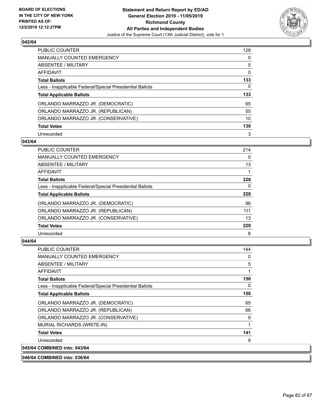

| PUBLIC COUNTER                                           | 128 |
|----------------------------------------------------------|-----|
| <b>MANUALLY COUNTED EMERGENCY</b>                        | 0   |
| ABSENTEE / MILITARY                                      | 5   |
| AFFIDAVIT                                                | 0   |
| <b>Total Ballots</b>                                     | 133 |
| Less - Inapplicable Federal/Special Presidential Ballots | 0   |
| <b>Total Applicable Ballots</b>                          | 133 |
| ORLANDO MARRAZZO JR. (DEMOCRATIC)                        | 65  |
| ORLANDO MARRAZZO JR. (REPUBLICAN)                        | 55  |
| ORLANDO MARRAZZO JR. (CONSERVATIVE)                      | 10  |
| <b>Total Votes</b>                                       | 130 |
| Unrecorded                                               | 3   |

#### **043/64**

| PUBLIC COUNTER                                           | 214      |
|----------------------------------------------------------|----------|
| <b>MANUALLY COUNTED EMERGENCY</b>                        | 0        |
| ABSENTEE / MILITARY                                      | 13       |
| <b>AFFIDAVIT</b>                                         |          |
| <b>Total Ballots</b>                                     | 228      |
| Less - Inapplicable Federal/Special Presidential Ballots | $\Omega$ |
| <b>Total Applicable Ballots</b>                          | 228      |
| ORLANDO MARRAZZO JR. (DEMOCRATIC)                        | 96       |
| ORLANDO MARRAZZO JR. (REPUBLICAN)                        | 111      |
| ORLANDO MARRAZZO JR. (CONSERVATIVE)                      | 13       |
| <b>Total Votes</b>                                       | 220      |
| Unrecorded                                               | 8        |

#### **044/64**

| <b>PUBLIC COUNTER</b>                                    | 144 |
|----------------------------------------------------------|-----|
| <b>MANUALLY COUNTED EMERGENCY</b>                        | 0   |
| <b>ABSENTEE / MILITARY</b>                               | 5   |
| AFFIDAVIT                                                | 1   |
| <b>Total Ballots</b>                                     | 150 |
| Less - Inapplicable Federal/Special Presidential Ballots | 0   |
| <b>Total Applicable Ballots</b>                          | 150 |
| ORLANDO MARRAZZO JR. (DEMOCRATIC)                        | 65  |
| ORLANDO MARRAZZO JR. (REPUBLICAN)                        | 66  |
| ORLANDO MARRAZZO JR. (CONSERVATIVE)                      | 9   |
| MURIAL RICHARDS (WRITE-IN)                               | 1   |
| <b>Total Votes</b>                                       | 141 |
| Unrecorded                                               | 9   |
| 045/64 COMBINED into: 043/64                             |     |

**046/64 COMBINED into: 036/64**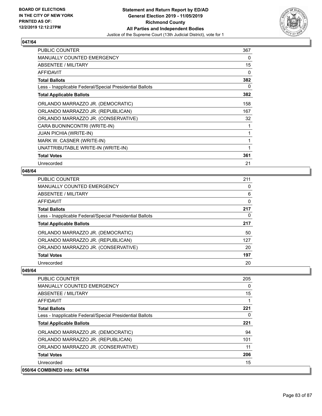

| <b>PUBLIC COUNTER</b>                                    | 367 |
|----------------------------------------------------------|-----|
| <b>MANUALLY COUNTED EMERGENCY</b>                        | 0   |
| ABSENTEE / MILITARY                                      | 15  |
| <b>AFFIDAVIT</b>                                         | 0   |
| <b>Total Ballots</b>                                     | 382 |
| Less - Inapplicable Federal/Special Presidential Ballots | 0   |
| <b>Total Applicable Ballots</b>                          | 382 |
| ORLANDO MARRAZZO JR. (DEMOCRATIC)                        | 158 |
| ORLANDO MARRAZZO JR. (REPUBLICAN)                        | 167 |
| ORLANDO MARRAZZO JR. (CONSERVATIVE)                      | 32  |
| CARA BUONINCONTRI (WRITE-IN)                             | 1   |
| <b>JUAN PICHIA (WRITE-IN)</b>                            | 1   |
| MARK W. CASNER (WRITE-IN)                                | 1   |
| UNATTRIBUTABLE WRITE-IN (WRITE-IN)                       | 1   |
| <b>Total Votes</b>                                       | 361 |
| Unrecorded                                               | 21  |

## **048/64**

| PUBLIC COUNTER                                           | 211      |
|----------------------------------------------------------|----------|
| <b>MANUALLY COUNTED EMERGENCY</b>                        | 0        |
| ABSENTEE / MILITARY                                      | 6        |
| AFFIDAVIT                                                | $\Omega$ |
| <b>Total Ballots</b>                                     | 217      |
| Less - Inapplicable Federal/Special Presidential Ballots | 0        |
|                                                          |          |
| <b>Total Applicable Ballots</b>                          | 217      |
| ORLANDO MARRAZZO JR. (DEMOCRATIC)                        | 50       |
| ORLANDO MARRAZZO JR. (REPUBLICAN)                        | 127      |
| ORLANDO MARRAZZO JR. (CONSERVATIVE)                      | 20       |
| <b>Total Votes</b>                                       | 197      |

| 050/64 COMBINED into: 047/64                             |          |
|----------------------------------------------------------|----------|
| Unrecorded                                               | 15       |
| <b>Total Votes</b>                                       | 206      |
| ORLANDO MARRAZZO JR. (CONSERVATIVE)                      | 11       |
| ORLANDO MARRAZZO JR. (REPUBLICAN)                        | 101      |
| ORLANDO MARRAZZO JR. (DEMOCRATIC)                        | 94       |
| <b>Total Applicable Ballots</b>                          | 221      |
| Less - Inapplicable Federal/Special Presidential Ballots | 0        |
| <b>Total Ballots</b>                                     | 221      |
| AFFIDAVIT                                                |          |
| ABSENTEE / MILITARY                                      | 15       |
| <b>MANUALLY COUNTED EMERGENCY</b>                        | $\Omega$ |
| <b>PUBLIC COUNTER</b>                                    | 205      |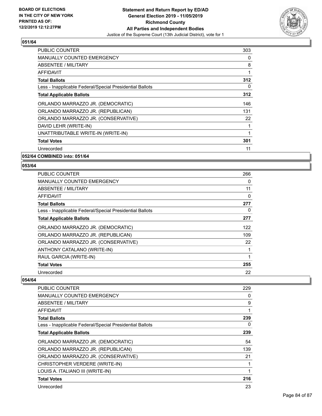

| <b>PUBLIC COUNTER</b>                                    | 303 |
|----------------------------------------------------------|-----|
| <b>MANUALLY COUNTED EMERGENCY</b>                        | 0   |
| <b>ABSENTEE / MILITARY</b>                               | 8   |
| AFFIDAVIT                                                |     |
| <b>Total Ballots</b>                                     | 312 |
| Less - Inapplicable Federal/Special Presidential Ballots | 0   |
| <b>Total Applicable Ballots</b>                          | 312 |
| ORLANDO MARRAZZO JR. (DEMOCRATIC)                        | 146 |
| ORLANDO MARRAZZO JR. (REPUBLICAN)                        | 131 |
| ORLANDO MARRAZZO JR. (CONSERVATIVE)                      | 22  |
| DAVID LEHR (WRITE-IN)                                    |     |
| UNATTRIBUTABLE WRITE-IN (WRITE-IN)                       | 1   |
| <b>Total Votes</b>                                       | 301 |
| Unrecorded                                               | 11  |
| 052/64 COMBINED into: 051/64                             |     |

**053/64** 

| <b>PUBLIC COUNTER</b>                                    | 266 |
|----------------------------------------------------------|-----|
| <b>MANUALLY COUNTED EMERGENCY</b>                        | 0   |
| ABSENTEE / MILITARY                                      | 11  |
| AFFIDAVIT                                                | 0   |
| <b>Total Ballots</b>                                     | 277 |
| Less - Inapplicable Federal/Special Presidential Ballots | 0   |
| <b>Total Applicable Ballots</b>                          | 277 |
| ORLANDO MARRAZZO JR. (DEMOCRATIC)                        | 122 |
| ORLANDO MARRAZZO JR. (REPUBLICAN)                        | 109 |
| ORLANDO MARRAZZO JR. (CONSERVATIVE)                      | 22  |
| ANTHONY CATALANO (WRITE-IN)                              | 1   |
| RAUL GARCIA (WRITE-IN)                                   | 1   |
| <b>Total Votes</b>                                       | 255 |
| Unrecorded                                               | 22  |

| <b>PUBLIC COUNTER</b>                                    | 229 |
|----------------------------------------------------------|-----|
| <b>MANUALLY COUNTED EMERGENCY</b>                        | 0   |
| ABSENTEE / MILITARY                                      | 9   |
| AFFIDAVIT                                                | 1   |
| <b>Total Ballots</b>                                     | 239 |
| Less - Inapplicable Federal/Special Presidential Ballots | 0   |
| <b>Total Applicable Ballots</b>                          | 239 |
| ORLANDO MARRAZZO JR. (DEMOCRATIC)                        | 54  |
| ORLANDO MARRAZZO JR. (REPUBLICAN)                        | 139 |
| ORLANDO MARRAZZO JR. (CONSERVATIVE)                      | 21  |
| CHRISTOPHER VERDERE (WRITE-IN)                           | 1   |
| LOUIS A. ITALIANO III (WRITE-IN)                         | 1   |
| <b>Total Votes</b>                                       | 216 |
| Unrecorded                                               | 23  |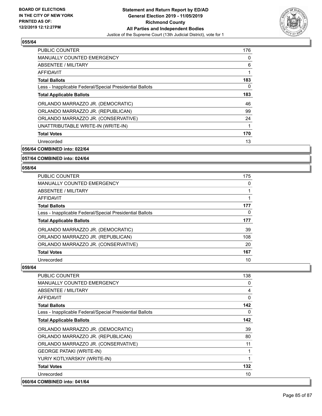

| <b>PUBLIC COUNTER</b>                                    | 176 |
|----------------------------------------------------------|-----|
| <b>MANUALLY COUNTED EMERGENCY</b>                        | 0   |
| ABSENTEE / MILITARY                                      | 6   |
| AFFIDAVIT                                                | 1   |
| <b>Total Ballots</b>                                     | 183 |
| Less - Inapplicable Federal/Special Presidential Ballots | 0   |
| <b>Total Applicable Ballots</b>                          | 183 |
| ORLANDO MARRAZZO JR. (DEMOCRATIC)                        | 46  |
| ORLANDO MARRAZZO JR. (REPUBLICAN)                        | 99  |
| ORLANDO MARRAZZO JR. (CONSERVATIVE)                      | 24  |
| UNATTRIBUTABLE WRITE-IN (WRITE-IN)                       | 1   |
| <b>Total Votes</b>                                       | 170 |
| Unrecorded                                               | 13  |
|                                                          |     |

**056/64 COMBINED into: 022/64**

#### **057/64 COMBINED into: 024/64**

#### **058/64**

| <b>PUBLIC COUNTER</b>                                    | 175 |
|----------------------------------------------------------|-----|
| <b>MANUALLY COUNTED EMERGENCY</b>                        | 0   |
| ABSENTEE / MILITARY                                      |     |
| AFFIDAVIT                                                |     |
| <b>Total Ballots</b>                                     | 177 |
| Less - Inapplicable Federal/Special Presidential Ballots | 0   |
| <b>Total Applicable Ballots</b>                          | 177 |
| ORLANDO MARRAZZO JR. (DEMOCRATIC)                        | 39  |
| ORLANDO MARRAZZO JR. (REPUBLICAN)                        | 108 |
| ORLANDO MARRAZZO JR. (CONSERVATIVE)                      | 20  |
| <b>Total Votes</b>                                       | 167 |
| Unrecorded                                               | 10  |

| <b>PUBLIC COUNTER</b>                                    | 138 |
|----------------------------------------------------------|-----|
| MANUALLY COUNTED EMERGENCY                               | 0   |
| <b>ABSENTEE / MILITARY</b>                               | 4   |
| <b>AFFIDAVIT</b>                                         | 0   |
| <b>Total Ballots</b>                                     | 142 |
| Less - Inapplicable Federal/Special Presidential Ballots | 0   |
| <b>Total Applicable Ballots</b>                          | 142 |
| ORLANDO MARRAZZO JR. (DEMOCRATIC)                        | 39  |
| ORLANDO MARRAZZO JR. (REPUBLICAN)                        | 80  |
| ORLANDO MARRAZZO JR. (CONSERVATIVE)                      | 11  |
| <b>GEORGE PATAKI (WRITE-IN)</b>                          |     |
| YURIY KOTLYARSKIY (WRITE-IN)                             |     |
| <b>Total Votes</b>                                       | 132 |
| Unrecorded                                               | 10  |
| 060/64 COMBINED into: 041/64                             |     |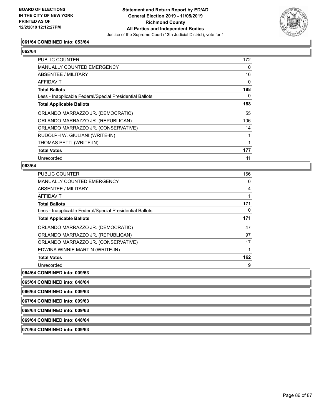

## **061/64 COMBINED into: 053/64**

## **062/64**

| <b>PUBLIC COUNTER</b>                                    | 172      |
|----------------------------------------------------------|----------|
| MANUALLY COUNTED EMERGENCY                               | 0        |
| ABSENTEE / MILITARY                                      | 16       |
| AFFIDAVIT                                                | $\Omega$ |
| <b>Total Ballots</b>                                     | 188      |
| Less - Inapplicable Federal/Special Presidential Ballots | $\Omega$ |
| <b>Total Applicable Ballots</b>                          | 188      |
| ORLANDO MARRAZZO JR. (DEMOCRATIC)                        | 55       |
| ORLANDO MARRAZZO JR. (REPUBLICAN)                        | 106      |
| ORLANDO MARRAZZO JR. (CONSERVATIVE)                      | 14       |
| RUDOLPH W. GIULIANI (WRITE-IN)                           |          |
| THOMAS PETTI (WRITE-IN)                                  |          |
| <b>Total Votes</b>                                       | 177      |
| Unrecorded                                               | 11       |

#### **063/64**

| <b>PUBLIC COUNTER</b>                                    | 166 |
|----------------------------------------------------------|-----|
| <b>MANUALLY COUNTED EMERGENCY</b>                        | 0   |
| ABSENTEE / MILITARY                                      | 4   |
| AFFIDAVIT                                                | 1   |
| <b>Total Ballots</b>                                     | 171 |
| Less - Inapplicable Federal/Special Presidential Ballots | 0   |
| <b>Total Applicable Ballots</b>                          | 171 |
| ORLANDO MARRAZZO JR. (DEMOCRATIC)                        | 47  |
| ORLANDO MARRAZZO JR. (REPUBLICAN)                        | 97  |
| ORLANDO MARRAZZO JR. (CONSERVATIVE)                      | 17  |
| EDWINA WINNIE MARTIN (WRITE-IN)                          | 1   |
| <b>Total Votes</b>                                       | 162 |
| Unrecorded                                               | 9   |

**064/64 COMBINED into: 009/63**

**065/64 COMBINED into: 048/64**

**066/64 COMBINED into: 009/63**

**067/64 COMBINED into: 009/63**

**068/64 COMBINED into: 009/63**

**069/64 COMBINED into: 048/64**

**070/64 COMBINED into: 009/63**